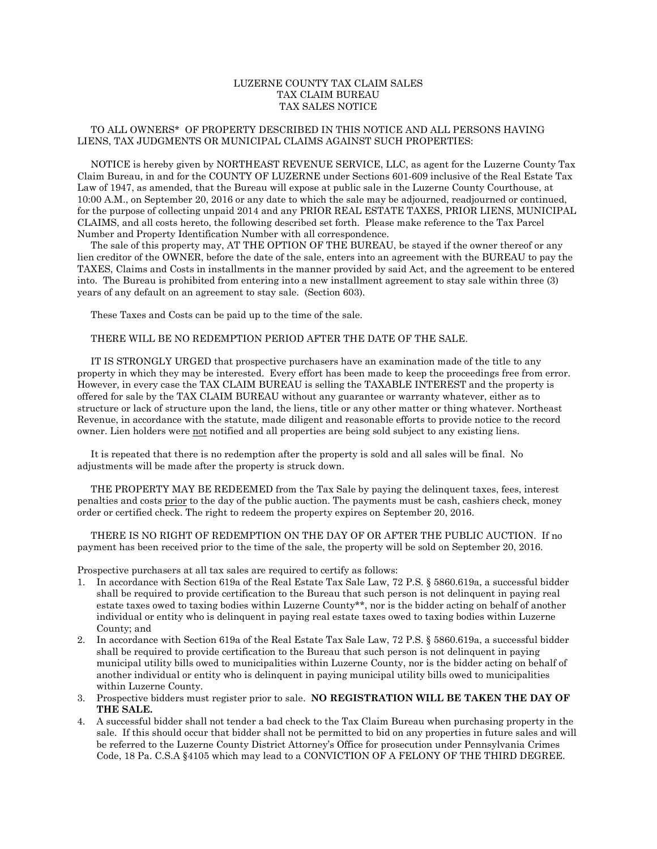## LUZERNE COUNTY TAX CLAIM SALES TAX CLAIM BUREAU TAX SALES NOTICE

## TO ALL OWNERS\* OF PROPERTY DESCRIBED IN THIS NOTICE AND ALL PERSONS HAVING LIENS, TAX JUDGMENTS OR MUNICIPAL CLAIMS AGAINST SUCH PROPERTIES:

 NOTICE is hereby given by NORTHEAST REVENUE SERVICE, LLC, as agent for the Luzerne County Tax Claim Bureau, in and for the COUNTY OF LUZERNE under Sections 601-609 inclusive of the Real Estate Tax Law of 1947, as amended, that the Bureau will expose at public sale in the Luzerne County Courthouse, at 10:00 A.M., on September 20, 2016 or any date to which the sale may be adjourned, readjourned or continued, for the purpose of collecting unpaid 2014 and any PRIOR REAL ESTATE TAXES, PRIOR LIENS, MUNICIPAL CLAIMS, and all costs hereto, the following described set forth. Please make reference to the Tax Parcel Number and Property Identification Number with all correspondence.

 The sale of this property may, AT THE OPTION OF THE BUREAU, be stayed if the owner thereof or any lien creditor of the OWNER, before the date of the sale, enters into an agreement with the BUREAU to pay the TAXES, Claims and Costs in installments in the manner provided by said Act, and the agreement to be entered into. The Bureau is prohibited from entering into a new installment agreement to stay sale within three (3) years of any default on an agreement to stay sale. (Section 603).

These Taxes and Costs can be paid up to the time of the sale.

## THERE WILL BE NO REDEMPTION PERIOD AFTER THE DATE OF THE SALE.

 IT IS STRONGLY URGED that prospective purchasers have an examination made of the title to any property in which they may be interested. Every effort has been made to keep the proceedings free from error. However, in every case the TAX CLAIM BUREAU is selling the TAXABLE INTEREST and the property is offered for sale by the TAX CLAIM BUREAU without any guarantee or warranty whatever, either as to structure or lack of structure upon the land, the liens, title or any other matter or thing whatever. Northeast Revenue, in accordance with the statute, made diligent and reasonable efforts to provide notice to the record owner. Lien holders were not notified and all properties are being sold subject to any existing liens.

 It is repeated that there is no redemption after the property is sold and all sales will be final. No adjustments will be made after the property is struck down.

 THE PROPERTY MAY BE REDEEMED from the Tax Sale by paying the delinquent taxes, fees, interest penalties and costs prior to the day of the public auction. The payments must be cash, cashiers check, money order or certified check. The right to redeem the property expires on September 20, 2016.

 THERE IS NO RIGHT OF REDEMPTION ON THE DAY OF OR AFTER THE PUBLIC AUCTION. If no payment has been received prior to the time of the sale, the property will be sold on September 20, 2016.

Prospective purchasers at all tax sales are required to certify as follows:

- 1. In accordance with Section 619a of the Real Estate Tax Sale Law, 72 P.S. § 5860.619a, a successful bidder shall be required to provide certification to the Bureau that such person is not delinquent in paying real estate taxes owed to taxing bodies within Luzerne County\*\*, nor is the bidder acting on behalf of another individual or entity who is delinquent in paying real estate taxes owed to taxing bodies within Luzerne County; and
- 2. In accordance with Section 619a of the Real Estate Tax Sale Law, 72 P.S. § 5860.619a, a successful bidder shall be required to provide certification to the Bureau that such person is not delinquent in paying municipal utility bills owed to municipalities within Luzerne County, nor is the bidder acting on behalf of another individual or entity who is delinquent in paying municipal utility bills owed to municipalities within Luzerne County.
- 3. Prospective bidders must register prior to sale. **NO REGISTRATION WILL BE TAKEN THE DAY OF THE SALE.**
- 4. A successful bidder shall not tender a bad check to the Tax Claim Bureau when purchasing property in the sale. If this should occur that bidder shall not be permitted to bid on any properties in future sales and will be referred to the Luzerne County District Attorney's Office for prosecution under Pennsylvania Crimes Code, 18 Pa. C.S.A §4105 which may lead to a CONVICTION OF A FELONY OF THE THIRD DEGREE.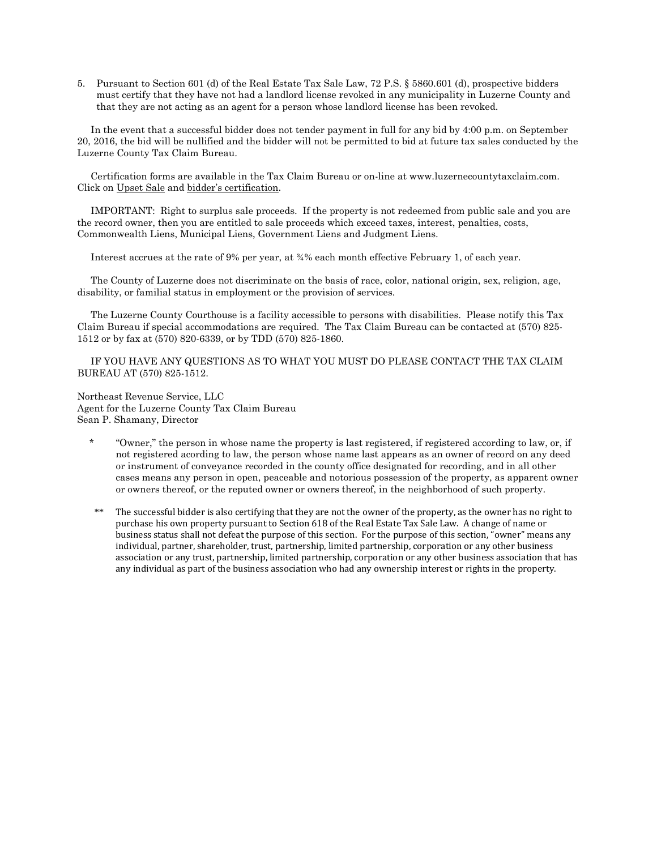5. Pursuant to Section 601 (d) of the Real Estate Tax Sale Law, 72 P.S. § 5860.601 (d), prospective bidders must certify that they have not had a landlord license revoked in any municipality in Luzerne County and that they are not acting as an agent for a person whose landlord license has been revoked.

 In the event that a successful bidder does not tender payment in full for any bid by 4:00 p.m. on September 20, 2016, the bid will be nullified and the bidder will not be permitted to bid at future tax sales conducted by the Luzerne County Tax Claim Bureau.

 Certification forms are available in the Tax Claim Bureau or on-line at www.luzernecountytaxclaim.com. Click on Upset Sale and bidder's certification.

 IMPORTANT: Right to surplus sale proceeds. If the property is not redeemed from public sale and you are the record owner, then you are entitled to sale proceeds which exceed taxes, interest, penalties, costs, Commonwealth Liens, Municipal Liens, Government Liens and Judgment Liens.

Interest accrues at the rate of 9% per year, at ¾% each month effective February 1, of each year.

 The County of Luzerne does not discriminate on the basis of race, color, national origin, sex, religion, age, disability, or familial status in employment or the provision of services.

 The Luzerne County Courthouse is a facility accessible to persons with disabilities. Please notify this Tax Claim Bureau if special accommodations are required. The Tax Claim Bureau can be contacted at (570) 825- 1512 or by fax at (570) 820-6339, or by TDD (570) 825-1860.

 IF YOU HAVE ANY QUESTIONS AS TO WHAT YOU MUST DO PLEASE CONTACT THE TAX CLAIM BUREAU AT (570) 825-1512.

Northeast Revenue Service, LLC Agent for the Luzerne County Tax Claim Bureau Sean P. Shamany, Director

- \* "Owner," the person in whose name the property is last registered, if registered according to law, or, if not registered acording to law, the person whose name last appears as an owner of record on any deed or instrument of conveyance recorded in the county office designated for recording, and in all other cases means any person in open, peaceable and notorious possession of the property, as apparent owner or owners thereof, or the reputed owner or owners thereof, in the neighborhood of such property.
- \*\* The successful bidder is also certifying that they are not the owner of the property, as the owner has no right to purchase his own property pursuant to Section 618 of the Real Estate Tax Sale Law. A change of name or business status shall not defeat the purpose of this section. For the purpose of this section, "owner" means any individual, partner, shareholder, trust, partnership, limited partnership, corporation or any other business association or any trust, partnership, limited partnership, corporation or any other business association that has any individual as part of the business association who had any ownership interest or rights in the property.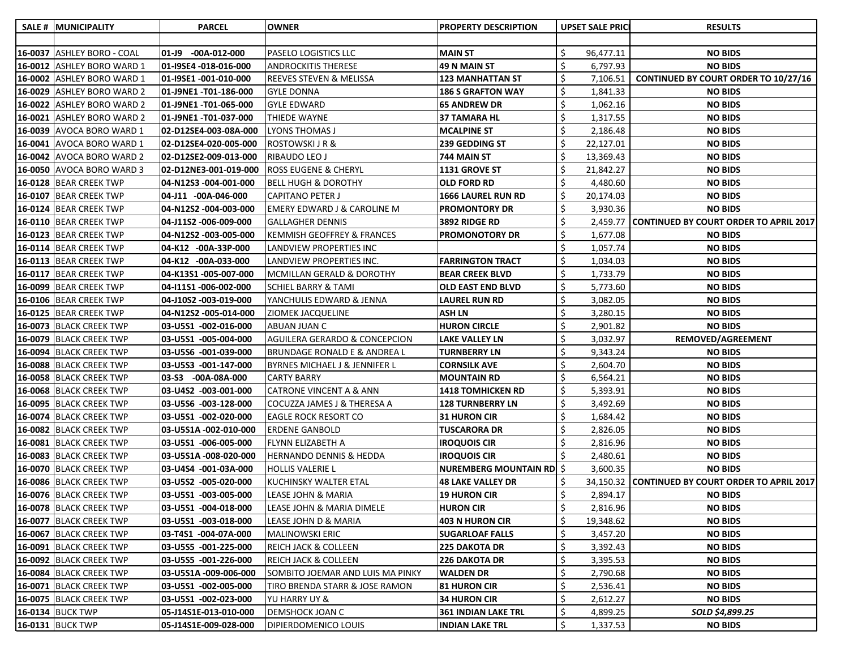| <b>SALE # MUNICIPALITY</b> | <b>PARCEL</b>           | <b>OWNER</b>                             | <b>PROPERTY DESCRIPTION</b>     | <b>UPSET SALE PRICE</b> | <b>RESULTS</b>                                   |
|----------------------------|-------------------------|------------------------------------------|---------------------------------|-------------------------|--------------------------------------------------|
|                            |                         |                                          |                                 |                         |                                                  |
| 16-0037 ASHLEY BORO - COAL | 01-J9<br>$-00A-012-000$ | PASELO LOGISTICS LLC                     | <b>MAIN ST</b>                  | 96,477.11               | <b>NO BIDS</b>                                   |
| 16-0012 ASHLEY BORO WARD 1 | 01-I9SE4 -018-016-000   | <b>ANDROCKITIS THERESE</b>               | 49 N MAIN ST                    | 6,797.93                | <b>NO BIDS</b>                                   |
| 16-0002 ASHLEY BORO WARD 1 | 01-I9SE1 -001-010-000   | <b>REEVES STEVEN &amp; MELISSA</b>       | <b>123 MANHATTAN ST</b>         | 7,106.51                | <b>CONTINUED BY COURT ORDER TO 10/27/16</b>      |
| 16-0029 ASHLEY BORO WARD 2 | 01-J9NE1 -T01-186-000   | <b>GYLE DONNA</b>                        | <b>186 S GRAFTON WAY</b>        | 1,841.33                | <b>NO BIDS</b>                                   |
| 16-0022 ASHLEY BORO WARD 2 | 01-J9NE1 -T01-065-000   | GYLE EDWARD                              | <b>65 ANDREW DR</b>             | \$<br>1,062.16          | <b>NO BIDS</b>                                   |
| 16-0021 ASHLEY BORO WARD 2 | 01-J9NE1 -T01-037-000   | THIEDE WAYNE                             | <b>37 TAMARA HL</b>             | 1,317.55                | <b>NO BIDS</b>                                   |
| 16-0039 AVOCA BORO WARD 1  | 02-D12SE4-003-08A-000   | LYONS THOMAS J                           | <b>MCALPINE ST</b>              | 2,186.48                | <b>NO BIDS</b>                                   |
| 16-0041 AVOCA BORO WARD 1  | 02-D12SE4-020-005-000   | ROSTOWSKI J R &                          | 239 GEDDING ST                  | 22,127.01               | <b>NO BIDS</b>                                   |
| 16-0042 AVOCA BORO WARD 2  | 02-D12SE2-009-013-000   | RIBAUDO LEO J                            | 744 MAIN ST                     | \$<br>13,369.43         | <b>NO BIDS</b>                                   |
| 16-0050 AVOCA BORO WARD 3  | 02-D12NE3-001-019-000   | <b>ROSS EUGENE &amp; CHERYL</b>          | 1131 GROVE ST                   | 21,842.27               | <b>NO BIDS</b>                                   |
| 16-0128 BEAR CREEK TWP     | 04-N12S3 -004-001-000   | <b>BELL HUGH &amp; DOROTHY</b>           | <b>OLD FORD RD</b>              | 4,480.60                | <b>NO BIDS</b>                                   |
| 16-0107 BEAR CREEK TWP     | 04-J11 -00A-046-000     | CAPITANO PETER J                         | <b>1666 LAUREL RUN RD</b>       | \$<br>20,174.03         | <b>NO BIDS</b>                                   |
| 16-0124 BEAR CREEK TWP     | 04-N12S2-004-003-000    | <b>EMERY EDWARD J &amp; CAROLINE M</b>   | <b>PROMONTORY DR</b>            | 3,930.36                | <b>NO BIDS</b>                                   |
| 16-0110 BEAR CREEK TWP     | 04-J11S2 -006-009-000   | GALLAGHER DENNIS                         | 3892 RIDGE RD                   | 2,459.77                | <b>CONTINUED BY COURT ORDER TO APRIL 2017</b>    |
| 16-0123 BEAR CREEK TWP     | 04-N12S2-003-005-000    | KEMMISH GEOFFREY & FRANCES               | <b>PROMONOTORY DR</b>           | 1,677.08                | <b>NO BIDS</b>                                   |
| 16-0114 BEAR CREEK TWP     | 04-K12 -00A-33P-000     | LANDVIEW PROPERTIES INC                  |                                 | 1,057.74                | <b>NO BIDS</b>                                   |
| 16-0113 BEAR CREEK TWP     | 04-K12 -00A-033-000     | LANDVIEW PROPERTIES INC.                 | <b>FARRINGTON TRACT</b>         | 1,034.03                | <b>NO BIDS</b>                                   |
| 16-0117 BEAR CREEK TWP     | 04-K13S1-005-007-000    | MCMILLAN GERALD & DOROTHY                | <b>BEAR CREEK BLVD</b>          | 1,733.79                | <b>NO BIDS</b>                                   |
| 16-0099 BEAR CREEK TWP     | 04-111S1-006-002-000    | <b>SCHIEL BARRY &amp; TAMI</b>           | <b>OLD EAST END BLVD</b>        | \$<br>5,773.60          | <b>NO BIDS</b>                                   |
| 16-0106 BEAR CREEK TWP     | 04-J10S2 -003-019-000   | YANCHULIS EDWARD & JENNA                 | <b>LAUREL RUN RD</b>            | 3,082.05                | <b>NO BIDS</b>                                   |
| 16-0125 BEAR CREEK TWP     | 04-N12S2-005-014-000    | <b>ZIOMEK JACQUELINE</b>                 | <b>ASH LN</b>                   | 3,280.15                | <b>NO BIDS</b>                                   |
| 16-0073 BLACK CREEK TWP    | 03-U5S1 -002-016-000    | ABUAN JUAN C                             | <b>HURON CIRCLE</b>             | 2,901.82                | <b>NO BIDS</b>                                   |
| 16-0079 BLACK CREEK TWP    | 03-U5S1 -005-004-000    | <b>AGUILERA GERARDO &amp; CONCEPCION</b> | <b>LAKE VALLEY LN</b>           | 3,032.97                | REMOVED/AGREEMENT                                |
| 16-0094 BLACK CREEK TWP    | 03-U5S6 -001-039-000    | BRUNDAGE RONALD E & ANDREA L             | <b>TURNBERRY LN</b>             | 9,343.24                | <b>NO BIDS</b>                                   |
| 16-0088 BLACK CREEK TWP    | 03-U5S3 -001-147-000    | BYRNES MICHAEL J & JENNIFER L            | <b>CORNSILK AVE</b>             | 2,604.70                | <b>NO BIDS</b>                                   |
| 16-0058 BLACK CREEK TWP    | 03-S3 -00A-08A-000      | CARTY BARRY                              | <b>MOUNTAIN RD</b>              | 6,564.21                | <b>NO BIDS</b>                                   |
| 16-0068 BLACK CREEK TWP    | 03-U4S2 -003-001-000    | <b>CATRONE VINCENT A &amp; ANN</b>       | <b>1418 TOMHICKEN RD</b>        | 5,393.91                | <b>NO BIDS</b>                                   |
| 16-0095 BLACK CREEK TWP    | 03-U5S6 -003-128-000    | COCUZZA JAMES J & THERESA A              | <b>128 TURNBERRY LN</b>         | 3,492.69                | <b>NO BIDS</b>                                   |
| 16-0074 BLACK CREEK TWP    | 03-U5S1 -002-020-000    | <b>EAGLE ROCK RESORT CO</b>              | <b>31 HURON CIR</b>             | 1,684.42                | <b>NO BIDS</b>                                   |
| 16-0082 BLACK CREEK TWP    | 03-U5S1A -002-010-000   | <b>ERDENE GANBOLD</b>                    | <b>TUSCARORA DR</b>             | 2,826.05                | <b>NO BIDS</b>                                   |
| 16-0081 BLACK CREEK TWP    | 03-U5S1 -006-005-000    | FLYNN ELIZABETH A                        | <b>IROQUOIS CIR</b>             | 2,816.96                | <b>NO BIDS</b>                                   |
| 16-0083 BLACK CREEK TWP    | 03-U5S1A -008-020-000   | <b>HERNANDO DENNIS &amp; HEDDA</b>       | <b>IROQUOIS CIR</b>             | 2,480.61                | <b>NO BIDS</b>                                   |
| 16-0070 BLACK CREEK TWP    | 03-U4S4 -001-03A-000    | <b>HOLLIS VALERIE L</b>                  | <b>NUREMBERG MOUNTAIN RD</b> \$ | 3,600.35                | <b>NO BIDS</b>                                   |
| 16-0086 BLACK CREEK TWP    | 03-U5S2 -005-020-000    | KUCHINSKY WALTER ETAL                    | <b>48 LAKE VALLEY DR</b>        |                         | 34,150.32 CONTINUED BY COURT ORDER TO APRIL 2017 |
| 16-0076 BLACK CREEK TWP    | 03-U5S1 -003-005-000    | LEASE JOHN & MARIA                       | <b>19 HURON CIR</b>             | 2,894.17                | <b>NO BIDS</b>                                   |
| 16-0078 BLACK CREEK TWP    | 03-U5S1 -004-018-000    | <b>LEASE JOHN &amp; MARIA DIMELE</b>     | <b>HURON CIR</b>                | 2,816.96                | <b>NO BIDS</b>                                   |
| 16-0077 BLACK CREEK TWP    | 03-U5S1 -003-018-000    | LEASE JOHN D & MARIA                     | <b>403 N HURON CIR</b>          | \$<br>19,348.62         | <b>NO BIDS</b>                                   |
| 16-0067 BLACK CREEK TWP    | 03-T4S1 -004-07A-000    | MALINOWSKI ERIC                          | <b>SUGARLOAF FALLS</b>          | \$<br>3,457.20          | <b>NO BIDS</b>                                   |
| 16-0091 BLACK CREEK TWP    | 03-U5S5 -001-225-000    | <b>REICH JACK &amp; COLLEEN</b>          | <b>225 DAKOTA DR</b>            | \$<br>3,392.43          | <b>NO BIDS</b>                                   |
| 16-0092 BLACK CREEK TWP    | 03-U5S5 -001-226-000    | <b>REICH JACK &amp; COLLEEN</b>          | 226 DAKOTA DR                   | \$<br>3,395.53          | <b>NO BIDS</b>                                   |
| 16-0084 BLACK CREEK TWP    | 03-U5S1A -009-006-000   | SOMBITO JOEMAR AND LUIS MA PINKY         | <b>WALDEN DR</b>                | \$<br>2,790.68          | <b>NO BIDS</b>                                   |
| 16-0071 BLACK CREEK TWP    | 03-U5S1 -002-005-000    | TIRO BRENDA STARR & JOSE RAMON           | <b>81 HURON CIR</b>             | 2,536.41                | <b>NO BIDS</b>                                   |
| 16-0075 BLACK CREEK TWP    | 03-U5S1 -002-023-000    | YU HARRY UY &                            | <b>34 HURON CIR</b>             | 2,612.27                | <b>NO BIDS</b>                                   |
| <b>16-0134 BUCK TWP</b>    | 05-J14S1E-013-010-000   | DEMSHOCK JOAN C                          | <b>361 INDIAN LAKE TRL</b>      | 4,899.25                | SOLD \$4,899.25                                  |
| 16-0131 BUCK TWP           | 05-J14S1E-009-028-000   | DIPIERDOMENICO LOUIS                     | <b>INDIAN LAKE TRL</b>          | \$<br>1,337.53          | <b>NO BIDS</b>                                   |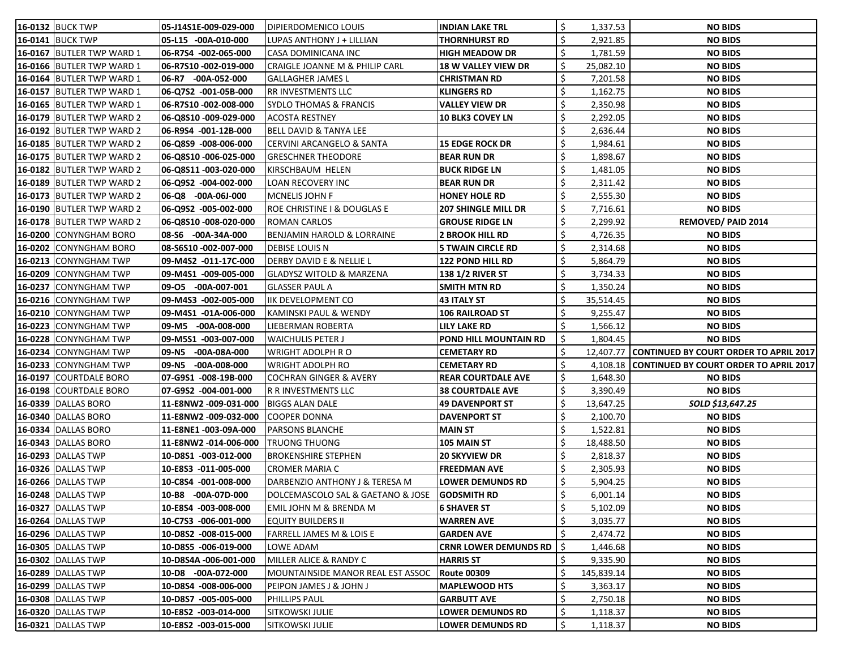| <b>16-0132 BUCK TWP</b>    | 05-J14S1E-009-029-000   | DIPIERDOMENICO LOUIS                  | <b>INDIAN LAKE TRL</b>       |    | 1,337.53   | <b>NO BIDS</b>                                   |
|----------------------------|-------------------------|---------------------------------------|------------------------------|----|------------|--------------------------------------------------|
| <b>16-0141 BUCK TWP</b>    | 05-L15 -00A-010-000     | LUPAS ANTHONY J + LILLIAN             | <b>THORNHURST RD</b>         |    | 2,921.85   | <b>NO BIDS</b>                                   |
| 16-0167 BUTLER TWP WARD 1  | 06-R7S4 -002-065-000    | CASA DOMINICANA INC                   | <b>HIGH MEADOW DR</b>        |    | 1,781.59   | <b>NO BIDS</b>                                   |
| 16-0166 BUTLER TWP WARD 1  | 06-R7S10 -002-019-000   | CRAIGLE JOANNE M & PHILIP CARL        | <b>18 W VALLEY VIEW DR</b>   | \$ | 25,082.10  | <b>NO BIDS</b>                                   |
| 16-0164 BUTLER TWP WARD 1  | 06-R7 -00A-052-000      | <b>GALLAGHER JAMES L</b>              | <b>CHRISTMAN RD</b>          |    | 7,201.58   | <b>NO BIDS</b>                                   |
| 16-0157 BUTLER TWP WARD 1  | 06-Q7S2 -001-05B-000    | RR INVESTMENTS LLC                    | <b>KLINGERS RD</b>           |    | 1,162.75   | <b>NO BIDS</b>                                   |
| 16-0165 BUTLER TWP WARD 1  | 06-R7S10 -002-008-000   | <b>SYDLO THOMAS &amp; FRANCIS</b>     | <b>VALLEY VIEW DR</b>        | \$ | 2,350.98   | <b>NO BIDS</b>                                   |
| 16-0179 BUTLER TWP WARD 2  | 06-Q8S10-009-029-000    | <b>ACOSTA RESTNEY</b>                 | <b>10 BLK3 COVEY LN</b>      | \$ | 2,292.05   | <b>NO BIDS</b>                                   |
| 16-0192 BUTLER TWP WARD 2  | 06-R9S4 -001-12B-000    | <b>BELL DAVID &amp; TANYA LEE</b>     |                              |    | 2,636.44   | <b>NO BIDS</b>                                   |
| 16-0185 BUTLER TWP WARD 2  | 06-Q8S9 -008-006-000    | CERVINI ARCANGELO & SANTA             | <b>15 EDGE ROCK DR</b>       |    | 1,984.61   | <b>NO BIDS</b>                                   |
| 16-0175 BUTLER TWP WARD 2  | 06-Q8S10 -006-025-000   | <b>GRESCHNER THEODORE</b>             | <b>BEAR RUN DR</b>           | \$ | 1,898.67   | <b>NO BIDS</b>                                   |
| 16-0182 BUTLER TWP WARD 2  | 06-Q8S11-003-020-000    | KIRSCHBAUM HELEN                      | <b>BUCK RIDGE LN</b>         | \$ | 1,481.05   | <b>NO BIDS</b>                                   |
| 16-0189 BUTLER TWP WARD 2  | 06-Q9S2 -004-002-000    | <b>LOAN RECOVERY INC</b>              | <b>BEAR RUN DR</b>           | \$ | 2,311.42   | <b>NO BIDS</b>                                   |
| 16-0173 BUTLER TWP WARD 2  | 06-Q8 -00A-06J-000      | MCNELIS JOHN F                        | <b>HONEY HOLE RD</b>         |    | 2,555.30   | <b>NO BIDS</b>                                   |
| 16-0190 BUTLER TWP WARD 2  | 06-Q9S2 -005-002-000    | ROE CHRISTINE I & DOUGLAS E           | <b>207 SHINGLE MILL DR</b>   | \$ | 7,716.61   | <b>NO BIDS</b>                                   |
| 16-0178 BUTLER TWP WARD 2  | 06-Q8S10-008-020-000    | <b>ROMAN CARLOS</b>                   | <b>GROUSE RIDGE LN</b>       | \$ | 2,299.92   | <b>REMOVED/ PAID 2014</b>                        |
| 16-0200 CONYNGHAM BORO     | 08-S6 -00A-34A-000      | <b>BENJAMIN HAROLD &amp; LORRAINE</b> | <b>2 BROOK HILL RD</b>       |    | 4,726.35   | <b>NO BIDS</b>                                   |
| 16-0202 CONYNGHAM BORO     | 08-S6S10 -002-007-000   | <b>DEBISE LOUIS N</b>                 | <b>5 TWAIN CIRCLE RD</b>     | \$ | 2,314.68   | <b>NO BIDS</b>                                   |
| 16-0213 CONYNGHAM TWP      | 09-M4S2 -011-17C-000    | DERBY DAVID E & NELLIE L              | <b>122 POND HILL RD</b>      |    | 5,864.79   | <b>NO BIDS</b>                                   |
| 16-0209 CONYNGHAM TWP      | 09-M4S1 -009-005-000    | <b>GLADYSZ WITOLD &amp; MARZENA</b>   | <b>138 1/2 RIVER ST</b>      | \$ | 3,734.33   | <b>NO BIDS</b>                                   |
| 16-0237 CONYNGHAM TWP      | 09-05 -00A-007-001      | <b>GLASSER PAUL A</b>                 | <b>SMITH MTN RD</b>          | \$ | 1,350.24   | <b>NO BIDS</b>                                   |
| 16-0216 CONYNGHAM TWP      | 09-M4S3 -002-005-000    | IIK DEVELOPMENT CO                    | <b>43 ITALY ST</b>           |    | 35,514.45  | <b>NO BIDS</b>                                   |
| 16-0210 CONYNGHAM TWP      | 09-M4S1 -01A-006-000    | KAMINSKI PAUL & WENDY                 | <b>106 RAILROAD ST</b>       |    | 9,255.47   | <b>NO BIDS</b>                                   |
| 16-0223 CONYNGHAM TWP      | 09-M5 -00A-008-000      | LIEBERMAN ROBERTA                     | <b>LILY LAKE RD</b>          |    | 1,566.12   | <b>NO BIDS</b>                                   |
| 16-0228 CONYNGHAM TWP      | 09-M5S1 -003-007-000    | <b>WAICHULIS PETER J</b>              | POND HILL MOUNTAIN RD        | \$ | 1,804.45   | <b>NO BIDS</b>                                   |
| 16-0234 CONYNGHAM TWP      | $-00A-08A-000$<br>09-N5 | <b>WRIGHT ADOLPH R O</b>              | <b>CEMETARY RD</b>           |    |            | 12,407.77 CONTINUED BY COURT ORDER TO APRIL 2017 |
| 16-0233 CONYNGHAM TWP      | 09-N5<br>$-00A-008-000$ | WRIGHT ADOLPH RO                      | <b>CEMETARY RD</b>           |    |            | 4,108.18 CONTINUED BY COURT ORDER TO APRIL 2017  |
| 16-0197 COURTDALE BORO     | 07-G9S1 -008-19B-000    | <b>COCHRAN GINGER &amp; AVERY</b>     | <b>REAR COURTDALE AVE</b>    | \$ | 1,648.30   | <b>NO BIDS</b>                                   |
| 16-0198 COURTDALE BORO     | 07-G9S2 -004-001-000    | R R INVESTMENTS LLC                   | <b>38 COURTDALE AVE</b>      | \$ | 3,390.49   | <b>NO BIDS</b>                                   |
| 16-0339 DALLAS BORO        | 11-E8NW2 -009-031-000   | <b>BIGGS ALAN DALE</b>                | <b>49 DAVENPORT ST</b>       |    | 13,647.25  | SOLD \$13,647.25                                 |
| <b>16-0340 DALLAS BORO</b> | 11-E8NW2 -009-032-000   | <b>COOPER DONNA</b>                   | <b>DAVENPORT ST</b>          | \$ | 2,100.70   | <b>NO BIDS</b>                                   |
| <b>16-0334 DALLAS BORO</b> | 11-E8NE1-003-09A-000    | PARSONS BLANCHE                       | <b>MAIN ST</b>               | \$ | 1,522.81   | <b>NO BIDS</b>                                   |
| <b>16-0343 DALLAS BORO</b> | 11-E8NW2 -014-006-000   | <b>TRUONG THUONG</b>                  | 105 MAIN ST                  | \$ | 18,488.50  | <b>NO BIDS</b>                                   |
| 16-0293 DALLAS TWP         | 10-D8S1 -003-012-000    | <b>BROKENSHIRE STEPHEN</b>            | <b>20 SKYVIEW DR</b>         |    | 2,818.37   | <b>NO BIDS</b>                                   |
| 16-0326 DALLAS TWP         | 10-E8S3 -011-005-000    | <b>CROMER MARIA C</b>                 | <b>FREEDMAN AVE</b>          | \$ | 2,305.93   | <b>NO BIDS</b>                                   |
| 16-0266 DALLAS TWP         | 10-C8S4 -001-008-000    | DARBENZIO ANTHONY J & TERESA M        | <b>LOWER DEMUNDS RD</b>      | \$ | 5,904.25   | <b>NO BIDS</b>                                   |
| <b>16-0248 DALLAS TWP</b>  | 10-B8 -00A-07D-000      | DOLCEMASCOLO SAL & GAETANO & JOSE     | <b>GODSMITH RD</b>           | Ś  | 6,001.14   | <b>NO BIDS</b>                                   |
| <b>16-0327 DALLAS TWP</b>  | 10-E8S4 -003-008-000    | EMIL JOHN M & BRENDA M                | <b>6 SHAVER ST</b>           |    | 5,102.09   | <b>NO BIDS</b>                                   |
| <b>16-0264 DALLAS TWP</b>  | 10-C7S3 -006-001-000    | <b>EQUITY BUILDERS II</b>             | <b>WARREN AVE</b>            | \$ | 3,035.77   | <b>NO BIDS</b>                                   |
| 16-0296 DALLAS TWP         | 10-D8S2 -008-015-000    | FARRELL JAMES M & LOIS E              | <b>GARDEN AVE</b>            |    | 2,474.72   | <b>NO BIDS</b>                                   |
| 16-0305 DALLAS TWP         | 10-D8S5 -006-019-000    | LOWE ADAM                             | <b>CRNR LOWER DEMUNDS RD</b> | \$ | 1,446.68   | <b>NO BIDS</b>                                   |
| <b>16-0302 DALLAS TWP</b>  | 10-D8S4A -006-001-000   | MILLER ALICE & RANDY C                | <b>HARRIS ST</b>             |    | 9,335.90   | <b>NO BIDS</b>                                   |
| 16-0289 DALLAS TWP         | 10-D8 -00A-072-000      | MOUNTAINSIDE MANOR REAL EST ASSOC     | <b>Route 00309</b>           |    | 145,839.14 | <b>NO BIDS</b>                                   |
| 16-0299 DALLAS TWP         | 10-D8S4 -008-006-000    | PEIPON JAMES J & JOHN J               | <b>MAPLEWOOD HTS</b>         | \$ | 3,363.17   | <b>NO BIDS</b>                                   |
| 16-0308 DALLAS TWP         | 10-D8S7 -005-005-000    | PHILLIPS PAUL                         | <b>GARBUTT AVE</b>           |    | 2,750.18   | <b>NO BIDS</b>                                   |
| 16-0320 DALLAS TWP         | 10-E8S2 -003-014-000    | SITKOWSKI JULIE                       | <b>LOWER DEMUNDS RD</b>      | \$ | 1,118.37   | <b>NO BIDS</b>                                   |
| <b>16-0321 DALLAS TWP</b>  | 10-E8S2 -003-015-000    | SITKOWSKI JULIE                       | <b>LOWER DEMUNDS RD</b>      | \$ | 1,118.37   | <b>NO BIDS</b>                                   |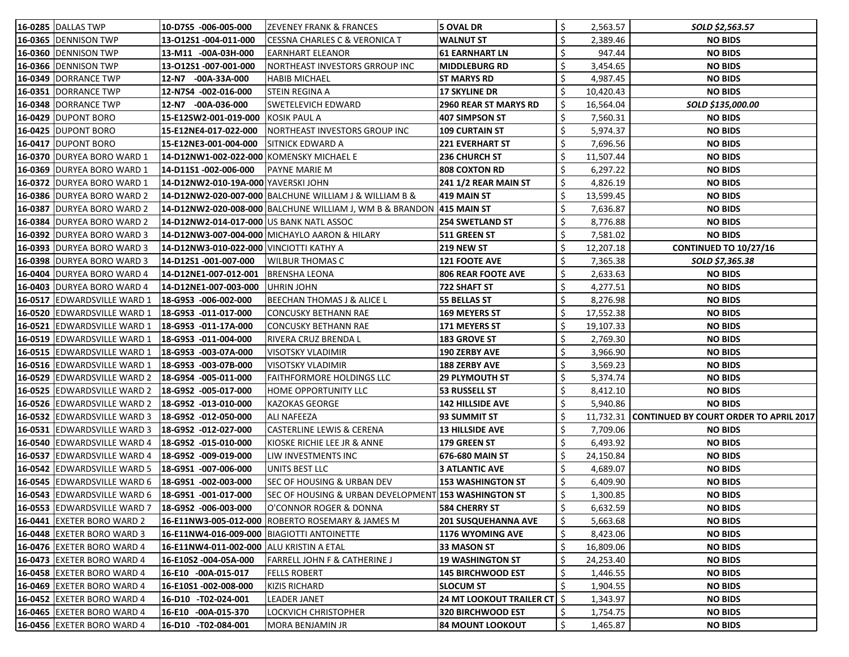| 16-0285 DALLAS TWP                 | 10-D7S5 -006-005-000                         | <b>ZEVENEY FRANK &amp; FRANCES</b>                                   | 5 OVAL DR                            | \$<br>2,563.57  | SOLD \$2,563.57                                  |
|------------------------------------|----------------------------------------------|----------------------------------------------------------------------|--------------------------------------|-----------------|--------------------------------------------------|
| 16-0365 DENNISON TWP               | 13-012S1 -004-011-000                        | CESSNA CHARLES C & VERONICA T                                        | <b>WALNUT ST</b>                     | 2,389.46        | <b>NO BIDS</b>                                   |
| 16-0360 DENNISON TWP               | 13-M11 -00A-03H-000                          | EARNHART ELEANOR                                                     | <b>61 EARNHART LN</b>                | 947.44          | <b>NO BIDS</b>                                   |
| 16-0366 DENNISON TWP               | 13-012S1 -007-001-000                        | NORTHEAST INVESTORS GRROUP INC                                       | <b>MIDDLEBURG RD</b>                 | 3,454.65        | <b>NO BIDS</b>                                   |
| 16-0349  DORRANCE TWP              | 12-N7 -00A-33A-000                           | HABIB MICHAEL                                                        | <b>ST MARYS RD</b>                   | 4,987.45        | <b>NO BIDS</b>                                   |
| 16-0351 DORRANCE TWP               | 12-N7S4 -002-016-000                         | <b>STEIN REGINA A</b>                                                | <b>17 SKYLINE DR</b>                 | 10,420.43       | <b>NO BIDS</b>                                   |
| 16-0348 DORRANCE TWP               | 12-N7 -00A-036-000                           | SWETELEVICH EDWARD                                                   | <b>2960 REAR ST MARYS RD</b>         | 16,564.04       | SOLD \$135,000.00                                |
| <b>16-0429 DUPONT BORO</b>         | 15-E12SW2-001-019-000                        | KOSIK PAUL A                                                         | <b>407 SIMPSON ST</b>                | 7,560.31        | <b>NO BIDS</b>                                   |
| 16-0425 DUPONT BORO                | 15-E12NE4-017-022-000                        | NORTHEAST INVESTORS GROUP INC                                        | <b>109 CURTAIN ST</b>                | 5,974.37        | <b>NO BIDS</b>                                   |
| <b>16-0417 DUPONT BORO</b>         | 15-E12NE3-001-004-000                        | <b>SITNICK EDWARD A</b>                                              | <b>221 EVERHART ST</b>               | 7,696.56        | <b>NO BIDS</b>                                   |
| 16-0370 DURYEA BORO WARD 1         | 14-D12NW1-002-022-000 KOMENSKY MICHAEL E     |                                                                      | 236 CHURCH ST                        | 11,507.44       | <b>NO BIDS</b>                                   |
| 16-0369 DURYEA BORO WARD 1         | 14-D11S1 -002-006-000                        | <b>PAYNE MARIE M</b>                                                 | <b>808 COXTON RD</b>                 | 6,297.22        | <b>NO BIDS</b>                                   |
| 16-0372 DURYEA BORO WARD 1         | 14-D12NW2-010-19A-000 YAVERSKI JOHN          |                                                                      | <b>241 1/2 REAR MAIN ST</b>          | \$<br>4,826.19  | <b>NO BIDS</b>                                   |
| 16-0386 DURYEA BORO WARD 2         |                                              | 14-D12NW2-020-007-000 BALCHUNE WILLIAM J & WILLIAM B &               | 419 MAIN ST                          | 13,599.45       | <b>NO BIDS</b>                                   |
| 16-0387 DURYEA BORO WARD 2         |                                              | 14-D12NW2-020-008-000 BALCHUNE WILLIAM J, WM B & BRANDON 415 MAIN ST |                                      | 7,636.87        | <b>NO BIDS</b>                                   |
| <b>16-0384 DURYEA BORO WARD 2</b>  | 14-D12NW2-014-017-000 US BANK NATL ASSOC     |                                                                      | 254 SWETLAND ST                      | 8,776.88        | <b>NO BIDS</b>                                   |
| <b>16-0392 DURYEA BORO WARD 3</b>  |                                              | 14-D12NW3-007-004-000   MICHAYLO AARON & HILARY                      | 511 GREEN ST                         | 7,581.02        | <b>NO BIDS</b>                                   |
| <b>16-0393 DURYEA BORO WARD 3</b>  | 14-D12NW3-010-022-000 VINCIOTTI KATHY A      |                                                                      | <b>219 NEW ST</b>                    | 12,207.18       | <b>CONTINUED TO 10/27/16</b>                     |
| <b>16-0398 DURYEA BORO WARD 3</b>  | 14-D12S1 -001-007-000                        | <b>WILBUR THOMAS C</b>                                               | 121 FOOTE AVE                        | 7,365.38        | SOLD \$7,365.38                                  |
| <b>16-0404 DURYEA BORO WARD 4</b>  | 14-D12NE1-007-012-001                        | <b>BRENSHA LEONA</b>                                                 | <b>806 REAR FOOTE AVE</b>            | 2,633.63        | <b>NO BIDS</b>                                   |
| 16-0403 DURYEA BORO WARD 4         | 14-D12NE1-007-003-000                        | UHRIN JOHN                                                           | 722 SHAFT ST                         | 4,277.51        | <b>NO BIDS</b>                                   |
| <b>16-0517 EDWARDSVILLE WARD 1</b> | 18-G9S3 -006-002-000                         | BEECHAN THOMAS J & ALICE L                                           | <b>55 BELLAS ST</b>                  | 8,276.98        | <b>NO BIDS</b>                                   |
| 16-0520 EDWARDSVILLE WARD 1        | 18-G9S3 -011-017-000                         | <b>CONCUSKY BETHANN RAE</b>                                          | <b>169 MEYERS ST</b>                 | 17,552.38       | <b>NO BIDS</b>                                   |
| 16-0521 EDWARDSVILLE WARD 1        | 18-G9S3 -011-17A-000                         | <b>CONCUSKY BETHANN RAE</b>                                          | <b>171 MEYERS ST</b>                 | 19,107.33       | <b>NO BIDS</b>                                   |
| 16-0519 EDWARDSVILLE WARD 1        | 18-G9S3 -011-004-000                         | RIVERA CRUZ BRENDA L                                                 | <b>183 GROVE ST</b>                  | 2,769.30        | <b>NO BIDS</b>                                   |
| 16-0515 EDWARDSVILLE WARD 1        | 18-G9S3 -003-07A-000                         | <b>VISOTSKY VLADIMIR</b>                                             | <b>190 ZERBY AVE</b>                 | 3,966.90        | <b>NO BIDS</b>                                   |
| 16-0516 EDWARDSVILLE WARD 1        | 18-G9S3 -003-07B-000                         | <b>VISOTSKY VLADIMIR</b>                                             | <b>188 ZERBY AVE</b>                 | 3,569.23        | <b>NO BIDS</b>                                   |
| 16-0529 EDWARDSVILLE WARD 2        | 18-G9S4 -005-011-000                         | FAITHFORMORE HOLDINGS LLC                                            | <b>29 PLYMOUTH ST</b>                | 5,374.74        | <b>NO BIDS</b>                                   |
| 16-0525 EDWARDSVILLE WARD 2        | 18-G9S2 -005-017-000                         | HOME OPPORTUNITY LLC                                                 | <b>53 RUSSELL ST</b>                 | \$<br>8,412.10  | <b>NO BIDS</b>                                   |
| <b>16-0526 EDWARDSVILLE WARD 2</b> | 18-G9S2 -013-010-000                         | KAZOKAS GEORGE                                                       | <b>142 HILLSIDE AVE</b>              | 5,940.86        | <b>NO BIDS</b>                                   |
| 16-0532 EDWARDSVILLE WARD 3        | $18-G9S2 -012-050-000$                       | <b>ALI NAFEEZA</b>                                                   | 93 SUMMIT ST                         |                 | 11,732.31 CONTINUED BY COURT ORDER TO APRIL 2017 |
| 16-0531 EDWARDSVILLE WARD 3        | 18-G9S2 -012-027-000                         | <b>CASTERLINE LEWIS &amp; CERENA</b>                                 | <b>13 HILLSIDE AVE</b>               | 7,709.06        | <b>NO BIDS</b>                                   |
| 16-0540 EDWARDSVILLE WARD 4        | 18-G9S2 -015-010-000                         | KIOSKE RICHIE LEE JR & ANNE                                          | 179 GREEN ST                         | 6,493.92        | <b>NO BIDS</b>                                   |
| <b>16-0537 EDWARDSVILLE WARD 4</b> | 18-G9S2 -009-019-000                         | LIW INVESTMENTS INC                                                  | 676-680 MAIN ST                      | \$<br>24,150.84 | <b>NO BIDS</b>                                   |
| 16-0542 EDWARDSVILLE WARD 5        | 18-G9S1 -007-006-000                         | UNITS BEST LLC                                                       | <b>3 ATLANTIC AVE</b>                | \$<br>4,689.07  | <b>NO BIDS</b>                                   |
| <b>16-0545</b> EDWARDSVILLE WARD 6 | 18-G9S1 -002-003-000                         | <b>SEC OF HOUSING &amp; URBAN DEV</b>                                | <b>153 WASHINGTON ST</b>             | \$<br>6,409.90  | <b>NO BIDS</b>                                   |
| <b>16-0543 EDWARDSVILLE WARD 6</b> | 18-G9S1 -001-017-000                         | SEC OF HOUSING & URBAN DEVELOPMENT 153 WASHINGTON ST                 |                                      | \$<br>1,300.85  | <b>NO BIDS</b>                                   |
| 16-0553 EDWARDSVILLE WARD 7        | 18-G9S2 -006-003-000                         | O'CONNOR ROGER & DONNA                                               | <b>584 CHERRY ST</b>                 | 6,632.59        | <b>NO BIDS</b>                                   |
| 16-0441 EXETER BORO WARD 2         | 16-E11NW3-005-012-000                        | ROBERTO ROSEMARY & JAMES M                                           | <b>201 SUSQUEHANNA AVE</b>           | 5,663.68        | <b>NO BIDS</b>                                   |
| 16-0448 EXETER BORO WARD 3         | 16-E11NW4-016-009-000   BIAGIOTTI ANTOINETTE |                                                                      | <b>1176 WYOMING AVE</b>              | 8,423.06        | <b>NO BIDS</b>                                   |
| <b>16-0476</b>  EXETER BORO WARD 4 | 16-E11NW4-011-002-000 ALU KRISTIN A ETAL     |                                                                      | 33 MASON ST                          | \$<br>16,809.06 | <b>NO BIDS</b>                                   |
| <b>16-0473 EXETER BORO WARD 4</b>  | 16-E10S2 -004-05A-000                        | <b>FARRELL JOHN F &amp; CATHERINE J</b>                              | <b>19 WASHINGTON ST</b>              | \$<br>24,253.40 | <b>NO BIDS</b>                                   |
| 16-0458 EXETER BORO WARD 4         | 16-E10 -00A-015-017                          | FELLS ROBERT                                                         | <b>145 BIRCHWOOD EST</b>             | \$<br>1,446.55  | <b>NO BIDS</b>                                   |
| <b>16-0469</b>  EXETER BORO WARD 4 | 16-E10S1-002-008-000                         | KIZIS RICHARD                                                        | <b>SLOCUM ST</b>                     | 1,904.55        | <b>NO BIDS</b>                                   |
| <b>16-0452</b>  EXETER BORO WARD 4 | 16-D10 -T02-024-001                          | LEADER JANET                                                         | <b>24 MT LOOKOUT TRAILER CT   \$</b> | 1,343.97        | <b>NO BIDS</b>                                   |
| 16-0465 EXETER BORO WARD 4         | 16-E10 -00A-015-370                          | LOCKVICH CHRISTOPHER                                                 | <b>320 BIRCHWOOD EST</b>             | \$<br>1,754.75  | <b>NO BIDS</b>                                   |
| 16-0456 EXETER BORO WARD 4         | 16-D10 -T02-084-001                          | MORA BENJAMIN JR                                                     | <b>84 MOUNT LOOKOUT</b>              | \$<br>1,465.87  | <b>NO BIDS</b>                                   |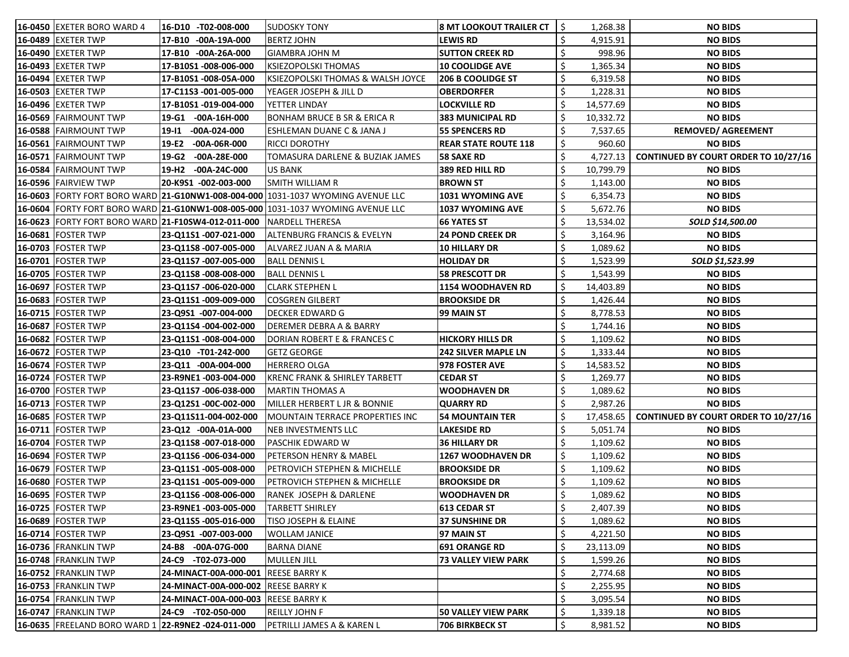| <b>16-0450</b>  EXETER BORO WARD 4                 | 16-D10 -T02-008-000                 | <b>ISUDOSKY TONY</b>                                                                              | <b>8 MT LOOKOUT TRAILER CT</b> | S          | 1,268.38  | <b>NO BIDS</b>                                   |
|----------------------------------------------------|-------------------------------------|---------------------------------------------------------------------------------------------------|--------------------------------|------------|-----------|--------------------------------------------------|
| 16-0489 EXETER TWP                                 | 17-B10 -00A-19A-000                 | <b>BERTZ JOHN</b>                                                                                 | <b>LEWIS RD</b>                |            | 4,915.91  | <b>NO BIDS</b>                                   |
| <b>16-0490 EXETER TWP</b>                          | 17-B10 -00A-26A-000                 | GIAMBRA JOHN M                                                                                    | <b>SUTTON CREEK RD</b>         |            | 998.96    | <b>NO BIDS</b>                                   |
| 16-0493 EXETER TWP                                 | 17-B10S1-008-006-000                | <b>KSIEZOPOLSKI THOMAS</b>                                                                        | <b>10 COOLIDGE AVE</b>         |            | 1,365.34  | <b>NO BIDS</b>                                   |
| <b>16-0494 EXETER TWP</b>                          | 17-B10S1-008-05A-000                | KSIEZOPOLSKI THOMAS & WALSH JOYCE                                                                 | <b>206 B COOLIDGE ST</b>       |            | 6,319.58  | <b>NO BIDS</b>                                   |
| 16-0503 EXETER TWP                                 | 17-C11S3 -001-005-000               | YEAGER JOSEPH & JILL D                                                                            | <b>OBERDORFER</b>              |            | 1,228.31  | <b>NO BIDS</b>                                   |
| 16-0496 EXETER TWP                                 | 17-B10S1-019-004-000                | YETTER LINDAY                                                                                     | LOCKVILLE RD                   |            | 14,577.69 | <b>NO BIDS</b>                                   |
| 16-0569 FAIRMOUNT TWP                              | $-00A-16H-000$<br>19-G1             | <b>BONHAM BRUCE B SR &amp; ERICA R</b>                                                            | <b>383 MUNICIPAL RD</b>        |            | 10,332.72 | <b>NO BIDS</b>                                   |
| 16-0588 FAIRMOUNT TWP                              | $-00A-024-000$<br>19-I1             | ESHLEMAN DUANE C & JANA J                                                                         | <b>55 SPENCERS RD</b>          |            | 7,537.65  | <b>REMOVED/ AGREEMENT</b>                        |
| 16-0561 FAIRMOUNT TWP                              | 19-E2<br>-00A-06R-000               | <b>RICCI DOROTHY</b>                                                                              | <b>REAR STATE ROUTE 118</b>    |            | 960.60    | <b>NO BIDS</b>                                   |
| 16-0571 FAIRMOUNT TWP                              | $-00A-28E-000$<br>19-G2             | TOMASURA DARLENE & BUZIAK JAMES                                                                   | <b>58 SAXE RD</b>              |            | 4,727.13  | <b>CONTINUED BY COURT ORDER TO 10/27/16</b>      |
| 16-0584 FAIRMOUNT TWP                              | 19-H2<br>$-00A-24C-000$             | US BANK                                                                                           | 389 RED HILL RD                |            | 10,799.79 | <b>NO BIDS</b>                                   |
| 16-0596 FAIRVIEW TWP                               | 20-K9S1 -002-003-000                | SMITH WILLIAM R                                                                                   | <b>BROWN ST</b>                |            | 1,143.00  | <b>NO BIDS</b>                                   |
|                                                    |                                     | <b>16-0603</b> FORTY FORT BORO WARD <b>21-G10NW1-008-004-000</b> 1031-1037 WYOMING AVENUE LLC     | 1031 WYOMING AVE               |            | 6,354.73  | <b>NO BIDS</b>                                   |
|                                                    |                                     | <b> 16-0604</b>  FORTY FORT BORO WARD  <b>21-G10NW1-008-005-000</b>  1031-1037 WYOMING AVENUE LLC | <b>1037 WYOMING AVE</b>        |            | 5,672.76  | <b>NO BIDS</b>                                   |
| 16-0623 FORTY FORT BORO WARD 21-F10SW4-012-011-000 |                                     | NARDELL THERESA                                                                                   | <b>66 YATES ST</b>             |            | 13,534.02 | SOLD \$14,500.00                                 |
| 16-0681 FOSTER TWP                                 | 23-Q11S1 -007-021-000               | <b>ALTENBURG FRANCIS &amp; EVELYN</b>                                                             | <b>24 POND CREEK DR</b>        |            | 3,164.96  | <b>NO BIDS</b>                                   |
| 16-0703 FOSTER TWP                                 | 23-Q11S8 -007-005-000               | ALVAREZ JUAN A & MARIA                                                                            | 10 HILLARY DR                  |            | 1,089.62  | <b>NO BIDS</b>                                   |
| 16-0701 FOSTER TWP                                 | 23-Q11S7 -007-005-000               | <b>BALL DENNIS L</b>                                                                              | <b>HOLIDAY DR</b>              |            | 1,523.99  | SOLD \$1,523.99                                  |
| 16-0705   FOSTER TWP                               | 23-Q11S8 -008-008-000               | BALL DENNIS L                                                                                     | <b>58 PRESCOTT DR</b>          |            | 1,543.99  | <b>NO BIDS</b>                                   |
| 16-0697   FOSTER TWP                               | 23-Q11S7 -006-020-000               | CLARK STEPHEN L                                                                                   | 1154 WOODHAVEN RD              |            | 14,403.89 | <b>NO BIDS</b>                                   |
| 16-0683 FOSTER TWP                                 | 23-Q11S1-009-009-000                | <b>COSGREN GILBERT</b>                                                                            | <b>BROOKSIDE DR</b>            |            | 1,426.44  | <b>NO BIDS</b>                                   |
| 16-0715   FOSTER TWP                               | 23-Q9S1 -007-004-000                | <b>DECKER EDWARD G</b>                                                                            | 99 MAIN ST                     |            | 8,778.53  | <b>NO BIDS</b>                                   |
| 16-0687 FOSTER TWP                                 | 23-Q11S4 -004-002-000               | DEREMER DEBRA A & BARRY                                                                           |                                |            | 1,744.16  | <b>NO BIDS</b>                                   |
| 16-0682 FOSTER TWP                                 | 23-Q11S1-008-004-000                | <b>DORIAN ROBERT E &amp; FRANCES C</b>                                                            | <b>HICKORY HILLS DR</b>        |            | 1,109.62  | <b>NO BIDS</b>                                   |
| 16-0672 FOSTER TWP                                 | 23-Q10 -T01-242-000                 | <b>GETZ GEORGE</b>                                                                                | <b>242 SILVER MAPLE LN</b>     |            | 1,333.44  | <b>NO BIDS</b>                                   |
| 16-0674 FOSTER TWP                                 | 23-Q11 -00A-004-000                 | <b>HERRERO OLGA</b>                                                                               | 978 FOSTER AVE                 |            | 14,583.52 | <b>NO BIDS</b>                                   |
| 16-0724   FOSTER TWP                               | 23-R9NE1-003-004-000                | KRENC FRANK & SHIRLEY TARBETT                                                                     | <b>CEDAR ST</b>                |            | 1,269.77  | <b>NO BIDS</b>                                   |
| 16-0700 FOSTER TWP                                 | 23-Q11S7 -006-038-000               | MARTIN THOMAS A                                                                                   | WOODHAVEN DR                   |            | 1,089.62  | <b>NO BIDS</b>                                   |
| 16-0713   FOSTER TWP                               | 23-Q12S1 -00C-002-000               | MILLER HERBERT L JR & BONNIE                                                                      | <b>QUARRY RD</b>               |            | 2,987.26  | <b>NO BIDS</b>                                   |
| <b>16-0685   FOSTER TWP</b>                        | 23-Q11S11-004-002-000               | MOUNTAIN TERRACE PROPERTIES INC                                                                   | <b>54 MOUNTAIN TER</b>         | $\ddot{ }$ |           | 17,458.65   CONTINUED BY COURT ORDER TO 10/27/16 |
| 16-0711   FOSTER TWP                               | 23-Q12 -00A-01A-000                 | NEB INVESTMENTS LLC                                                                               | <b>LAKESIDE RD</b>             |            | 5,051.74  | <b>NO BIDS</b>                                   |
| 16-0704 FOSTER TWP                                 | 23-Q11S8 -007-018-000               | PASCHIK EDWARD W                                                                                  | <b>36 HILLARY DR</b>           |            | 1,109.62  | <b>NO BIDS</b>                                   |
| 16-0694   FOSTER TWP                               | 23-Q11S6 -006-034-000               | <b>PETERSON HENRY &amp; MABEL</b>                                                                 | <b>1267 WOODHAVEN DR</b>       |            | 1,109.62  | <b>NO BIDS</b>                                   |
| 16-0679 FOSTER TWP                                 | 23-Q11S1 -005-008-000               | PETROVICH STEPHEN & MICHELLE                                                                      | <b>BROOKSIDE DR</b>            | \$         | 1,109.62  | <b>NO BIDS</b>                                   |
| 16-0680 FOSTER TWP                                 | 23-Q11S1 -005-009-000               | PETROVICH STEPHEN & MICHELLE                                                                      | <b>BROOKSIDE DR</b>            |            | 1,109.62  | <b>NO BIDS</b>                                   |
| 16-0695   FOSTER TWP                               | 23-Q11S6 -008-006-000               | <b>RANEK JOSEPH &amp; DARLENE</b>                                                                 | <b>WOODHAVEN DR</b>            | \$         | 1,089.62  | <b>NO BIDS</b>                                   |
| 16-0725   FOSTER TWP                               | 23-R9NE1-003-005-000                | <b>TARBETT SHIRLEY</b>                                                                            | <b>613 CEDAR ST</b>            |            | 2,407.39  | <b>NO BIDS</b>                                   |
| 16-0689 FOSTER TWP                                 | 23-Q11S5 -005-016-000               | <b>TISO JOSEPH &amp; ELAINE</b>                                                                   | <b>37 SUNSHINE DR</b>          | \$         | 1,089.62  | <b>NO BIDS</b>                                   |
| 16-0714   FOSTER TWP                               | 23-Q9S1 -007-003-000                | <b>WOLLAM JANICE</b>                                                                              | 97 MAIN ST                     | \$         | 4,221.50  | <b>NO BIDS</b>                                   |
| 16-0736  FRANKLIN TWP                              | 24-B8 -00A-07G-000                  | <b>BARNA DIANE</b>                                                                                | <b>691 ORANGE RD</b>           | \$         | 23,113.09 | <b>NO BIDS</b>                                   |
| 16-0748  FRANKLIN TWP                              | 24-C9 -T02-073-000                  | MULLEN JILL                                                                                       | <b>73 VALLEY VIEW PARK</b>     | \$         | 1,599.26  | <b>NO BIDS</b>                                   |
| <b>16-0752 FRANKLIN TWP</b>                        | 24-MINACT-00A-000-001 REESE BARRY K |                                                                                                   |                                |            | 2,774.68  | <b>NO BIDS</b>                                   |
| 16-0753  FRANKLIN TWP                              | 24-MINACT-00A-000-002               | <b>REESE BARRY K</b>                                                                              |                                |            | 2,255.95  | <b>NO BIDS</b>                                   |
| 16-0754  FRANKLIN TWP                              | 24-MINACT-00A-000-003 REESE BARRY K |                                                                                                   |                                | \$         | 3,095.54  | <b>NO BIDS</b>                                   |
| 16-0747 FRANKLIN TWP                               | 24-C9 -T02-050-000                  | REILLY JOHN F                                                                                     | <b>50 VALLEY VIEW PARK</b>     | \$         | 1,339.18  | <b>NO BIDS</b>                                   |
| 16-0635 FREELAND BORO WARD 1 22-R9NE2 -024-011-000 |                                     | <b>PETRILLI JAMES A &amp; KAREN L</b>                                                             | <b>706 BIRKBECK ST</b>         | \$         | 8,981.52  | <b>NO BIDS</b>                                   |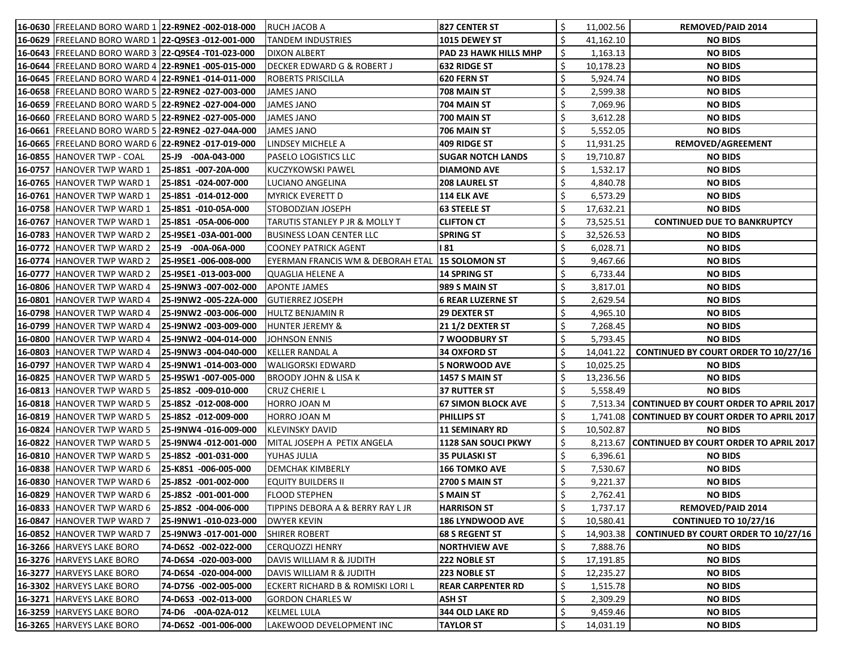| 16-0630 FREELAND BORO WARD 1 22-R9NE2 -002-018-000   |                       | RUCH JACOB A                                    | 827 CENTER ST                |                  | 11,002.56 | <b>REMOVED/PAID 2014</b>                        |
|------------------------------------------------------|-----------------------|-------------------------------------------------|------------------------------|------------------|-----------|-------------------------------------------------|
| 16-0629 FREELAND BORO WARD 1 22-Q9SE3 -012-001-000   |                       | <b>TANDEM INDUSTRIES</b>                        | <b>1015 DEWEY ST</b>         |                  | 41,162.10 | <b>NO BIDS</b>                                  |
| 16-0643  FREELAND BORO WARD 3  22-Q9SE4 -T01-023-000 |                       | <b>DIXON ALBERT</b>                             | <b>PAD 23 HAWK HILLS MHP</b> |                  | 1,163.13  | <b>NO BIDS</b>                                  |
| 16-0644 FREELAND BORO WARD 4 22-R9NE1 -005-015-000   |                       | <b>DECKER EDWARD G &amp; ROBERT J</b>           | <b>632 RIDGE ST</b>          | \$               | 10,178.23 | <b>NO BIDS</b>                                  |
| 16-0645 FREELAND BORO WARD 4 22-R9NE1 -014-011-000   |                       | <b>ROBERTS PRISCILLA</b>                        | <b>620 FERN ST</b>           |                  | 5,924.74  | <b>NO BIDS</b>                                  |
| 16-0658 FREELAND BORO WARD 5 22-R9NE2 -027-003-000   |                       | <b>JAMES JANO</b>                               | 708 MAIN ST                  |                  | 2,599.38  | <b>NO BIDS</b>                                  |
| 16-0659 FREELAND BORO WARD 5 22-R9NE2 -027-004-000   |                       | <b>JAMES JANO</b>                               | 704 MAIN ST                  | \$               | 7,069.96  | <b>NO BIDS</b>                                  |
| 16-0660 FREELAND BORO WARD 5 22-R9NE2 -027-005-000   |                       | <b>JAMES JANO</b>                               | 700 MAIN ST                  | \$               | 3,612.28  | <b>NO BIDS</b>                                  |
| 16-0661 FREELAND BORO WARD 5 22-R9NE2 -027-04A-000   |                       | <b>JAMES JANO</b>                               | 706 MAIN ST                  | \$               | 5,552.05  | <b>NO BIDS</b>                                  |
| 16-0665 FREELAND BORO WARD 6 22-R9NE2 -017-019-000   |                       | LINDSEY MICHELE A                               | 409 RIDGE ST                 | \$.              | 11,931.25 | REMOVED/AGREEMENT                               |
| 16-0855 HANOVER TWP - COAL                           | 25-J9 -00A-043-000    | <b>PASELO LOGISTICS LLC</b>                     | <b>SUGAR NOTCH LANDS</b>     | Ş.               | 19,710.87 | <b>NO BIDS</b>                                  |
| 16-0757 HANOVER TWP WARD 1                           | 25-18S1 -007-20A-000  | KUCZYKOWSKI PAWEL                               | <b>DIAMOND AVE</b>           | \$               | 1,532.17  | <b>NO BIDS</b>                                  |
| 16-0765 HANOVER TWP WARD 1                           | 25-18S1 -024-007-000  | LUCIANO ANGELINA                                | <b>208 LAUREL ST</b>         |                  | 4,840.78  | <b>NO BIDS</b>                                  |
| <b>16-0761 HANOVER TWP WARD 1</b>                    | 25-18S1 -014-012-000  | <b>MYRICK EVERETT D</b>                         | 114 ELK AVE                  |                  | 6,573.29  | <b>NO BIDS</b>                                  |
| 16-0758 HANOVER TWP WARD 1                           | 25-18S1 -010-05A-000  | STOBODZIAN JOSEPH                               | <b>63 STEELE ST</b>          |                  | 17,632.21 | <b>NO BIDS</b>                                  |
| 16-0767 HANOVER TWP WARD 1                           | 25-I8S1 -05A-006-000  | TARUTIS STANLEY P JR & MOLLY T                  | <b>CLIFTON CT</b>            | \$               | 73,525.51 | <b>CONTINUED DUE TO BANKRUPTCY</b>              |
| <b>16-0783 HANOVER TWP WARD 2</b>                    | 25-I9SE1 -03A-001-000 | <b>BUSINESS LOAN CENTER LLC</b>                 | <b>SPRING ST</b>             | \$               | 32,526.53 | <b>NO BIDS</b>                                  |
| 16-0772 HANOVER TWP WARD 2                           | 25-19 -00A-06A-000    | <b>COONEY PATRICK AGENT</b>                     | l 81                         |                  | 6,028.71  | <b>NO BIDS</b>                                  |
| 16-0774 HANOVER TWP WARD 2                           | 25-I9SE1 -006-008-000 | EYERMAN FRANCIS WM & DEBORAH ETAL 15 SOLOMON ST |                              |                  | 9,467.66  | <b>NO BIDS</b>                                  |
| 16-0777 HANOVER TWP WARD 2                           | 25-I9SE1 -013-003-000 | <b>QUAGLIA HELENE A</b>                         | 14 SPRING ST                 | \$               | 6,733.44  | <b>NO BIDS</b>                                  |
| <b>16-0806 HANOVER TWP WARD 4</b>                    | 25-I9NW3 -007-002-000 | <b>APONTE JAMES</b>                             | <b>989 S MAIN ST</b>         |                  | 3,817.01  | <b>NO BIDS</b>                                  |
| <b>16-0801 HANOVER TWP WARD 4</b>                    | 25-I9NW2 -005-22A-000 | GUTIERREZ JOSEPH                                | 6 REAR LUZERNE ST            | \$               | 2,629.54  | <b>NO BIDS</b>                                  |
| 16-0798 HANOVER TWP WARD 4                           | 25-I9NW2 -003-006-000 | <b>HULTZ BENJAMIN R</b>                         | <b>29 DEXTER ST</b>          |                  | 4,965.10  | <b>NO BIDS</b>                                  |
| <b>16-0799 HANOVER TWP WARD 4</b>                    | 25-I9NW2 -003-009-000 | <b>HUNTER JEREMY &amp;</b>                      | <b>21 1/2 DEXTER ST</b>      | \$               | 7,268.45  | <b>NO BIDS</b>                                  |
| <b>16-0800 HANOVER TWP WARD 4</b>                    | 25-I9NW2 -004-014-000 | <b>JOHNSON ENNIS</b>                            | 7 WOODBURY ST                | \$               | 5,793.45  | <b>NO BIDS</b>                                  |
| <b>16-0803 HANOVER TWP WARD 4</b>                    | 25-I9NW3 -004-040-000 | KELLER RANDAL A                                 | 34 OXFORD ST                 |                  | 14,041.22 | <b>CONTINUED BY COURT ORDER TO 10/27/16</b>     |
| 16-0797 HANOVER TWP WARD 4                           | 25-I9NW1 -014-003-000 | WALIGORSKI EDWARD                               | <b>5 NORWOOD AVE</b>         |                  | 10,025.25 | <b>NO BIDS</b>                                  |
| <b>16-0825 HANOVER TWP WARD 5</b>                    | 25-19SW1 -007-005-000 | <b>BROODY JOHN &amp; LISA K</b>                 | <b>1457 S MAIN ST</b>        |                  | 13,236.56 | <b>NO BIDS</b>                                  |
| <b>16-0813 HANOVER TWP WARD 5</b>                    | 25-18S2 -009-010-000  | <b>CRUZ CHERIE L</b>                            | 37 RUTTER ST                 |                  | 5,558.49  | <b>NO BIDS</b>                                  |
| 16-0818 HANOVER TWP WARD 5                           | 25-18S2 -012-008-000  | HORRO JOAN M                                    | <b>67 SIMON BLOCK AVE</b>    |                  |           | 7,513.34 CONTINUED BY COURT ORDER TO APRIL 2017 |
| <b>16-0819  HANOVER TWP WARD 5</b>                   | 25-18S2 -012-009-000  | HORRO JOAN M                                    | <b>PHILLIPS ST</b>           | $\triangleright$ |           | 1,741.08 CONTINUED BY COURT ORDER TO APRIL 2017 |
| 16-0824 HANOVER TWP WARD 5                           | 25-I9NW4 -016-009-000 | <b>KLEVINSKY DAVID</b>                          | <b>11 SEMINARY RD</b>        | \$               | 10,502.87 | <b>NO BIDS</b>                                  |
| 16-0822 HANOVER TWP WARD 5                           | 25-I9NW4 -012-001-000 | MITAL JOSEPH A PETIX ANGELA                     | 1128 SAN SOUCI PKWY          | \$               |           | 8,213.67 CONTINUED BY COURT ORDER TO APRIL 2017 |
| 16-0810 HANOVER TWP WARD 5                           | 25-18S2 -001-031-000  | YUHAS JULIA                                     | <b>35 PULASKI ST</b>         | \$               | 6,396.61  | <b>NO BIDS</b>                                  |
| <b>16-0838 HANOVER TWP WARD 6</b>                    | 25-K8S1 -006-005-000  | <b>DEMCHAK KIMBERLY</b>                         | <b>166 TOMKO AVE</b>         | \$               | 7,530.67  | <b>NO BIDS</b>                                  |
| <b>16-0830 HANOVER TWP WARD 6</b>                    | 25-J8S2 -001-002-000  | <b>EQUITY BUILDERS II</b>                       | <b>2700 S MAIN ST</b>        | \$               | 9,221.37  | <b>NO BIDS</b>                                  |
| 16-0829 HANOVER TWP WARD 6                           | 25-J8S2 -001-001-000  | <b>FLOOD STEPHEN</b>                            | <b>S MAIN ST</b>             | \$               | 2,762.41  | <b>NO BIDS</b>                                  |
| 16-0833 HANOVER TWP WARD 6                           | 25-J8S2 -004-006-000  | TIPPINS DEBORA A & BERRY RAY L JR               | <b>HARRISON ST</b>           | \$               | 1,737.17  | <b>REMOVED/PAID 2014</b>                        |
| 16-0847 HANOVER TWP WARD 7                           | 25-I9NW1 -010-023-000 | <b>DWYER KEVIN</b>                              | <b>186 LYNDWOOD AVE</b>      | \$               | 10,580.41 | <b>CONTINUED TO 10/27/16</b>                    |
| 16-0852 HANOVER TWP WARD 7                           | 25-I9NW3 -017-001-000 | SHIRER ROBERT                                   | <b>68 S REGENT ST</b>        | \$               | 14,903.38 | <b>CONTINUED BY COURT ORDER TO 10/27/16</b>     |
| 16-3266 HARVEYS LAKE BORO                            | 74-D6S2 -002-022-000  | <b>CERQUOZZI HENRY</b>                          | <b>NORTHVIEW AVE</b>         | \$               | 7,888.76  | <b>NO BIDS</b>                                  |
| 16-3276 HARVEYS LAKE BORO                            | 74-D6S4 -020-003-000  | DAVIS WILLIAM R & JUDITH                        | <b>222 NOBLE ST</b>          |                  | 17,191.85 | <b>NO BIDS</b>                                  |
| 16-3277 HARVEYS LAKE BORO                            | 74-D6S4 -020-004-000  | DAVIS WILLIAM R & JUDITH                        | $ 223 \text{ NOBLE ST} $     | \$               | 12,235.27 | <b>NO BIDS</b>                                  |
| 16-3302 HARVEYS LAKE BORO                            | 74-D7S6 -002-005-000  | ECKERT RICHARD B & ROMISKI LORI L               | <b>REAR CARPENTER RD</b>     | \$               | 1,515.78  | <b>NO BIDS</b>                                  |
| 16-3271 HARVEYS LAKE BORO                            | 74-D6S3 -002-013-000  | <b>GORDON CHARLES W</b>                         | <b>ASH ST</b>                | \$               | 2,309.29  | <b>NO BIDS</b>                                  |
| 16-3259 HARVEYS LAKE BORO                            | 74-D6 -00A-02A-012    | <b>KELMEL LULA</b>                              | <b>344 OLD LAKE RD</b>       | \$               | 9,459.46  | <b>NO BIDS</b>                                  |
| 16-3265 HARVEYS LAKE BORO                            | 74-D6S2 -001-006-000  | LAKEWOOD DEVELOPMENT INC                        | <b>TAYLOR ST</b>             | \$               | 14,031.19 | <b>NO BIDS</b>                                  |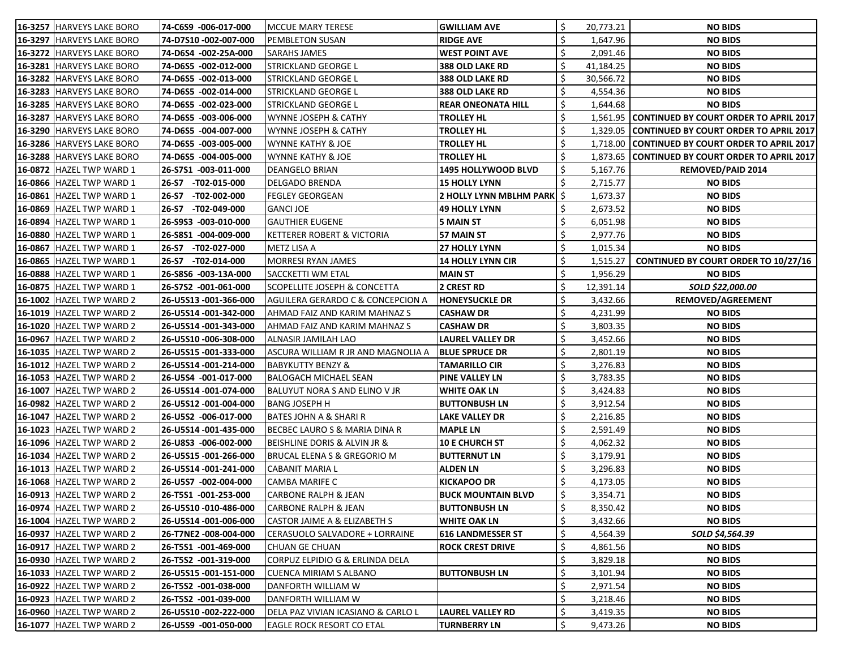| 16-3257 HARVEYS LAKE BORO           | 74-C6S9 -006-017-000         | MCCUE MARY TERESE                           | <b>GWILLIAM AVE</b>               |    | 20,773.21 | <b>NO BIDS</b>                                  |
|-------------------------------------|------------------------------|---------------------------------------------|-----------------------------------|----|-----------|-------------------------------------------------|
| 16-3297 HARVEYS LAKE BORO           | 74-D7S10 -002-007-000        | PEMBLETON SUSAN                             | <b>RIDGE AVE</b>                  |    | 1,647.96  | <b>NO BIDS</b>                                  |
| 16-3272 HARVEYS LAKE BORO           | 74-D6S4 -002-25A-000         | <b>SARAHS JAMES</b>                         | <b>WEST POINT AVE</b>             |    | 2,091.46  | <b>NO BIDS</b>                                  |
| 16-3281 HARVEYS LAKE BORO           | 74-D6S5 -002-012-000         | <b>STRICKLAND GEORGE L</b>                  | <b>388 OLD LAKE RD</b>            | \$ | 41,184.25 | <b>NO BIDS</b>                                  |
| 16-3282 HARVEYS LAKE BORO           | 74-D6S5 -002-013-000         | STRICKLAND GEORGE L                         | <b>388 OLD LAKE RD</b>            |    | 30,566.72 | <b>NO BIDS</b>                                  |
| 16-3283 HARVEYS LAKE BORO           | 74-D6S5 -002-014-000         | <b>STRICKLAND GEORGE L</b>                  | <b>388 OLD LAKE RD</b>            |    | 4,554.36  | <b>NO BIDS</b>                                  |
| 16-3285<br><b>HARVEYS LAKE BORO</b> | 74-D6S5 -002-023-000         | STRICKLAND GEORGE L                         | <b>REAR ONEONATA HILL</b>         | \$ | 1,644.68  | <b>NO BIDS</b>                                  |
| 16-3287 HARVEYS LAKE BORO           | 74-D6S5 -003-006-000         | WYNNE JOSEPH & CATHY                        | <b>TROLLEY HL</b>                 | \$ |           | 1,561.95 CONTINUED BY COURT ORDER TO APRIL 2017 |
| 16-3290 HARVEYS LAKE BORO           | 74-D6S5 -004-007-000         | WYNNE JOSEPH & CATHY                        | <b>TROLLEY HL</b>                 |    |           | 1,329.05 CONTINUED BY COURT ORDER TO APRIL 2017 |
| 16-3286 HARVEYS LAKE BORO           | 74-D6S5 -003-005-000         | WYNNE KATHY & JOE                           | <b>TROLLEY HL</b>                 |    |           | 1,718.00 CONTINUED BY COURT ORDER TO APRIL 2017 |
| 16-3288 HARVEYS LAKE BORO           | 74-D6S5 -004-005-000         | <b>WYNNE KATHY &amp; JOE</b>                | <b>TROLLEY HL</b>                 | \$ |           | 1,873.65 CONTINUED BY COURT ORDER TO APRIL 2017 |
| 16-0872 HAZEL TWP WARD 1            | 26-S7S1 -003-011-000         | <b>DEANGELO BRIAN</b>                       | 1495 HOLLYWOOD BLVD               | \$ | 5,167.76  | <b>REMOVED/PAID 2014</b>                        |
| 16-0866 HAZEL TWP WARD 1            | 26-S7 -T02-015-000           | <b>DELGADO BRENDA</b>                       | <b>15 HOLLY LYNN</b>              |    | 2,715.77  | <b>NO BIDS</b>                                  |
| 16-0861 HAZEL TWP WARD 1            | $- T02 - 002 - 000$<br>26-S7 | FEGLEY GEORGEAN                             | <b>2 HOLLY LYNN MBLHM PARK \$</b> |    | 1,673.37  | <b>NO BIDS</b>                                  |
| 16-0869 HAZEL TWP WARD 1            | 26-S7 -T02-049-000           | GANCI JOE                                   | 49 HOLLY LYNN                     |    | 2,673.52  | <b>NO BIDS</b>                                  |
| 16-0894<br><b>HAZEL TWP WARD 1</b>  | 26-S9S3 -003-010-000         | <b>GAUTHIER EUGENE</b>                      | 5 MAIN ST                         | \$ | 6,051.98  | <b>NO BIDS</b>                                  |
| 16-0880 HAZEL TWP WARD 1            | 26-S8S1 -004-009-000         | KETTERER ROBERT & VICTORIA                  | 57 MAIN ST                        |    | 2,977.76  | <b>NO BIDS</b>                                  |
| 16-0867 HAZEL TWP WARD 1            | 26-S7 -T02-027-000           | METZ LISA A                                 | <b>27 HOLLY LYNN</b>              | \$ | 1,015.34  | <b>NO BIDS</b>                                  |
| 16-0865 HAZEL TWP WARD 1            | 26-S7 -T02-014-000           | <b>MORRESI RYAN JAMES</b>                   | <b>14 HOLLY LYNN CIR</b>          | \$ | 1,515.27  | <b>CONTINUED BY COURT ORDER TO 10/27/16</b>     |
| 16-0888 HAZEL TWP WARD 1            | 26-S8S6 -003-13A-000         | <b>SACCKETTI WM ETAL</b>                    | <b>MAIN ST</b>                    | \$ | 1,956.29  | <b>NO BIDS</b>                                  |
| 16-0875 HAZEL TWP WARD 1            | 26-S7S2 -001-061-000         | <b>SCOPELLITE JOSEPH &amp; CONCETTA</b>     | 2 CREST RD                        | \$ | 12,391.14 | SOLD \$22,000.00                                |
| 16-1002 HAZEL TWP WARD 2            | 26-U5S13 -001-366-000        | AGUILERA GERARDO C & CONCEPCION A           | <b>HONEYSUCKLE DR</b>             |    | 3,432.66  | REMOVED/AGREEMENT                               |
| 16-1019 HAZEL TWP WARD 2            | 26-U5S14 -001-342-000        | AHMAD FAIZ AND KARIM MAHNAZ S               | <b>CASHAW DR</b>                  |    | 4,231.99  | <b>NO BIDS</b>                                  |
| 16-1020 HAZEL TWP WARD 2            | 26-U5S14 -001-343-000        | AHMAD FAIZ AND KARIM MAHNAZ S               | <b>CASHAW DR</b>                  | \$ | 3,803.35  | <b>NO BIDS</b>                                  |
| 16-0967 HAZEL TWP WARD 2            | 26-U5S10 -006-308-000        | ALNASIR JAMILAH LAO                         | <b>LAUREL VALLEY DR</b>           | \$ | 3,452.66  | <b>NO BIDS</b>                                  |
| 16-1035 HAZEL TWP WARD 2            | 26-U5S15 -001-333-000        | ASCURA WILLIAM R JR AND MAGNOLIA A          | <b>BLUE SPRUCE DR</b>             | \$ | 2,801.19  | <b>NO BIDS</b>                                  |
| 16-1012 HAZEL TWP WARD 2            | 26-U5S14 -001-214-000        | <b>BABYKUTTY BENZY &amp;</b>                | <b>TAMARILLO CIR</b>              | \$ | 3,276.83  | <b>NO BIDS</b>                                  |
| 16-1053 HAZEL TWP WARD 2            | 26-U5S4 -001-017-000         | BALOGACH MICHAEL SEAN                       | <b>PINE VALLEY LN</b>             | \$ | 3,783.35  | <b>NO BIDS</b>                                  |
| 16-1007 HAZEL TWP WARD 2            | 26-U5S14 -001-074-000        | BALUYUT NORA S AND ELINO V JR               | <b>WHITE OAK LN</b>               | \$ | 3,424.83  | <b>NO BIDS</b>                                  |
| 16-0982 HAZEL TWP WARD 2            | 26-U5S12 -001-004-000        | BANG JOSEPH H                               | <b>BUTTONBUSH LN</b>              |    | 3,912.54  | <b>NO BIDS</b>                                  |
| 16-1047 HAZEL TWP WARD 2            | 26-U5S2 -006-017-000         | BATES JOHN A & SHARI R                      | <b>LAKE VALLEY DR</b>             | -S | 2,216.85  | <b>NO BIDS</b>                                  |
| 16-1023 HAZEL TWP WARD 2            | 26-U5S14 -001-435-000        | BECBEC LAURO S & MARIA DINA R               | <b>MAPLE LN</b>                   | \$ | 2,591.49  | <b>NO BIDS</b>                                  |
| 16-1096 HAZEL TWP WARD 2            | 26-U8S3 -006-002-000         | <b>BEISHLINE DORIS &amp; ALVIN JR &amp;</b> | <b>10 E CHURCH ST</b>             | \$ | 4,062.32  | <b>NO BIDS</b>                                  |
| <b>16-1034 HAZEL TWP WARD 2</b>     | 26-U5S15 -001-266-000        | BRUCAL ELENA S & GREGORIO M                 | <b>BUTTERNUT LN</b>               | \$ | 3,179.91  | <b>NO BIDS</b>                                  |
| 16-1013 HAZEL TWP WARD 2            | 26-U5S14 -001-241-000        | CABANIT MARIA L                             | <b>ALDEN LN</b>                   | \$ | 3,296.83  | <b>NO BIDS</b>                                  |
| 16-1068 HAZEL TWP WARD 2            | 26-U5S7 -002-004-000         | CAMBA MARIFE C                              | <b>KICKAPOO DR</b>                | \$ | 4,173.05  | <b>NO BIDS</b>                                  |
| 16-0913 HAZEL TWP WARD 2            | 26-T5S1 -001-253-000         | CARBONE RALPH & JEAN                        | <b>BUCK MOUNTAIN BLVD</b>         | \$ | 3,354.71  | <b>NO BIDS</b>                                  |
| 16-0974 HAZEL TWP WARD 2            | 26-U5S10 -010-486-000        | <b>CARBONE RALPH &amp; JEAN</b>             | <b>BUTTONBUSH LN</b>              |    | 8,350.42  | <b>NO BIDS</b>                                  |
| 16-1004 HAZEL TWP WARD 2            | 26-U5S14 -001-006-000        | CASTOR JAIME A & ELIZABETH S                | <b>WHITE OAK LN</b>               | \$ | 3,432.66  | <b>NO BIDS</b>                                  |
| 16-0937 HAZEL TWP WARD 2            | 26-T7NE2 -008-004-000        | CERASUOLO SALVADORE + LORRAINE              | 616 LANDMESSER ST                 | \$ | 4,564.39  | SOLD \$4,564.39                                 |
| 16-0917 HAZEL TWP WARD 2            | 26-T5S1 -001-469-000         | CHUAN GE CHUAN                              | <b>ROCK CREST DRIVE</b>           | \$ | 4,861.56  | <b>NO BIDS</b>                                  |
| 16-0930 HAZEL TWP WARD 2            | 26-T5S2 -001-319-000         | CORPUZ ELPIDIO G & ERLINDA DELA             |                                   | \$ | 3,829.18  | <b>NO BIDS</b>                                  |
| <b>16-1033 HAZEL TWP WARD 2</b>     | 26-U5S15 -001-151-000        | CUENCA MIRIAM S ALBANO                      | <b>BUTTONBUSH LN</b>              | \$ | 3,101.94  | <b>NO BIDS</b>                                  |
| <b>16-0922 HAZEL TWP WARD 2</b>     | 26-T5S2 -001-038-000         | DANFORTH WILLIAM W                          |                                   | \$ | 2,971.54  | <b>NO BIDS</b>                                  |
| <b>16-0923 HAZEL TWP WARD 2</b>     | 26-T5S2 -001-039-000         | DANFORTH WILLIAM W                          |                                   | \$ | 3,218.46  | <b>NO BIDS</b>                                  |
| 16-0960 HAZEL TWP WARD 2            | 26-U5S10 -002-222-000        | DELA PAZ VIVIAN ICASIANO & CARLO L          | <b>LAUREL VALLEY RD</b>           | \$ | 3,419.35  | <b>NO BIDS</b>                                  |
| 16-1077 HAZEL TWP WARD 2            | 26-U5S9 -001-050-000         | <b>EAGLE ROCK RESORT CO ETAL</b>            | <b>TURNBERRY LN</b>               | \$ | 9,473.26  | <b>NO BIDS</b>                                  |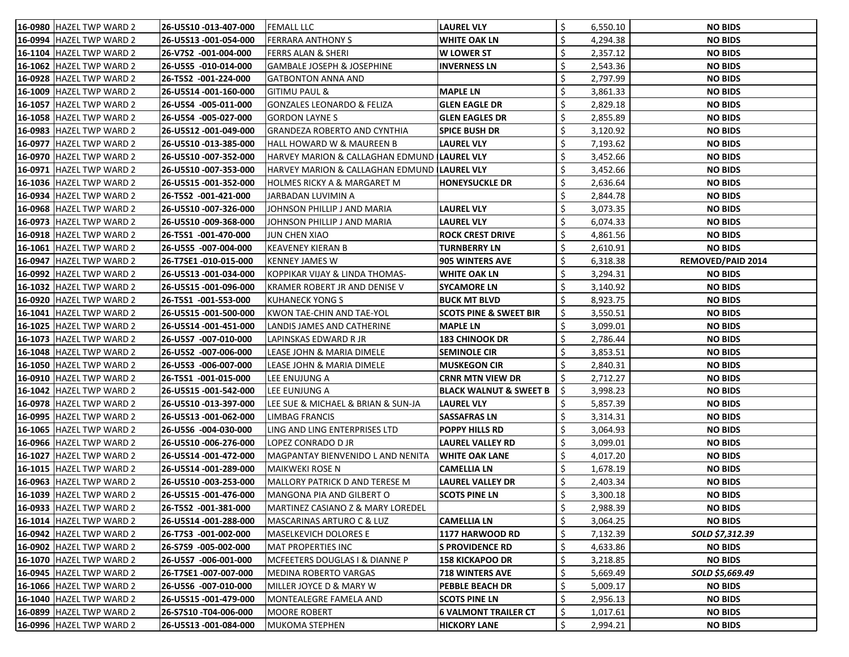| <b>16-0980 HAZEL TWP WARD 2</b>   | 26-U5S10 -013-407-000 | <b>FEMALL LLC</b>                             | <b>LAUREL VLY</b>                 | \$ | 6,550.10 | <b>NO BIDS</b>           |
|-----------------------------------|-----------------------|-----------------------------------------------|-----------------------------------|----|----------|--------------------------|
| 16-0994 HAZEL TWP WARD 2          | 26-U5S13 -001-054-000 | <b>FERRARA ANTHONY S</b>                      | <b>WHITE OAK LN</b>               | \$ | 4,294.38 | <b>NO BIDS</b>           |
| 16-1104 HAZEL TWP WARD 2          | 26-V7S2 -001-004-000  | <b>FERRS ALAN &amp; SHERI</b>                 | <b>W LOWER ST</b>                 | \$ | 2,357.12 | <b>NO BIDS</b>           |
| 16-1062 HAZEL TWP WARD 2          | 26-U5S5 -010-014-000  | <b>GAMBALE JOSEPH &amp; JOSEPHINE</b>         | <b>INVERNESS LN</b>               | \$ | 2,543.36 | <b>NO BIDS</b>           |
| 16-0928 HAZEL TWP WARD 2          | 26-T5S2 -001-224-000  | <b>GATBONTON ANNA AND</b>                     |                                   |    | 2,797.99 | <b>NO BIDS</b>           |
| 16-1009 HAZEL TWP WARD 2          | 26-U5S14 -001-160-000 | <b>GITIMU PAUL &amp;</b>                      | <b>MAPLE LN</b>                   |    | 3,861.33 | <b>NO BIDS</b>           |
| <b>16-1057   HAZEL TWP WARD 2</b> | 26-U5S4 -005-011-000  | <b>GONZALES LEONARDO &amp; FELIZA</b>         | <b>GLEN EAGLE DR</b>              |    | 2,829.18 | <b>NO BIDS</b>           |
| 16-1058 HAZEL TWP WARD 2          | 26-U5S4 -005-027-000  | <b>GORDON LAYNES</b>                          | <b>GLEN EAGLES DR</b>             | \$ | 2,855.89 | <b>NO BIDS</b>           |
| 16-0983 HAZEL TWP WARD 2          | 26-U5S12 -001-049-000 | <b>GRANDEZA ROBERTO AND CYNTHIA</b>           | <b>SPICE BUSH DR</b>              | \$ | 3,120.92 | <b>NO BIDS</b>           |
| 16-0977 HAZEL TWP WARD 2          | 26-U5S10 -013-385-000 | HALL HOWARD W & MAUREEN B                     | <b>LAUREL VLY</b>                 | \$ | 7,193.62 | <b>NO BIDS</b>           |
| 16-0970 HAZEL TWP WARD 2          | 26-U5S10 -007-352-000 | HARVEY MARION & CALLAGHAN EDMUND   LAUREL VLY |                                   | \$ | 3,452.66 | <b>NO BIDS</b>           |
| 16-0971 HAZEL TWP WARD 2          | 26-U5S10 -007-353-000 | HARVEY MARION & CALLAGHAN EDMUND (LAUREL VLY  |                                   | \$ | 3,452.66 | <b>NO BIDS</b>           |
| 16-1036 HAZEL TWP WARD 2          | 26-U5S15 -001-352-000 | HOLMES RICKY A & MARGARET M                   | <b>HONEYSUCKLE DR</b>             | \$ | 2,636.64 | <b>NO BIDS</b>           |
| 16-0934 HAZEL TWP WARD 2          | 26-T5S2 -001-421-000  | JARBADAN LUVIMIN A                            |                                   |    | 2,844.78 | <b>NO BIDS</b>           |
| 16-0968 HAZEL TWP WARD 2          | 26-U5S10 -007-326-000 | JOHNSON PHILLIP J AND MARIA                   | <b>LAUREL VLY</b>                 | \$ | 3,073.35 | <b>NO BIDS</b>           |
| 16-0973 HAZEL TWP WARD 2          | 26-U5S10 -009-368-000 | JOHNSON PHILLIP J AND MARIA                   | <b>LAUREL VLY</b>                 | \$ | 6,074.33 | <b>NO BIDS</b>           |
| 16-0918 HAZEL TWP WARD 2          | 26-T5S1 -001-470-000  | <b>JUN CHEN XIAO</b>                          | <b>ROCK CREST DRIVE</b>           | \$ | 4,861.56 | <b>NO BIDS</b>           |
| 16-1061 HAZEL TWP WARD 2          | 26-U5S5 -007-004-000  | <b>KEAVENEY KIERAN B</b>                      | <b>TURNBERRY LN</b>               | \$ | 2,610.91 | <b>NO BIDS</b>           |
| 16-0947 HAZEL TWP WARD 2          | 26-T7SE1 -010-015-000 | <b>KENNEY JAMES W</b>                         | <b>905 WINTERS AVE</b>            |    | 6,318.38 | <b>REMOVED/PAID 2014</b> |
| 16-0992 HAZEL TWP WARD 2          | 26-U5S13 -001-034-000 | KOPPIKAR VIJAY & LINDA THOMAS-                | <b>WHITE OAK LN</b>               | \$ | 3,294.31 | <b>NO BIDS</b>           |
| 16-1032 HAZEL TWP WARD 2          | 26-U5S15 -001-096-000 | KRAMER ROBERT JR AND DENISE V                 | <b>SYCAMORE LN</b>                |    | 3,140.92 | <b>NO BIDS</b>           |
| <b>16-0920 HAZEL TWP WARD 2</b>   | 26-T5S1 -001-553-000  | <b>KUHANECK YONG S</b>                        | <b>BUCK MT BLVD</b>               |    | 8,923.75 | <b>NO BIDS</b>           |
| 16-1041 HAZEL TWP WARD 2          | 26-U5S15 -001-500-000 | KWON TAE-CHIN AND TAE-YOL                     | <b>SCOTS PINE &amp; SWEET BIR</b> | Ś  | 3,550.51 | <b>NO BIDS</b>           |
| 16-1025 HAZEL TWP WARD 2          | 26-U5S14 -001-451-000 | LANDIS JAMES AND CATHERINE                    | <b>MAPLE LN</b>                   | \$ | 3,099.01 | <b>NO BIDS</b>           |
| 16-1073 HAZEL TWP WARD 2          | 26-U5S7 -007-010-000  | LAPINSKAS EDWARD R JR                         | <b>183 CHINOOK DR</b>             | \$ | 2,786.44 | <b>NO BIDS</b>           |
| 16-1048 HAZEL TWP WARD 2          | 26-U5S2 -007-006-000  | LEASE JOHN & MARIA DIMELE                     | <b>SEMINOLE CIR</b>               |    | 3,853.51 | <b>NO BIDS</b>           |
| 16-1050 HAZEL TWP WARD 2          | 26-U5S3 -006-007-000  | LEASE JOHN & MARIA DIMELE                     | <b>MUSKEGON CIR</b>               |    | 2,840.31 | <b>NO BIDS</b>           |
| 16-0910 HAZEL TWP WARD 2          | 26-T5S1 -001-015-000  | LEE ENUJUNG A                                 | <b>CRNR MTN VIEW DR</b>           | \$ | 2,712.27 | <b>NO BIDS</b>           |
| 16-1042 HAZEL TWP WARD 2          | 26-U5S15 -001-542-000 | LEE EUNJUNG A                                 | <b>BLACK WALNUT &amp; SWEET B</b> | \$ | 3,998.23 | <b>NO BIDS</b>           |
| 16-0978 HAZEL TWP WARD 2          | 26-U5S10 -013-397-000 | LEE SUE & MICHAEL & BRIAN & SUN-JA            | <b>LAUREL VLY</b>                 |    | 5,857.39 | <b>NO BIDS</b>           |
| 16-0995 HAZEL TWP WARD 2          | 26-U5S13 -001-062-000 | <b>LIMBAG FRANCIS</b>                         | <b>SASSAFRAS LN</b>               | S  | 3,314.31 | <b>NO BIDS</b>           |
| 16-1065 HAZEL TWP WARD 2          | 26-U5S6 -004-030-000  | LING AND LING ENTERPRISES LTD                 | <b>POPPY HILLS RD</b>             | \$ | 3,064.93 | <b>NO BIDS</b>           |
| <b>16-0966 HAZEL TWP WARD 2</b>   | 26-U5S10 -006-276-000 | LOPEZ CONRADO D JR                            | LAUREL VALLEY RD                  | \$ | 3,099.01 | <b>NO BIDS</b>           |
| <b>16-1027 HAZEL TWP WARD 2</b>   | 26-U5S14 -001-472-000 | MAGPANTAY BIENVENIDO L AND NENITA             | <b>WHITE OAK LANE</b>             | \$ | 4,017.20 | <b>NO BIDS</b>           |
| <b>16-1015 HAZEL TWP WARD 2</b>   | 26-U5S14 -001-289-000 | MAIKWEKI ROSE N                               | <b>CAMELLIA LN</b>                |    | 1,678.19 | <b>NO BIDS</b>           |
| 16-0963 HAZEL TWP WARD 2          | 26-U5S10 -003-253-000 | <b>MALLORY PATRICK D AND TERESE M</b>         | LAUREL VALLEY DR                  | \$ | 2,403.34 | <b>NO BIDS</b>           |
| 16-1039 HAZEL TWP WARD 2          | 26-U5S15 -001-476-000 | MANGONA PIA AND GILBERT O                     | <b>SCOTS PINE LN</b>              | \$ | 3,300.18 | <b>NO BIDS</b>           |
| 16-0933 HAZEL TWP WARD 2          | 26-T5S2 -001-381-000  | MARTINEZ CASIANO Z & MARY LOREDEL             |                                   | \$ | 2,988.39 | <b>NO BIDS</b>           |
| 16-1014 HAZEL TWP WARD 2          | 26-U5S14 -001-288-000 | MASCARINAS ARTURO C & LUZ                     | <b>CAMELLIA LN</b>                | \$ | 3,064.25 | <b>NO BIDS</b>           |
| 16-0942 HAZEL TWP WARD 2          | 26-T7S3 -001-002-000  | <b>MASELKEVICH DOLORES E</b>                  | 1177 HARWOOD RD                   | \$ | 7,132.39 | SOLD \$7,312.39          |
| 16-0902 HAZEL TWP WARD 2          | 26-S7S9 -005-002-000  | MAT PROPERTIES INC                            | <b>S PROVIDENCE RD</b>            | \$ | 4,633.86 | <b>NO BIDS</b>           |
| 16-1070 HAZEL TWP WARD 2          | 26-U5S7 -006-001-000  | MCFEETERS DOUGLAS I & DIANNE P                | <b>158 KICKAPOO DR</b>            |    | 3,218.85 | <b>NO BIDS</b>           |
| 16-0945 HAZEL TWP WARD 2          | 26-T7SE1 -007-007-000 | <b>MEDINA ROBERTO VARGAS</b>                  | <b>718 WINTERS AVE</b>            | \$ | 5,669.49 | SOLD \$5,669.49          |
| 16-1066 HAZEL TWP WARD 2          | 26-U5S6 -007-010-000  | MILLER JOYCE D & MARY W                       | PEBBLE BEACH DR                   | \$ | 5,009.17 | <b>NO BIDS</b>           |
| <b>16-1040 HAZEL TWP WARD 2</b>   | 26-U5S15 -001-479-000 | MONTEALEGRE FAMELA AND                        | <b>SCOTS PINE LN</b>              | \$ | 2,956.13 | <b>NO BIDS</b>           |
| 16-0899   HAZEL TWP WARD 2        | 26-S7S10 -T04-006-000 | <b>MOORE ROBERT</b>                           | <b>6 VALMONT TRAILER CT</b>       | \$ | 1,017.61 | <b>NO BIDS</b>           |
| 16-0996 HAZEL TWP WARD 2          | 26-U5S13 -001-084-000 | <b>MUKOMA STEPHEN</b>                         | <b>HICKORY LANE</b>               | S  | 2,994.21 | <b>NO BIDS</b>           |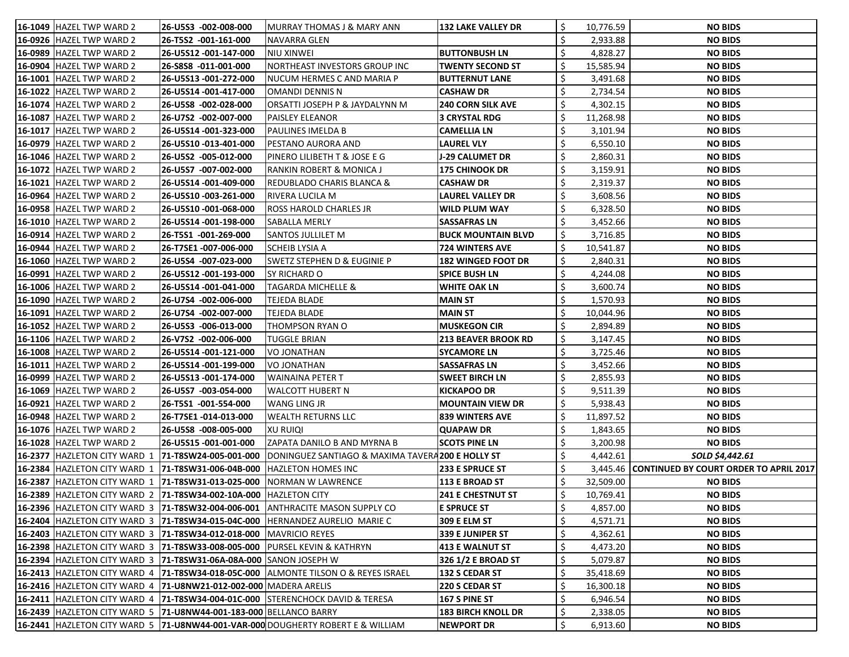| <b>16-1049 HAZEL TWP WARD 2</b>                                                                      | 26-U5S3 -002-008-000  | MURRAY THOMAS J & MARY ANN                                                                                               | <b>132 LAKE VALLEY DR</b>  | Ś  | 10,776.59 | <b>NO BIDS</b>                                  |
|------------------------------------------------------------------------------------------------------|-----------------------|--------------------------------------------------------------------------------------------------------------------------|----------------------------|----|-----------|-------------------------------------------------|
| 16-0926 HAZEL TWP WARD 2                                                                             | 26-T5S2 -001-161-000  | NAVARRA GLEN                                                                                                             |                            |    | 2,933.88  | <b>NO BIDS</b>                                  |
| 16-0989 HAZEL TWP WARD 2                                                                             | 26-U5S12 -001-147-000 | <b>NIU XINWEI</b>                                                                                                        | <b>BUTTONBUSH LN</b>       |    | 4,828.27  | <b>NO BIDS</b>                                  |
| 16-0904 HAZEL TWP WARD 2                                                                             | 26-S8S8 -011-001-000  | NORTHEAST INVESTORS GROUP INC                                                                                            | <b>TWENTY SECOND ST</b>    | \$ | 15,585.94 | <b>NO BIDS</b>                                  |
| 16-1001 HAZEL TWP WARD 2                                                                             | 26-U5S13 -001-272-000 | NUCUM HERMES C AND MARIA P                                                                                               | <b>BUTTERNUT LANE</b>      |    | 3,491.68  | <b>NO BIDS</b>                                  |
| 16-1022 HAZEL TWP WARD 2                                                                             | 26-U5S14 -001-417-000 | <b>OMANDI DENNIS N</b>                                                                                                   | <b>CASHAW DR</b>           |    | 2,734.54  | <b>NO BIDS</b>                                  |
| 16-1074 HAZEL TWP WARD 2                                                                             | 26-U5S8 -002-028-000  | ORSATTI JOSEPH P & JAYDALYNN M                                                                                           | <b>240 CORN SILK AVE</b>   | Ś  | 4,302.15  | <b>NO BIDS</b>                                  |
| 16-1087 HAZEL TWP WARD 2                                                                             | 26-U7S2 -002-007-000  | PAISLEY ELEANOR                                                                                                          | <b>3 CRYSTAL RDG</b>       | \$ | 11,268.98 | <b>NO BIDS</b>                                  |
| 16-1017 HAZEL TWP WARD 2                                                                             | 26-U5S14 -001-323-000 | PAULINES IMELDA B                                                                                                        | <b>CAMELLIA LN</b>         |    | 3,101.94  | <b>NO BIDS</b>                                  |
| 16-0979 HAZEL TWP WARD 2                                                                             | 26-U5S10-013-401-000  | PESTANO AURORA AND                                                                                                       | <b>LAUREL VLY</b>          |    | 6,550.10  | <b>NO BIDS</b>                                  |
| 16-1046 HAZEL TWP WARD 2                                                                             | 26-U5S2 -005-012-000  | PINERO LILIBETH T & JOSE E G                                                                                             | <b>J-29 CALUMET DR</b>     |    | 2,860.31  | <b>NO BIDS</b>                                  |
| 16-1072 HAZEL TWP WARD 2                                                                             | 26-U5S7 -007-002-000  | RANKIN ROBERT & MONICA J                                                                                                 | <b>175 CHINOOK DR</b>      |    | 3,159.91  | <b>NO BIDS</b>                                  |
| 16-1021 HAZEL TWP WARD 2                                                                             | 26-U5S14 -001-409-000 | REDUBLADO CHARIS BLANCA &                                                                                                | <b>CASHAW DR</b>           |    | 2,319.37  | <b>NO BIDS</b>                                  |
| 16-0964 HAZEL TWP WARD 2                                                                             | 26-U5S10-003-261-000  | RIVERA LUCILA M                                                                                                          | <b>LAUREL VALLEY DR</b>    |    | 3,608.56  | <b>NO BIDS</b>                                  |
| <b>16-0958 HAZEL TWP WARD 2</b>                                                                      | 26-U5S10 -001-068-000 | ROSS HAROLD CHARLES JR                                                                                                   | <b>WILD PLUM WAY</b>       | \$ | 6,328.50  | <b>NO BIDS</b>                                  |
| 16-1010 HAZEL TWP WARD 2                                                                             | 26-U5S14 -001-198-000 | SABALLA MERLY                                                                                                            | <b>SASSAFRAS LN</b>        |    | 3,452.66  | <b>NO BIDS</b>                                  |
| <b>16-0914 HAZEL TWP WARD 2</b>                                                                      | 26-T5S1 -001-269-000  | SANTOS JULLILET M                                                                                                        | <b>BUCK MOUNTAIN BLVD</b>  |    | 3,716.85  | <b>NO BIDS</b>                                  |
| 16-0944 HAZEL TWP WARD 2                                                                             | 26-T7SE1 -007-006-000 | <b>SCHEIB LYSIA A</b>                                                                                                    | <b>724 WINTERS AVE</b>     |    | 10,541.87 | <b>NO BIDS</b>                                  |
| 16-1060 HAZEL TWP WARD 2                                                                             | 26-U5S4 -007-023-000  | <b>SWETZ STEPHEN D &amp; EUGINIE P</b>                                                                                   | <b>182 WINGED FOOT DR</b>  |    | 2,840.31  | <b>NO BIDS</b>                                  |
| 16-0991 HAZEL TWP WARD 2                                                                             | 26-U5S12 -001-193-000 | SY RICHARD O                                                                                                             | <b>SPICE BUSH LN</b>       |    | 4,244.08  | <b>NO BIDS</b>                                  |
| 16-1006 HAZEL TWP WARD 2                                                                             | 26-U5S14 -001-041-000 | <b>TAGARDA MICHELLE &amp;</b>                                                                                            | <b>WHITE OAK LN</b>        | \$ | 3,600.74  | <b>NO BIDS</b>                                  |
| 16-1090 HAZEL TWP WARD 2                                                                             | 26-U7S4 -002-006-000  | <b>TEJEDA BLADE</b>                                                                                                      | <b>MAIN ST</b>             |    | 1,570.93  | <b>NO BIDS</b>                                  |
| 16-1091 HAZEL TWP WARD 2                                                                             | 26-U7S4 -002-007-000  | <b>TEJEDA BLADE</b>                                                                                                      | <b>MAIN ST</b>             |    | 10,044.96 | <b>NO BIDS</b>                                  |
| 16-1052 HAZEL TWP WARD 2                                                                             | 26-U5S3 -006-013-000  | THOMPSON RYAN O                                                                                                          | <b>MUSKEGON CIR</b>        |    | 2,894.89  | <b>NO BIDS</b>                                  |
| 16-1106 HAZEL TWP WARD 2                                                                             | 26-V7S2 -002-006-000  | <b>TUGGLE BRIAN</b>                                                                                                      | <b>213 BEAVER BROOK RD</b> |    | 3,147.45  | <b>NO BIDS</b>                                  |
| 16-1008 HAZEL TWP WARD 2                                                                             | 26-U5S14 -001-121-000 | VO JONATHAN                                                                                                              | <b>SYCAMORE LN</b>         |    | 3,725.46  | <b>NO BIDS</b>                                  |
| 16-1011 HAZEL TWP WARD 2                                                                             | 26-U5S14 -001-199-000 | <b>VO JONATHAN</b>                                                                                                       | <b>SASSAFRAS LN</b>        |    | 3,452.66  | <b>NO BIDS</b>                                  |
| 16-0999 HAZEL TWP WARD 2                                                                             | 26-U5S13 -001-174-000 | <b>WAINAINA PETER T</b>                                                                                                  | <b>SWEET BIRCH LN</b>      | \$ | 2,855.93  | <b>NO BIDS</b>                                  |
| 16-1069 HAZEL TWP WARD 2                                                                             | 26-U5S7 -003-054-000  | <b>WALCOTT HUBERT N</b>                                                                                                  | <b>KICKAPOO DR</b>         |    | 9,511.39  | <b>NO BIDS</b>                                  |
| 16-0921 HAZEL TWP WARD 2                                                                             | 26-T5S1 -001-554-000  | WANG LING JR                                                                                                             | <b>MOUNTAIN VIEW DR</b>    |    | 5,938.43  | <b>NO BIDS</b>                                  |
| 16-0948 HAZEL TWP WARD 2                                                                             | 26-T7SE1 -014-013-000 | <b>WEALTH RETURNS LLC</b>                                                                                                | <b>839 WINTERS AVE</b>     | \$ | 11,897.52 | <b>NO BIDS</b>                                  |
| 16-1076 HAZEL TWP WARD 2                                                                             | 26-U5S8 -008-005-000  | XU RUIQI                                                                                                                 | <b>QUAPAW DR</b>           |    | 1,843.65  | <b>NO BIDS</b>                                  |
| 16-1028 HAZEL TWP WARD 2                                                                             | 26-U5S15 -001-001-000 | ZAPATA DANILO B AND MYRNA B                                                                                              | <b>SCOTS PINE LN</b>       |    | 3,200.98  | <b>NO BIDS</b>                                  |
|                                                                                                      |                       | 16-2377  HAZLETON CITY WARD  1    <b>71-T8SW24-005-001-000</b>  DONINGUEZ SANTIAGO & MAXIMA TAVERA <b>200 E HOLLY ST</b> |                            | \$ | 4,442.61  | SOLD \$4,442.61                                 |
| 16-2384   HAZLETON CITY WARD 1   71-T8SW31-006-04B-000                                               |                       | HAZLETON HOMES INC                                                                                                       | 233 E SPRUCE ST            | \$ |           | 3,445.46 CONTINUED BY COURT ORDER TO APRIL 2017 |
| 16-2387  HAZLETON CITY WARD  1    <b>71-T8SW31-013-025-000</b>  NORMAN W LAWRENCE                    |                       |                                                                                                                          | 113 E BROAD ST             | \$ | 32,509.00 | <b>NO BIDS</b>                                  |
|                                                                                                      |                       |                                                                                                                          | <b>241 E CHESTNUT ST</b>   | \$ | 10,769.41 | <b>NO BIDS</b>                                  |
| 16-2396 HAZLETON CITY WARD 3 71-T8SW32-004-006-001                                                   |                       | <b>ANTHRACITE MASON SUPPLY CO</b>                                                                                        | <b>E SPRUCE ST</b>         | \$ | 4,857.00  | <b>NO BIDS</b>                                  |
| 16-2404 HAZLETON CITY WARD 3 71-T8SW34-015-04C-000                                                   |                       | HERNANDEZ AURELIO MARIE C                                                                                                | <b>309 E ELM ST</b>        | \$ | 4,571.71  | <b>NO BIDS</b>                                  |
| 16-2403 HAZLETON CITY WARD 3 71-T8SW34-012-018-000                                                   |                       | <b>MAVRICIO REYES</b>                                                                                                    | 339 E JUNIPER ST           |    | 4,362.61  | <b>NO BIDS</b>                                  |
| 16-2398  HAZLETON CITY WARD 3   <b>71-T8SW33-008-005-000</b>  PURSEL KEVIN & KATHRYN                 |                       |                                                                                                                          | <b>413 E WALNUT ST</b>     |    | 4,473.20  | <b>NO BIDS</b>                                  |
| 16-2394  HAZLETON CITY WARD 3   <b>71-T8SW31-06A-08A-000</b>  SANON JOSEPH W                         |                       |                                                                                                                          | 326 1/2 E BROAD ST         | \$ | 5,079.87  | <b>NO BIDS</b>                                  |
|                                                                                                      |                       | $\mid$ 16-2413 $\mid$ HAZLETON CITY WARD $\mid 4 \mid$ 71-T8SW34-018-05C-000 $\mid$ ALMONTE TILSON O & REYES ISRAEL      | <b>132 S CEDAR ST</b>      | \$ | 35,418.69 | <b>NO BIDS</b>                                  |
| 16-2416  HAZLETON CITY WARD 4   <b>71-U8NW21-012-002-000</b>  MADERA ARELIS                          |                       |                                                                                                                          | 220 S CEDAR ST             | Ś  | 16,300.18 | <b>NO BIDS</b>                                  |
| 16-2411  HAZLETON CITY WARD  4    <b>71-T8SW34-004-01C-000</b>  STERENCHOCK DAVID & TERESA           |                       |                                                                                                                          | 167 S PINE ST              |    | 6,946.54  | <b>NO BIDS</b>                                  |
| 16-2439  HAZLETON CITY WARD 5   <b>71-U8NW44-001-183-000</b>  BELLANCO BARRY                         |                       |                                                                                                                          | <b>183 BIRCH KNOLL DR</b>  | \$ | 2,338.05  | <b>NO BIDS</b>                                  |
| <b> 16-2441</b>  HAZLETON CITY WARD  5    <b>71-U8NW44-001-VAR-000</b>  DOUGHERTY ROBERT E & WILLIAM |                       |                                                                                                                          | <b>NEWPORT DR</b>          | \$ | 6,913.60  | <b>NO BIDS</b>                                  |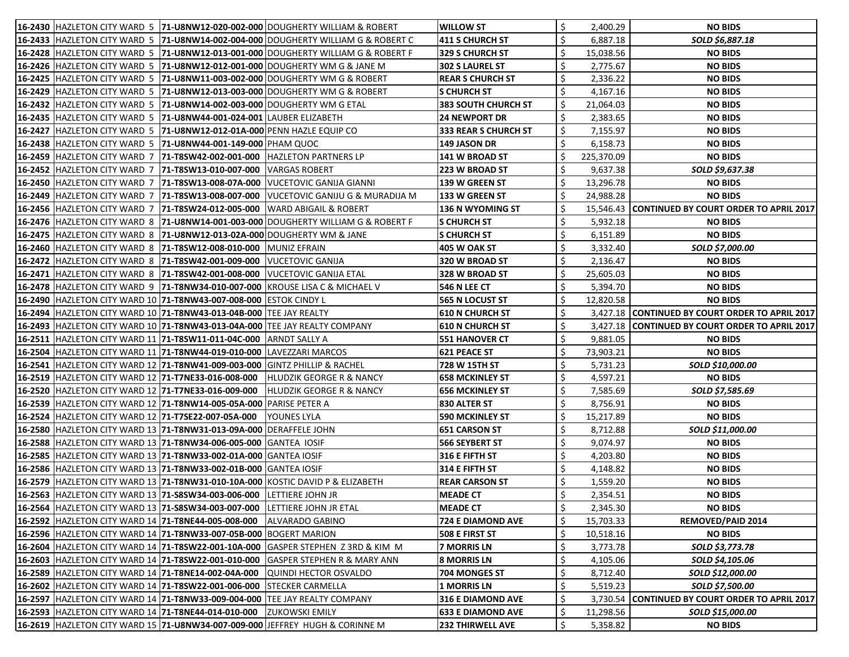| 16-2430 HAZLETON CITY WARD 5 71-U8NW12-020-002-000 DOUGHERTY WILLIAM & ROBERT          |                                                                                                 | <b>WILLOW ST</b>            |   | 2,400.29   | <b>NO BIDS</b>                                   |
|----------------------------------------------------------------------------------------|-------------------------------------------------------------------------------------------------|-----------------------------|---|------------|--------------------------------------------------|
|                                                                                        | <b>16-2433  HAZLETON CITY WARD 5  71-U8NW14-002-004-000  DOUGHERTY WILLIAM G &amp; ROBERT C</b> | 411 S CHURCH ST             |   | 6,887.18   | SOLD \$6,887.18                                  |
|                                                                                        | 16-2428 HAZLETON CITY WARD 5 71-U8NW12-013-001-000 DOUGHERTY WILLIAM G & ROBERT F               | <b>329 S CHURCH ST</b>      |   | 15,038.56  | <b>NO BIDS</b>                                   |
| 16-2426 HAZLETON CITY WARD 5 71-U8NW12-012-001-000 DOUGHERTY WM G & JANE M             |                                                                                                 | <b>302 S LAUREL ST</b>      |   | 2,775.67   | <b>NO BIDS</b>                                   |
| 16-2425  HAZLETON CITY WARD 5   71-U8NW11-003-002-000   DOUGHERTY WM G & ROBERT        |                                                                                                 | <b>REAR S CHURCH ST</b>     |   | 2,336.22   | <b>NO BIDS</b>                                   |
| 16-2429   HAZLETON CITY WARD 5   71-U8NW12-013-003-000   DOUGHERTY WM G & ROBERT       |                                                                                                 | <b>S CHURCH ST</b>          |   | 4,167.16   | <b>NO BIDS</b>                                   |
| 16-2432   HAZLETON CITY WARD 5   71-U8NW14-002-003-000   DOUGHERTY WM G ETAL           |                                                                                                 | <b>383 SOUTH CHURCH ST</b>  |   | 21,064.03  | <b>NO BIDS</b>                                   |
| 16-2435  HAZLETON CITY WARD 5  71-U8NW44-001-024-001  LAUBER ELIZABETH                 |                                                                                                 | <b>24 NEWPORT DR</b>        |   | 2,383.65   | <b>NO BIDS</b>                                   |
| 16-2427   HAZLETON CITY WARD 5   71-U8NW12-012-01A-000   PENN HAZLE EQUIP CO           |                                                                                                 | <b>333 REAR S CHURCH ST</b> |   | 7,155.97   | <b>NO BIDS</b>                                   |
| 16-2438 HAZLETON CITY WARD 5 71-U8NW44-001-149-000 PHAM QUOC                           |                                                                                                 | 149 JASON DR                |   | 6,158.73   | <b>NO BIDS</b>                                   |
| 16-2459   HAZLETON CITY WARD 7   71-T8SW42-002-001-000   HAZLETON PARTNERS LP          |                                                                                                 | 141 W BROAD ST              |   | 225,370.09 | <b>NO BIDS</b>                                   |
| 16-2452 HAZLETON CITY WARD 7 71-T8SW13-010-007-000 VARGAS ROBERT                       |                                                                                                 | 223 W BROAD ST              |   | 9,637.38   | SOLD \$9,637.38                                  |
| 16-2450 HAZLETON CITY WARD 7   71-T8SW13-008-07A-000   VUCETOVIC GANIJA GIANNI         |                                                                                                 | 139 W GREEN ST              |   | 13,296.78  | <b>NO BIDS</b>                                   |
|                                                                                        | 16-2449 HAZLETON CITY WARD 7 71-T8SW13-008-007-000 VUCETOVIC GANIJU G & MURADIJA M              | 133 W GREEN ST              |   | 24,988.28  | <b>NO BIDS</b>                                   |
| 16-2456  HAZLETON CITY WARD 7   71-T8SW24-012-005-000  WARD ABIGAIL & ROBERT           |                                                                                                 | 136 N WYOMING ST            |   |            | 15,546.43 CONTINUED BY COURT ORDER TO APRIL 2017 |
|                                                                                        | 16-2476 HAZLETON CITY WARD 8 71-U8NW14-001-003-000 DOUGHERTY WILLIAM G & ROBERT F               | <b>S CHURCH ST</b>          |   | 5,932.18   | <b>NO BIDS</b>                                   |
| 16-2475   HAZLETON CITY WARD 8   71-U8NW12-013-02A-000   DOUGHERTY WM & JANE           |                                                                                                 | <b>S CHURCH ST</b>          |   | 6,151.89   | <b>NO BIDS</b>                                   |
| 16-2460 HAZLETON CITY WARD 8 71-T8SW12-008-010-000 MUNIZ EFRAIN                        |                                                                                                 | 405 W OAK ST                |   | 3,332.40   | SOLD \$7,000.00                                  |
| 16-2472   HAZLETON CITY WARD 8   71-T8SW42-001-009-000   VUCETOVIC GANIJA              |                                                                                                 | 320 W BROAD ST              |   | 2,136.47   | <b>NO BIDS</b>                                   |
| 16-2471   HAZLETON CITY WARD 8   71-T8SW42-001-008-000   VUCETOVIC GANIJA ETAL         |                                                                                                 | 328 W BROAD ST              |   | 25,605.03  | <b>NO BIDS</b>                                   |
| 16-2478 HAZLETON CITY WARD 9 71-T8NW34-010-007-000 KROUSE LISA C & MICHAEL V           |                                                                                                 | 546 N LEE CT                |   | 5,394.70   | <b>NO BIDS</b>                                   |
| 16-2490 HAZLETON CITY WARD 10 71-T8NW43-007-008-000 ESTOK CINDY L                      |                                                                                                 | <b>565 N LOCUST ST</b>      |   | 12,820.58  | <b>NO BIDS</b>                                   |
| 16-2494 HAZLETON CITY WARD 10 71-T8NW43-013-04B-000 TEE JAY REALTY                     |                                                                                                 | <b>610 N CHURCH ST</b>      |   |            | 3,427.18 CONTINUED BY COURT ORDER TO APRIL 2017  |
| 16-2493  HAZLETON CITY WARD 10  71-T8NW43-013-04A-000  TEE JAY REALTY COMPANY          |                                                                                                 | <b>610 N CHURCH ST</b>      |   |            | 3,427.18 CONTINUED BY COURT ORDER TO APRIL 2017  |
| 16-2511 HAZLETON CITY WARD 11 71-T8SW11-011-04C-000 ARNDT SALLY A                      |                                                                                                 | <b>551 HANOVER CT</b>       |   | 9,881.05   | <b>NO BIDS</b>                                   |
| 16-2504 HAZLETON CITY WARD 11   71-T8NW44-019-010-000 LAVEZZARI MARCOS                 |                                                                                                 | <b>621 PEACE ST</b>         |   | 73,903.21  | <b>NO BIDS</b>                                   |
| 16-2541   HAZLETON CITY WARD 12   71-T8NW41-009-003-000   GINTZ PHILLIP & RACHEL       |                                                                                                 | 728 W 15TH ST               |   | 5,731.23   | SOLD \$10,000.00                                 |
| 16-2519 HAZLETON CITY WARD 12 71-T7NE33-016-008-000                                    | <b>HLUDZIK GEORGE R &amp; NANCY</b>                                                             | 658 MCKINLEY ST             |   | 4,597.21   | <b>NO BIDS</b>                                   |
| 16-2520 HAZLETON CITY WARD 12 71-T7NE33-016-009-000                                    | <b>HLUDZIK GEORGE R &amp; NANCY</b>                                                             | <b>656 MCKINLEY ST</b>      |   | 7,585.69   | SOLD \$7,585.69                                  |
| 16-2539 HAZLETON CITY WARD 12 71-T8NW14-005-05A-000 PARISE PETER A                     |                                                                                                 | 830 ALTER ST                |   | 8,756.91   | <b>NO BIDS</b>                                   |
| 16-2524   HAZLETON CITY WARD 12   71-T7SE22-007-05A-000   YOUNES LYLA                  |                                                                                                 | 590 MCKINLEY ST             | ১ | 15,217.89  | <b>NO BIDS</b>                                   |
| 16-2580 HAZLETON CITY WARD 13 71-T8NW31-013-09A-000 DERAFFELE JOHN                     |                                                                                                 | <b>651 CARSON ST</b>        |   | 8,712.88   | SOLD \$11,000.00                                 |
| 16-2588 HAZLETON CITY WARD 13 71-T8NW34-006-005-000 GANTEA IOSIF                       |                                                                                                 | <b>566 SEYBERT ST</b>       |   | 9,074.97   | <b>NO BIDS</b>                                   |
| 16-2585 HAZLETON CITY WARD 13 71-T8NW33-002-01A-000 GANTEA IOSIF                       |                                                                                                 | 316 E FIFTH ST              |   | 4,203.80   | <b>NO BIDS</b>                                   |
| 16-2586 HAZLETON CITY WARD 13 71-T8NW33-002-01B-000 GANTEA IOSIF                       |                                                                                                 | <b>314 E FIFTH ST</b>       |   | 4,148.82   | <b>NO BIDS</b>                                   |
| 16-2579 HAZLETON CITY WARD 13 71-T8NW31-010-10A-000 KOSTIC DAVID P & ELIZABETH         |                                                                                                 | <b>REAR CARSON ST</b>       |   | 1,559.20   | <b>NO BIDS</b>                                   |
| 16-2563 HAZLETON CITY WARD 13 71-S8SW34-003-006-000                                    | <b>LETTIERE JOHN JR</b>                                                                         | <b>MEADE CT</b>             |   | 2,354.51   | <b>NO BIDS</b>                                   |
| 16-2564   HAZLETON CITY WARD 13   71-S8SW34-003-007-000                                | LETTIERE JOHN JR ETAL                                                                           | <b>MEADE CT</b>             |   | 2,345.30   | <b>NO BIDS</b>                                   |
| 16-2592 HAZLETON CITY WARD 14 71-T8NE44-005-008-000                                    | ALVARADO GABINO                                                                                 | <b>724 E DIAMOND AVE</b>    |   | 15,703.33  | <b>REMOVED/PAID 2014</b>                         |
| 16-2596 HAZLETON CITY WARD 14 71-T8NW33-007-05B-000 BOGERT MARION                      |                                                                                                 | <b>508 E FIRST ST</b>       |   | 10,518.16  | <b>NO BIDS</b>                                   |
| 16-2604   HAZLETON CITY WARD 14   71-T8SW22-001-10A-000   GASPER STEPHEN Z 3RD & KIM M |                                                                                                 | <b>7 MORRIS LN</b>          |   | 3,773.78   | SOLD \$3,773.78                                  |
| 16-2603  HAZLETON CITY WARD 14   <b>71-T8SW22-001-010-000</b>                          | GASPER STEPHEN R & MARY ANN                                                                     | <b>8 MORRIS LN</b>          |   | 4,105.06   | SOLD \$4,105.06                                  |
| 16-2589 HAZLETON CITY WARD 14 71-T8NE14-002-04A-000                                    | <b>QUINDI HECTOR OSVALDO</b>                                                                    | 704 MONGES ST               |   | 8,712.40   | SOLD \$12,000.00                                 |
| 16-2602  HAZLETON CITY WARD 14   <b>71-T8SW22-001-006-000</b>                          | <b>STECKER CARMELLA</b>                                                                         | 1 MORRIS LN                 |   | 5,519.23   | SOLD \$7,500.00                                  |
| 16-2597  HAZLETON CITY WARD 14  71-T8NW33-009-004-000  TEE JAY REALTY COMPANY          |                                                                                                 | <b>316 E DIAMOND AVE</b>    |   |            | 3,730.54 CONTINUED BY COURT ORDER TO APRIL 2017  |
| 16-2593 HAZLETON CITY WARD 14 71-T8NE44-014-010-000 ZUKOWSKI EMILY                     |                                                                                                 | <b>633 E DIAMOND AVE</b>    | S | 11,298.56  | SOLD \$15,000.00                                 |
| 16-2619 HAZLETON CITY WARD 15 71-U8NW34-007-009-000 JEFFREY HUGH & CORINNE M           |                                                                                                 | <b>232 THIRWELL AVE</b>     |   | 5,358.82   | <b>NO BIDS</b>                                   |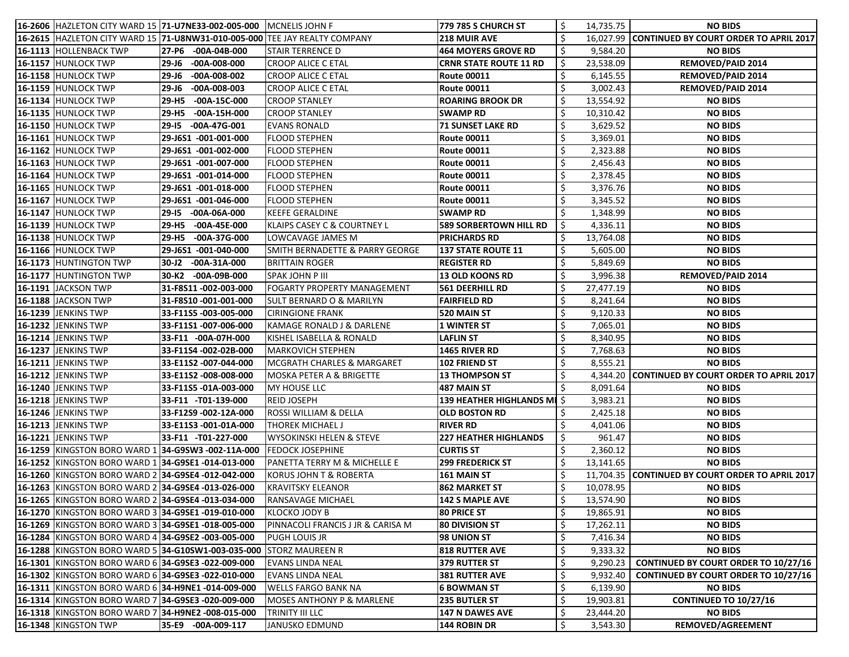| 16-2606 HAZLETON CITY WARD 15 71-U7NE33-002-005-000                        |                             | <b>MCNELIS JOHN F</b>                      | 779 785 S CHURCH ST           |    | 14,735.75 | <b>NO BIDS</b>                                   |
|----------------------------------------------------------------------------|-----------------------------|--------------------------------------------|-------------------------------|----|-----------|--------------------------------------------------|
| 16-2615 HAZLETON CITY WARD 15 71-U8NW31-010-005-000 TEE JAY REALTY COMPANY |                             |                                            | <b>218 MUIR AVE</b>           |    |           | 16,027.99 CONTINUED BY COURT ORDER TO APRIL 2017 |
| 16-1113 HOLLENBACK TWP                                                     | 27-P6 -00A-04B-000          | <b>STAIR TERRENCE D</b>                    | <b>464 MOYERS GROVE RD</b>    |    | 9,584.20  | <b>NO BIDS</b>                                   |
| 16-1157 HUNLOCK TWP                                                        | $-00A-008-000$<br>$29 - 16$ | <b>CROOP ALICE C ETAL</b>                  | <b>CRNR STATE ROUTE 11 RD</b> |    | 23,538.09 | <b>REMOVED/PAID 2014</b>                         |
| 16-1158 HUNLOCK TWP                                                        | $29 - 16$<br>$-00A-008-002$ | <b>CROOP ALICE C ETAL</b>                  | <b>Route 00011</b>            |    | 6,145.55  | <b>REMOVED/PAID 2014</b>                         |
| 16-1159 HUNLOCK TWP                                                        | $29 - 16$<br>$-00A-008-003$ | <b>CROOP ALICE C ETAL</b>                  | <b>Route 00011</b>            |    | 3,002.43  | <b>REMOVED/PAID 2014</b>                         |
| 16-1134 HUNLOCK TWP                                                        | 29-H5<br>$-00A-15C-000$     | <b>CROOP STANLEY</b>                       | <b>ROARING BROOK DR</b>       |    | 13,554.92 | <b>NO BIDS</b>                                   |
| 16-1135 HUNLOCK TWP                                                        | 29-H5<br>$-00A-15H-000$     | CROOP STANLEY                              | <b>SWAMP RD</b>               |    | 10,310.42 | <b>NO BIDS</b>                                   |
| 16-1150 HUNLOCK TWP                                                        | $-00A-47G-001$<br>29-15     | <b>EVANS RONALD</b>                        | <b>71 SUNSET LAKE RD</b>      |    | 3,629.52  | <b>NO BIDS</b>                                   |
| 16-1161 HUNLOCK TWP                                                        | 29-J6S1 -001-001-000        | <b>FLOOD STEPHEN</b>                       | <b>Route 00011</b>            |    | 3,369.01  | <b>NO BIDS</b>                                   |
| 16-1162 HUNLOCK TWP                                                        | 29-J6S1 -001-002-000        | FLOOD STEPHEN                              | <b>Route 00011</b>            |    | 2,323.88  | <b>NO BIDS</b>                                   |
| 16-1163 HUNLOCK TWP                                                        | 29-J6S1 -001-007-000        | <b>FLOOD STEPHEN</b>                       | <b>Route 00011</b>            |    | 2,456.43  | <b>NO BIDS</b>                                   |
| 16-1164 HUNLOCK TWP                                                        | 29-J6S1 -001-014-000        | <b>FLOOD STEPHEN</b>                       | <b>Route 00011</b>            |    | 2,378.45  | <b>NO BIDS</b>                                   |
| 16-1165 HUNLOCK TWP                                                        | 29-J6S1 -001-018-000        | <b>FLOOD STEPHEN</b>                       | <b>Route 00011</b>            |    | 3,376.76  | <b>NO BIDS</b>                                   |
| 16-1167 HUNLOCK TWP                                                        | 29-J6S1 -001-046-000        | <b>FLOOD STEPHEN</b>                       | <b>Route 00011</b>            | Ś. | 3,345.52  | <b>NO BIDS</b>                                   |
| 16-1147 HUNLOCK TWP                                                        | 29-15 -00A-06A-000          | KEEFE GERALDINE                            | <b>SWAMP RD</b>               |    | 1,348.99  | <b>NO BIDS</b>                                   |
| 16-1139 HUNLOCK TWP                                                        | 29-H5<br>$-00A-45E-000$     | KLAIPS CASEY C & COURTNEY L                | <b>589 SORBERTOWN HILL RD</b> |    | 4,336.11  | <b>NO BIDS</b>                                   |
| 16-1138 HUNLOCK TWP                                                        | -00A-37G-000<br>29-H5       | LOWCAVAGE JAMES M                          | <b>PRICHARDS RD</b>           |    | 13,764.08 | <b>NO BIDS</b>                                   |
| 16-1166 HUNLOCK TWP                                                        | 29-J6S1 -001-040-000        | <b>SMITH BERNADETTE &amp; PARRY GEORGE</b> | <b>137 STATE ROUTE 11</b>     |    | 5,605.00  | <b>NO BIDS</b>                                   |
| 16-1173 HUNTINGTON TWP                                                     | $-00A-31A-000$<br>$30-12$   | BRITTAIN ROGER                             | <b>REGISTER RD</b>            |    | 5,849.69  | <b>NO BIDS</b>                                   |
| 16-1177 HUNTINGTON TWP                                                     | 30-K2 -00A-09B-000          | <b>SPAK JOHN P III</b>                     | <b>13 OLD KOONS RD</b>        |    | 3,996.38  | <b>REMOVED/PAID 2014</b>                         |
| 16-1191 JACKSON TWP                                                        | 31-F8S11-002-003-000        | <b>FOGARTY PROPERTY MANAGEMENT</b>         | 561 DEERHILL RD               |    | 27,477.19 | <b>NO BIDS</b>                                   |
| 16-1188 JACKSON TWP                                                        | 31-F8S10-001-001-000        | <b>SULT BERNARD O &amp; MARILYN</b>        | <b>FAIRFIELD RD</b>           |    | 8,241.64  | <b>NO BIDS</b>                                   |
| 16-1239 JENKINS TWP                                                        | 33-F11S5-003-005-000        | <b>CIRINGIONE FRANK</b>                    | 520 MAIN ST                   |    | 9,120.33  | <b>NO BIDS</b>                                   |
| 16-1232 JENKINS TWP                                                        | 33-F11S1-007-006-000        | KAMAGE RONALD J & DARLENE                  | <b>1 WINTER ST</b>            |    | 7,065.01  | <b>NO BIDS</b>                                   |
| 16-1214 JENKINS TWP                                                        | 33-F11 -00A-07H-000         | KISHEL ISABELLA & RONALD                   | <b>LAFLIN ST</b>              |    | 8,340.95  | <b>NO BIDS</b>                                   |
| <b>16-1237 JENKINS TWP</b>                                                 | 33-F11S4 -002-02B-000       | MARKOVICH STEPHEN                          | 1465 RIVER RD                 |    | 7,768.63  | <b>NO BIDS</b>                                   |
| 16-1211 JENKINS TWP                                                        | 33-E11S2 -007-044-000       | MCGRATH CHARLES & MARGARET                 | 102 FRIEND ST                 |    | 8,555.21  | <b>NO BIDS</b>                                   |
| <b>16-1212 JENKINS TWP</b>                                                 | 33-E11S2 -008-008-000       | <b>MOSKA PETER A &amp; BRIGETTE</b>        | <b>13 THOMPSON ST</b>         |    |           | 4,344.20 CONTINUED BY COURT ORDER TO APRIL 2017  |
| <b>16-1240 JENKINS TWP</b>                                                 | 33-F11S5-01A-003-000        | MY HOUSE LLC                               | 487 MAIN ST                   |    | 8,091.64  | <b>NO BIDS</b>                                   |
| 16-1218 JENKINS TWP                                                        | 33-F11 -T01-139-000         | <b>REID JOSEPH</b>                         | 139 HEATHER HIGHLANDS MIS     |    | 3,983.21  | <b>NO BIDS</b>                                   |
| 16-1246 JENKINS TWP                                                        | 33-F12S9-002-12A-000        | <b>ROSSI WILLIAM &amp; DELLA</b>           | <b>OLD BOSTON RD</b>          |    | 2,425.18  | <b>NO BIDS</b>                                   |
| 16-1213 JENKINS TWP                                                        | 33-E11S3 -001-01A-000       | THOREK MICHAEL J                           | <b>RIVER RD</b>               |    | 4,041.06  | <b>NO BIDS</b>                                   |
| <b>16-1221 JENKINS TWP</b>                                                 | 33-F11 -T01-227-000         | WYSOKINSKI HELEN & STEVE                   | <b>227 HEATHER HIGHLANDS</b>  |    | 961.47    | <b>NO BIDS</b>                                   |
| 16-1259 KINGSTON BORO WARD 1 34-G9SW3 -002-11A-000                         |                             | <b>FEDOCK JOSEPHINE</b>                    | <b>CURTIS ST</b>              |    | 2,360.12  | <b>NO BIDS</b>                                   |
| 16-1252 KINGSTON BORO WARD 1 34-G9SE1 -014-013-000                         |                             | PANETTA TERRY M & MICHELLE E               | <b>299 FREDERICK ST</b>       |    | 13,141.65 | <b>NO BIDS</b>                                   |
| 16-1260 KINGSTON BORO WARD 2 34-G9SE4 -012-042-000                         |                             | <b>KORUS JOHN T &amp; ROBERTA</b>          | 161 MAIN ST                   |    |           | 11,704.35 CONTINUED BY COURT ORDER TO APRIL 2017 |
| 16-1263 KINGSTON BORO WARD 2 34-G9SE4 -013-026-000                         |                             | KRAVITSKY ELEANOR                          | <b>862 MARKET ST</b>          |    | 10,078.95 | <b>NO BIDS</b>                                   |
| 16-1265 KINGSTON BORO WARD 2 34-G9SE4 -013-034-000                         |                             | RANSAVAGE MICHAEL                          | <b>142 S MAPLE AVE</b>        |    | 13,574.90 | <b>NO BIDS</b>                                   |
| 16-1270 KINGSTON BORO WARD 3 34-G9SE1 -019-010-000                         |                             | KLOCKO JODY B                              | <b>80 PRICE ST</b>            |    | 19,865.91 | <b>NO BIDS</b>                                   |
| 16-1269 KINGSTON BORO WARD 3 34-G9SE1 -018-005-000                         |                             | PINNACOLI FRANCIS J JR & CARISA M          | <b>80 DIVISION ST</b>         |    | 17,262.11 | <b>NO BIDS</b>                                   |
| 16-1284 KINGSTON BORO WARD 4 34-G9SE2 -003-005-000                         |                             | PUGH LOUIS JR                              | 98 UNION ST                   |    | 7,416.34  | <b>NO BIDS</b>                                   |
| 16-1288 KINGSTON BORO WARD 5 34-G10SW1-003-035-000                         |                             | <b>STORZ MAUREEN R</b>                     | <b>818 RUTTER AVE</b>         | Ś. | 9,333.32  | <b>NO BIDS</b>                                   |
| 16-1301 KINGSTON BORO WARD 6 34-G9SE3 -022-009-000                         |                             | <b>EVANS LINDA NEAL</b>                    | 379 RUTTER ST                 | \$ | 9,290.23  | <b>CONTINUED BY COURT ORDER TO 10/27/16</b>      |
| 16-1302 KINGSTON BORO WARD 6 34-G9SE3 -022-010-000                         |                             | <b>EVANS LINDA NEAL</b>                    | <b>381 RUTTER AVE</b>         | \$ | 9,932.40  | <b>CONTINUED BY COURT ORDER TO 10/27/16</b>      |
| 16-1311   KINGSTON BORO WARD 6 34-H9NE1 -014-009-000                       |                             | WELLS FARGO BANK NA                        | <b>6 BOWMAN ST</b>            |    | 6,139.90  | <b>NO BIDS</b>                                   |
| 16-1314 KINGSTON BORO WARD 7 34-G9SE3 -020-009-000                         |                             | <b>MOSES ANTHONY P &amp; MARLENE</b>       | <b>235 BUTLER ST</b>          |    | 19,903.81 | <b>CONTINUED TO 10/27/16</b>                     |
| 16-1318 KINGSTON BORO WARD 7 34-H9NE2 -008-015-000                         |                             | TRINITY III LLC                            | <b>147 N DAWES AVE</b>        |    | 23,444.20 | <b>NO BIDS</b>                                   |
| 16-1348 KINGSTON TWP                                                       | 35-E9 -00A-009-117          | JANUSKO EDMUND                             | 144 ROBIN DR                  |    | 3,543.30  | REMOVED/AGREEMENT                                |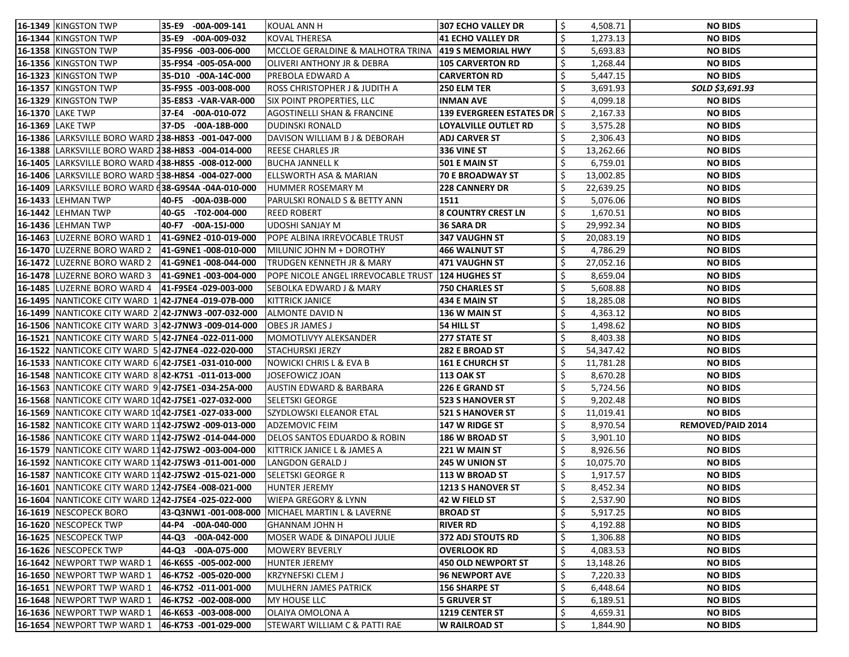| 16-1349 KINGSTON TWP                                  | 35-E9 | -00A-009-141          | <b>KOUAL ANN H</b>                       | 307 ECHO VALLEY DR                            |                 | 4,508.71  | <b>NO BIDS</b>           |
|-------------------------------------------------------|-------|-----------------------|------------------------------------------|-----------------------------------------------|-----------------|-----------|--------------------------|
| 16-1344 KINGSTON TWP                                  | 35-E9 | $-00A-009-032$        | <b>KOVAL THERESA</b>                     | 41 ECHO VALLEY DR                             |                 | 1,273.13  | <b>NO BIDS</b>           |
| 16-1358 KINGSTON TWP                                  |       | 35-F9S6 -003-006-000  | MCCLOE GERALDINE & MALHOTRA TRINA        | <b>419 S MEMORIAL HWY</b>                     |                 | 5,693.83  | <b>NO BIDS</b>           |
| 16-1356 KINGSTON TWP                                  |       | 35-F9S4 -005-05A-000  | OLIVERI ANTHONY JR & DEBRA               | <b>105 CARVERTON RD</b>                       |                 | 1,268.44  | <b>NO BIDS</b>           |
| 16-1323 KINGSTON TWP                                  |       | 35-D10 -00A-14C-000   | PREBOLA EDWARD A                         | <b>CARVERTON RD</b>                           |                 | 5,447.15  | <b>NO BIDS</b>           |
| 16-1357 KINGSTON TWP                                  |       | 35-F9S5 -003-008-000  | <b>ROSS CHRISTOPHER J &amp; JUDITH A</b> | <b>250 ELM TER</b>                            |                 | 3,691.93  | SOLD \$3,691.93          |
| 16-1329 KINGSTON TWP                                  |       | 35-E8S3 - VAR-VAR-000 | SIX POINT PROPERTIES, LLC                | <b>INMAN AVE</b>                              |                 | 4,099.18  | <b>NO BIDS</b>           |
| 16-1370 LAKE TWP                                      |       | 37-E4 -00A-010-072    | <b>AGOSTINELLI SHAN &amp; FRANCINE</b>   | <b>139 EVERGREEN ESTATES DR</b> $\frac{1}{2}$ |                 | 2,167.33  | <b>NO BIDS</b>           |
| 16-1369 LAKE TWP                                      |       | 37-D5 -00A-18B-000    | <b>DUDINSKI RONALD</b>                   | LOYALVILLE OUTLET RD                          |                 | 3,575.28  | <b>NO BIDS</b>           |
| 16-1386   LARKSVILLE BORO WARD 238-H8S3 -001-047-000  |       |                       | DAVISON WILLIAM B J & DEBORAH            | <b>ADJ CARVER ST</b>                          |                 | 2,306.43  | <b>NO BIDS</b>           |
| 16-1388  LARKSVILLE BORO WARD 238-H8S3 -004-014-000   |       |                       | REESE CHARLES JR                         | 336 VINE ST                                   |                 | 13,262.66 | <b>NO BIDS</b>           |
| 16-1405   LARKSVILLE BORO WARD 438-H8S5 -008-012-000  |       |                       | <b>BUCHA JANNELL K</b>                   | 501 E MAIN ST                                 |                 | 6,759.01  | <b>NO BIDS</b>           |
| 16-1406 LARKSVILLE BORO WARD 538-H8S4 -004-027-000    |       |                       | <b>ELLSWORTH ASA &amp; MARIAN</b>        | <b>70 E BROADWAY ST</b>                       | 13,002.85       |           | <b>NO BIDS</b>           |
| 16-1409  LARKSVILLE BORO WARD (38-G9S4A -04A-010-000  |       |                       | HUMMER ROSEMARY M                        | <b>228 CANNERY DR</b>                         | 22,639.25       |           | <b>NO BIDS</b>           |
| 16-1433 LEHMAN TWP                                    |       | 40-F5 -00A-03B-000    | PARULSKI RONALD S & BETTY ANN            | 1511                                          |                 | 5,076.06  | <b>NO BIDS</b>           |
| <b>16-1442 LEHMAN TWP</b>                             |       | 40-G5 -T02-004-000    | <b>REED ROBERT</b>                       | <b>8 COUNTRY CREST LN</b>                     |                 | 1,670.51  | <b>NO BIDS</b>           |
| <b>16-1436 LEHMAN TWP</b>                             |       | 40-F7 -00A-15J-000    | <b>UDOSHI SANJAY M</b>                   | 36 SARA DR                                    | 29,992.34       |           | <b>NO BIDS</b>           |
| 16-1463 LUZERNE BORO WARD 1                           |       | 41-G9NE2 -010-019-000 | POPE ALBINA IRREVOCABLE TRUST            | 347 VAUGHN ST                                 | 20,083.19       |           | <b>NO BIDS</b>           |
| 16-1470 LUZERNE BORO WARD 2                           |       | 41-G9NE1-008-010-000  | MILUNIC JOHN M + DOROTHY                 | <b>466 WALNUT ST</b>                          |                 | 4,786.29  | <b>NO BIDS</b>           |
| 16-1472 LUZERNE BORO WARD 2                           |       | 41-G9NE1-008-044-000  | TRUDGEN KENNETH JR & MARY                | 471 VAUGHN ST                                 |                 | 27,052.16 | <b>NO BIDS</b>           |
| 16-1478 LUZERNE BORO WARD 3                           |       | 41-G9NE1 -003-004-000 | POPE NICOLE ANGEL IRREVOCABLE TRUST      | 124 HUGHES ST                                 |                 | 8,659.04  | <b>NO BIDS</b>           |
| 16-1485 LUZERNE BORO WARD 4                           |       | 41-F9SE4 -029-003-000 | <b>SEBOLKA EDWARD J &amp; MARY</b>       | <b>750 CHARLES ST</b>                         |                 | 5,608.88  | <b>NO BIDS</b>           |
| 16-1495 NANTICOKE CITY WARD 1 42-J7NE4 -019-07B-000   |       |                       | <b>KITTRICK JANICE</b>                   | <b>434 E MAIN ST</b>                          |                 | 18,285.08 | <b>NO BIDS</b>           |
| 16-1499 NANTICOKE CITY WARD 2 42-J7NW3 -007-032-000   |       |                       | ALMONTE DAVID N                          | <b>136 W MAIN ST</b>                          |                 | 4,363.12  | <b>NO BIDS</b>           |
| 16-1506 NANTICOKE CITY WARD 3 42-J7NW3 -009-014-000   |       |                       | <b>OBES JR JAMES J</b>                   | 54 HILL ST                                    |                 | 1,498.62  | <b>NO BIDS</b>           |
| 16-1521   NANTICOKE CITY WARD 5 42-J7NE4 -022-011-000 |       |                       | MOMOTLIVYY ALEKSANDER                    | 277 STATE ST                                  |                 | 8,403.38  | <b>NO BIDS</b>           |
| 16-1522   NANTICOKE CITY WARD 5 42-J7NE4 -022-020-000 |       |                       | <b>STACHURSKI JERZY</b>                  | <b>282 E BROAD ST</b>                         |                 | 54,347.42 | <b>NO BIDS</b>           |
| 16-1533 NANTICOKE CITY WARD 6 42-J7SE1 -031-010-000   |       |                       | <b>NOWICKI CHRIS L &amp; EVA B</b>       | <b>161 E CHURCH ST</b>                        |                 | 11,781.28 | <b>NO BIDS</b>           |
| 16-1548 NANTICOKE CITY WARD 8 42-K7S1 -011-013-000    |       |                       | JOSEFOWICZ JOAN                          | <b>113 OAK ST</b>                             |                 | 8,670.28  | <b>NO BIDS</b>           |
| 16-1563 NANTICOKE CITY WARD 9 42-J7SE1 -034-25A-000   |       |                       | AUSTIN EDWARD & BARBARA                  | 226 E GRAND ST                                |                 | 5,724.56  | <b>NO BIDS</b>           |
| 16-1568 NANTICOKE CITY WARD 1042-J7SE1 -027-032-000   |       |                       | SELETSKI GEORGE                          | <b>523 S HANOVER ST</b>                       |                 | 9,202.48  | <b>NO BIDS</b>           |
| 16-1569 NANTICOKE CITY WARD 1042-J7SE1 -027-033-000   |       |                       | SZYDLOWSKI ELEANOR ETAL                  | <b>521 S HANOVER ST</b>                       | \$<br>11,019.41 |           | <b>NO BIDS</b>           |
| 16-1582   NANTICOKE CITY WARD 1142-J7SW2 -009-013-000 |       |                       | ADZEMOVIC FEIM                           | 147 W RIDGE ST                                |                 | 8,970.54  | <b>REMOVED/PAID 2014</b> |
| 16-1586   NANTICOKE CITY WARD 1142-J7SW2 -014-044-000 |       |                       | DELOS SANTOS EDUARDO & ROBIN             | 186 W BROAD ST                                |                 | 3,901.10  | <b>NO BIDS</b>           |
| 16-1579   NANTICOKE CITY WARD 1142-J7SW2 -003-004-000 |       |                       | KITTRICK JANICE L & JAMES A              | 221 W MAIN ST                                 |                 | 8,926.56  | <b>NO BIDS</b>           |
| 16-1592   NANTICOKE CITY WARD 1142-J7SW3 -011-001-000 |       |                       | <b>LANGDON GERALD J</b>                  | <b>245 W UNION ST</b>                         |                 | 10,075.70 | <b>NO BIDS</b>           |
| 16-1587   NANTICOKE CITY WARD 1142-J7SW2 -015-021-000 |       |                       | SELETSKI GEORGE R                        | $ 113 \text{ W}$ BROAD ST                     |                 | 1,917.57  | <b>NO BIDS</b>           |
| 16-1601 NANTICOKE CITY WARD 1242-J7SE4 -008-021-000   |       |                       | HUNTER JEREMY                            | <b>1213 S HANOVER ST</b>                      |                 | 8,452.34  | <b>NO BIDS</b>           |
| 16-1604   NANTICOKE CITY WARD 1242-J7SE4 -025-022-000 |       |                       | <b>WIEPA GREGORY &amp; LYNN</b>          | 42 W FIELD ST                                 |                 | 2,537.90  | <b>NO BIDS</b>           |
| 16-1619 NESCOPECK BORO                                |       | 43-Q3NW1 -001-008-000 | MICHAEL MARTIN L & LAVERNE               | <b>BROAD ST</b>                               |                 | 5,917.25  | <b>NO BIDS</b>           |
| 16-1620 NESCOPECK TWP                                 |       | 44-P4 -00A-040-000    | <b>GHANNAM JOHN H</b>                    | <b>RIVER RD</b>                               |                 | 4,192.88  | <b>NO BIDS</b>           |
| 16-1625 NESCOPECK TWP                                 |       | 44-Q3 -00A-042-000    | <b>MOSER WADE &amp; DINAPOLI JULIE</b>   | 372 ADJ STOUTS RD                             |                 | 1,306.88  | <b>NO BIDS</b>           |
| 16-1626 NESCOPECK TWP                                 |       | 44-Q3 -00A-075-000    | MOWERY BEVERLY                           | <b>OVERLOOK RD</b>                            |                 | 4,083.53  | <b>NO BIDS</b>           |
| 16-1642 NEWPORT TWP WARD 1                            |       | 46-K6S5 -005-002-000  | <b>HUNTER JEREMY</b>                     | 450 OLD NEWPORT ST                            |                 | 13,148.26 | <b>NO BIDS</b>           |
| 16-1650 NEWPORT TWP WARD 1                            |       | 46-K7S2 -005-020-000  | <b>KRZYNEFSKI CLEM J</b>                 | <b>96 NEWPORT AVE</b>                         |                 | 7,220.33  | <b>NO BIDS</b>           |
| 16-1651 NEWPORT TWP WARD 1                            |       | 46-K7S2 -011-001-000  | MULHERN JAMES PATRICK                    | <b>156 SHARPE ST</b>                          |                 | 6,448.64  | <b>NO BIDS</b>           |
| 16-1648 NEWPORT TWP WARD 1                            |       | 46-K7S2 -002-008-000  | MY HOUSE LLC                             | 5 GRUVER ST                                   |                 | 6,189.51  | <b>NO BIDS</b>           |
| 16-1636 NEWPORT TWP WARD 1                            |       | 46-K6S3 -003-008-000  | OLAIYA OMOLONA A                         | 1219 CENTER ST                                |                 | 4,659.31  | <b>NO BIDS</b>           |
| 16-1654 NEWPORT TWP WARD 1                            |       | 46-K7S3 -001-029-000  | STEWART WILLIAM C & PATTI RAE            | <b>W RAILROAD ST</b>                          |                 | 1,844.90  | <b>NO BIDS</b>           |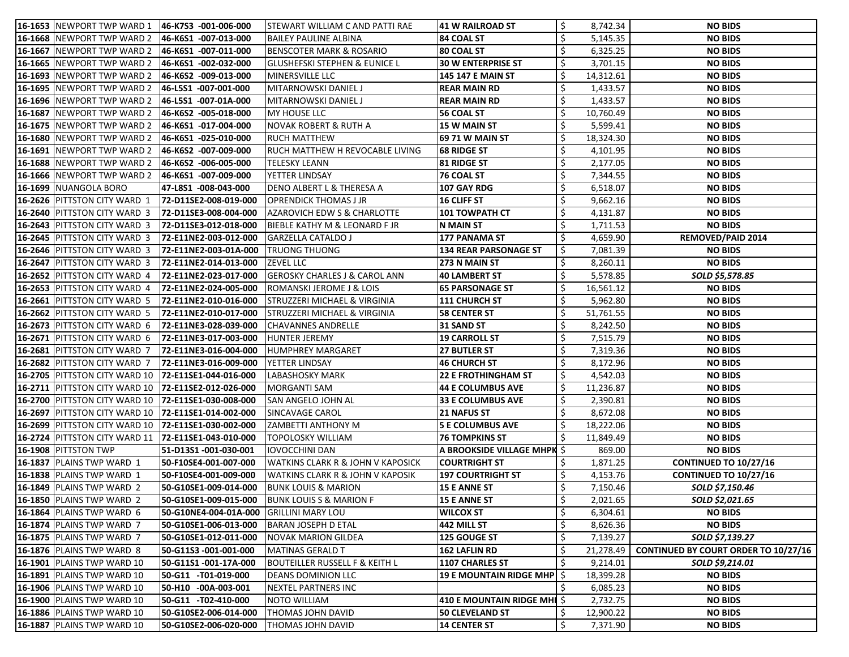| <b>16-1653  NEWPORT TWP WARD 1</b>                     | 46-K7S3 -001-006-000  | STEWART WILLIAM C AND PATTI RAE              | 41 W RAILROAD ST                  | 8,742.34       | <b>NO BIDS</b>                              |
|--------------------------------------------------------|-----------------------|----------------------------------------------|-----------------------------------|----------------|---------------------------------------------|
| 16-1668 NEWPORT TWP WARD 2                             | 46-K6S1 -007-013-000  | <b>BAILEY PAULINE ALBINA</b>                 | <b>84 COAL ST</b>                 | 5,145.35       | <b>NO BIDS</b>                              |
| <b>16-1667</b>  NEWPORT TWP WARD 2                     | 46-K6S1 -007-011-000  | BENSCOTER MARK & ROSARIO                     | <b>80 COAL ST</b>                 | 6,325.25       | <b>NO BIDS</b>                              |
| <b>16-1665</b>  NEWPORT TWP WARD 2                     | 46-K6S1 -002-032-000  | <b>GLUSHEFSKI STEPHEN &amp; EUNICE L</b>     | <b>30 W ENTERPRISE ST</b>         | 3,701.15       | <b>NO BIDS</b>                              |
| <b>16-1693 NEWPORT TWP WARD 2</b>                      | 46-K6S2 -009-013-000  | MINERSVILLE LLC                              | \$<br><b>145 147 E MAIN ST</b>    | 14,312.61      | <b>NO BIDS</b>                              |
| <b>16-1695 NEWPORT TWP WARD 2</b>                      | 46-L5S1 -007-001-000  | MITARNOWSKI DANIEL J                         | \$<br><b>REAR MAIN RD</b>         | 1,433.57       | <b>NO BIDS</b>                              |
| <b>16-1696  NEWPORT TWP WARD 2</b>                     | 46-L5S1 -007-01A-000  | MITARNOWSKI DANIEL J                         | \$<br><b>REAR MAIN RD</b>         | 1,433.57       | <b>NO BIDS</b>                              |
| <b>16-1687 NEWPORT TWP WARD 2</b>                      | 46-K6S2 -005-018-000  | MY HOUSE LLC                                 | 56 COAL ST                        | 10,760.49      | <b>NO BIDS</b>                              |
| 16-1675  NEWPORT TWP WARD 2                            | 46-K6S1 -017-004-000  | <b>NOVAK ROBERT &amp; RUTH A</b>             | <b>15 W MAIN ST</b>               | 5,599.41       | <b>NO BIDS</b>                              |
| <b>16-1680 NEWPORT TWP WARD 2</b>                      | 46-K6S1 -025-010-000  | <b>RUCH MATTHEW</b>                          | <b>69 71 W MAIN ST</b>            | 18,324.30      | <b>NO BIDS</b>                              |
| <b>16-1691  NEWPORT TWP WARD 2</b>                     | 46-K6S2 -007-009-000  | RUCH MATTHEW H REVOCABLE LIVING              | <b>68 RIDGE ST</b>                | 4,101.95       | <b>NO BIDS</b>                              |
| <b>16-1688 NEWPORT TWP WARD 2</b>                      | 46-K6S2  -006-005-000 | <b>TELESKY LEANN</b>                         | $\zeta$<br>81 RIDGE ST            | 2,177.05       | <b>NO BIDS</b>                              |
| 16-1666 NEWPORT TWP WARD 2                             | 46-K6S1 -007-009-000  | YETTER LINDSAY                               | <b>76 COAL ST</b>                 | \$<br>7,344.55 | <b>NO BIDS</b>                              |
| 16-1699 NUANGOLA BORO                                  | 47-L8S1 -008-043-000  | DENO ALBERT L & THERESA A                    | 107 GAY RDG                       | 6,518.07       | <b>NO BIDS</b>                              |
| 16-2626  PITTSTON CITY WARD 1                          | 72-D11SE2-008-019-000 | <b>OPRENDICK THOMAS J JR</b>                 | $ 16$ cliff st                    | 9,662.16       | <b>NO BIDS</b>                              |
| 16-2640 PITTSTON CITY WARD 3                           | 72-D11SE3-008-004-000 | <b>AZAROVICH EDW S &amp; CHARLOTTE</b>       | \$<br><b>101 TOWPATH CT</b>       | 4,131.87       | <b>NO BIDS</b>                              |
| 16-2643 PITTSTON CITY WARD 3                           | 72-D11SE3-012-018-000 | BIEBLE KATHY M & LEONARD F JR                | N MAIN ST                         | 1,711.53       | <b>NO BIDS</b>                              |
| 16-2645   PITTSTON CITY WARD 3                         | 72-E11NE2-003-012-000 | GARZELLA CATALDO J                           | \$<br>177 PANAMA ST               | 4,659.90       | <b>REMOVED/PAID 2014</b>                    |
| 16-2646 PITTSTON CITY WARD 3                           | 72-E11NE2-003-01A-000 | <b>TRUONG THUONG</b>                         | <b>134 REAR PARSONAGE ST</b>      | 7,081.39       | <b>NO BIDS</b>                              |
| 16-2647 PITTSTON CITY WARD 3                           | 72-E11NE2-014-013-000 | <b>ZEVEL LLC</b>                             | \$<br>273 N MAIN ST               | 8,260.11       | <b>NO BIDS</b>                              |
| 16-2652 PITTSTON CITY WARD 4                           | 72-E11NE2-023-017-000 | <b>GEROSKY CHARLES J &amp; CAROL ANN</b>     | 40 LAMBERT ST                     | \$<br>5,578.85 | SOLD \$5,578.85                             |
| 16-2653 PITTSTON CITY WARD 4                           | 72-E11NE2-024-005-000 | <b>ROMANSKI JEROME J &amp; LOIS</b>          | <b>65 PARSONAGE ST</b>            | 16,561.12      | <b>NO BIDS</b>                              |
| <b>16-2661   PITTSTON CITY WARD 5</b>                  | 72-E11NE2-010-016-000 | STRUZZERI MICHAEL & VIRGINIA                 | <b>111 CHURCH ST</b>              | 5,962.80       | <b>NO BIDS</b>                              |
| 16-2662 PITTSTON CITY WARD 5                           | 72-E11NE2-010-017-000 | <b>STRUZZERI MICHAEL &amp; VIRGINIA</b>      | <b>58 CENTER ST</b>               | 51,761.55      | <b>NO BIDS</b>                              |
| <b>16-2673 PITTSTON CITY WARD 6</b>                    | 72-E11NE3-028-039-000 | CHAVANNES ANDRELLE                           | 31 SAND ST                        | 8,242.50       | <b>NO BIDS</b>                              |
| 16-2671 PITTSTON CITY WARD 6                           | 72-E11NE3-017-003-000 | <b>HUNTER JEREMY</b>                         | <b>19 CARROLL ST</b>              | 7,515.79       | <b>NO BIDS</b>                              |
| 16-2681 PITTSTON CITY WARD 7                           | 72-E11NE3-016-004-000 | HUMPHREY MARGARET                            | \$<br><b>27 BUTLER ST</b>         | 7,319.36       | <b>NO BIDS</b>                              |
| 16-2682 PITTSTON CITY WARD 7                           | 72-E11NE3-016-009-000 | YETTER LINDSAY                               | 46 CHURCH ST                      | 8,172.96       | <b>NO BIDS</b>                              |
| 16-2705 PITTSTON CITY WARD 10                          | 72-E11SE1-044-016-000 | LABASHOSKY MARK                              | <b>22 E FROTHINGHAM ST</b>        | \$<br>4,542.03 | <b>NO BIDS</b>                              |
| <b>16-2711  PITTSTON CITY WARD 10</b>                  | 72-E11SE2-012-026-000 | MORGANTI SAM                                 | \$<br><b>44 E COLUMBUS AVE</b>    | 11,236.87      | <b>NO BIDS</b>                              |
| 16-2700 PITTSTON CITY WARD 10 72-E11SE1-030-008-000    |                       | SAN ANGELO JOHN AL                           | <b>33 E COLUMBUS AVE</b>          | 2,390.81       | <b>NO BIDS</b>                              |
| 16-2697 PITTSTON CITY WARD 10 72-E11SE1-014-002-000    |                       | SINCAVAGE CAROL                              | <b>21 NAFUS ST</b>                | ¢.<br>8,672.08 | <b>NO BIDS</b>                              |
| 16-2699  PITTSTON CITY WARD 10   72-E11SE1-030-002-000 |                       | <b>ZAMBETTI ANTHONY M</b>                    | <b>5 E COLUMBUS AVE</b>           | 18,222.06      | <b>NO BIDS</b>                              |
| 16-2724 PITTSTON CITY WARD 11                          | 72-E11SE1-043-010-000 | <b>TOPOLOSKY WILLIAM</b>                     | 76 TOMPKINS ST                    | 11,849.49      | <b>NO BIDS</b>                              |
| 16-1908 PITTSTON TWP                                   | 51-D13S1 -001-030-001 | <b>IOVOCCHINI DAN</b>                        | A BROOKSIDE VILLAGE MHPK \$       | 869.00         | <b>NO BIDS</b>                              |
| 16-1837 PLAINS TWP WARD 1                              | 50-F10SE4-001-007-000 | <b>WATKINS CLARK R &amp; JOHN V KAPOSICK</b> | <b>COURTRIGHT ST</b>              | 1,871.25       | <b>CONTINUED TO 10/27/16</b>                |
| 16-1838 PLAINS TWP WARD 1                              | 50-F10SE4-001-009-000 | WATKINS CLARK R & JOHN V KAPOSIK             | <b>197 COURTRIGHT ST</b><br>\$    | 4,153.76       | <b>CONTINUED TO 10/27/16</b>                |
| 16-1849   PLAINS TWP WARD 2                            | 50-G10SE1-009-014-000 | BUNK LOUIS & MARION                          | \$<br><b>15 E ANNE ST</b>         | 7,150.46       | SOLD \$7,150.46                             |
| 16-1850 PLAINS TWP WARD 2                              | 50-G10SE1-009-015-000 | <b>BUNK LOUIS S &amp; MARION F</b>           | <b>15 E ANNE ST</b>               | \$<br>2,021.65 | SOLD \$2,021.65                             |
| 16-1864 PLAINS TWP WARD 6                              | 50-G10NE4-004-01A-000 | <b>GRILLINI MARY LOU</b>                     | \$<br><b>WILCOX ST</b>            | 6,304.61       | <b>NO BIDS</b>                              |
| 16-1874 PLAINS TWP WARD 7                              | 50-G10SE1-006-013-000 | <b>BARAN JOSEPH D ETAL</b>                   | \$<br>442 MILL ST                 | 8,626.36       | <b>NO BIDS</b>                              |
| 16-1875 PLAINS TWP WARD 7                              | 50-G10SE1-012-011-000 | <b>NOVAK MARION GILDEA</b>                   | 125 GOUGE ST                      | 7,139.27       | SOLD \$7,139.27                             |
| 16-1876 PLAINS TWP WARD 8                              | 50-G11S3 -001-001-000 | MATINAS GERALD T                             | <b>162 LAFLIN RD</b>              | 21,278.49      | <b>CONTINUED BY COURT ORDER TO 10/27/16</b> |
| <b>16-1901</b>   PLAINS TWP WARD 10                    | 50-G11S1 -001-17A-000 | BOUTEILLER RUSSELL F & KEITH L               | <b>1107 CHARLES ST</b>            | 9,214.01       | SOLD \$9,214.01                             |
| 16-1891   PLAINS TWP WARD 10                           | 50-G11 -T01-019-000   | <b>DEANS DOMINION LLC</b>                    | <b>19 E MOUNTAIN RIDGE MHP</b> \$ | 18,399.28      | <b>NO BIDS</b>                              |
| 16-1906   PLAINS TWP WARD 10                           | 50-H10 -00A-003-001   | <b>NEXTEL PARTNERS INC</b>                   |                                   | 6,085.23       | <b>NO BIDS</b>                              |
| 16-1900 PLAINS TWP WARD 10                             | 50-G11 -T02-410-000   | <b>NOTO WILLIAM</b>                          | 410 E MOUNTAIN RIDGE MHI \$       | 2,732.75       | <b>NO BIDS</b>                              |
| 16-1886 PLAINS TWP WARD 10                             | 50-G10SE2-006-014-000 | THOMAS JOHN DAVID                            | <b>50 CLEVELAND ST</b>            | 12,900.22      | <b>NO BIDS</b>                              |
| 16-1887   PLAINS TWP WARD 10                           | 50-G10SE2-006-020-000 | THOMAS JOHN DAVID                            | \$<br><b>14 CENTER ST</b>         | 7,371.90       | <b>NO BIDS</b>                              |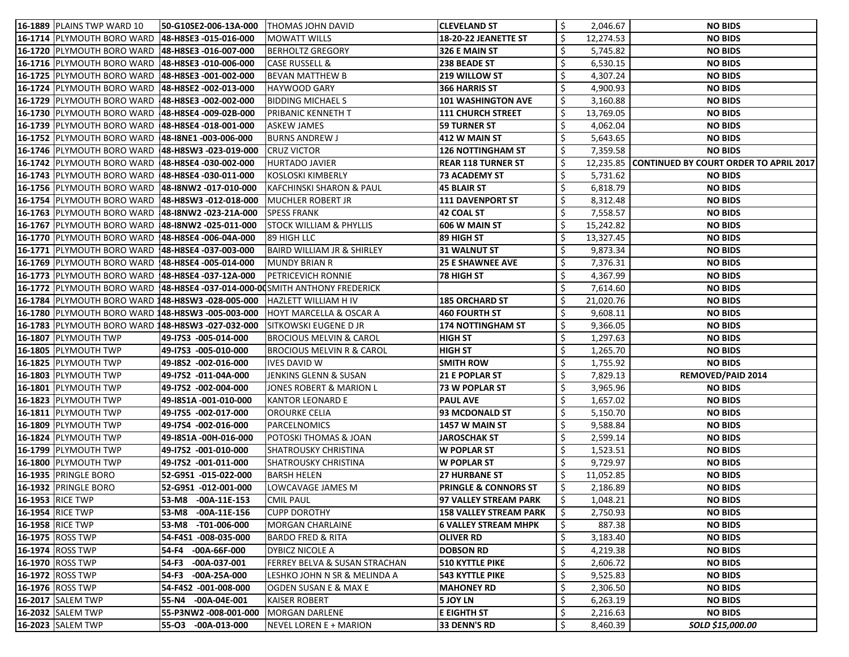| <b>16-1889</b>  PLAINS TWP WARD 10<br>50-G10SE2-006-13A-000                  | <b>THOMAS JOHN DAVID</b>              | <b>CLEVELAND ST</b>             | Ś.           | 2,046.67  | <b>NO BIDS</b>                                   |
|------------------------------------------------------------------------------|---------------------------------------|---------------------------------|--------------|-----------|--------------------------------------------------|
| 16-1714 PLYMOUTH BORO WARD<br>48-H8SE3 -015-016-000                          | MOWATT WILLS                          | <b>18-20-22 JEANETTE ST</b>     | \$           | 12,274.53 | <b>NO BIDS</b>                                   |
| 16-1720  PLYMOUTH BORO WARD<br>48-H8SE3 -016-007-000                         | BERHOLTZ GREGORY                      | 326 E MAIN ST                   |              | 5,745.82  | <b>NO BIDS</b>                                   |
| 16-1716   PLYMOUTH BORO WARD<br>48-H8SE3 -010-006-000                        | <b>CASE RUSSELL &amp;</b>             | <b>238 BEADE ST</b>             |              | 6,530.15  | <b>NO BIDS</b>                                   |
| 16-1725 PLYMOUTH BORO WARD<br>48-H8SE3 -001-002-000                          | BEVAN MATTHEW B                       | <b>219 WILLOW ST</b>            | \$           | 4,307.24  | <b>NO BIDS</b>                                   |
| 16-1724 PLYMOUTH BORO WARD<br>48-H8SE2 -002-013-000                          | HAYWOOD GARY                          | 366 HARRIS ST                   | \$           | 4,900.93  | <b>NO BIDS</b>                                   |
| 16-1729 PLYMOUTH BORO WARD 48-H8SE3 -002-002-000                             | <b>BIDDING MICHAELS</b>               | 101 WASHINGTON AVE              |              | 3,160.88  | <b>NO BIDS</b>                                   |
| 16-1730  PLYMOUTH BORO WARD  48-H8SE4 -009-02B-000                           | PRIBANIC KENNETH T                    | <b>111 CHURCH STREET</b>        |              | 13,769.05 | <b>NO BIDS</b>                                   |
| 16-1739 PLYMOUTH BORO WARD<br>48-H8SE4 -018-001-000                          | <b>ASKEW JAMES</b>                    | 59 TURNER ST                    |              | 4,062.04  | <b>NO BIDS</b>                                   |
| 16-1752 PLYMOUTH BORO WARD   48-18NE1 -003-006-000                           | <b>BURNS ANDREW J</b>                 | 412 W MAIN ST                   |              | 5,643.65  | <b>NO BIDS</b>                                   |
| 16-1746  PLYMOUTH BORO WARD  48-H8SW3 -023-019-000                           | <b>CRUZ VICTOR</b>                    | <b>126 NOTTINGHAM ST</b>        |              | 7,359.58  | <b>NO BIDS</b>                                   |
| 16-1742  PLYMOUTH BORO WARD  48-H8SE4 -030-002-000                           | <b>HURTADO JAVIER</b>                 | <b>REAR 118 TURNER ST</b>       |              |           | 12,235.85 CONTINUED BY COURT ORDER TO APRIL 2017 |
| 16-1743 PLYMOUTH BORO WARD   48-H8SE4 -030-011-000                           | KOSLOSKI KIMBERLY                     | <b>73 ACADEMY ST</b>            | \$           | 5,731.62  | <b>NO BIDS</b>                                   |
| 16-1756 PLYMOUTH BORO WARD<br>48-18NW2 -017-010-000                          | <b>KAFCHINSKI SHARON &amp; PAUL</b>   | 45 BLAIR ST                     |              | 6,818.79  | <b>NO BIDS</b>                                   |
| 16-1754 PLYMOUTH BORO WARD<br>48-H8SW3 -012-018-000                          | <b>MUCHLER ROBERT JR</b>              | <b>111 DAVENPORT ST</b>         | \$           | 8,312.48  | <b>NO BIDS</b>                                   |
| 16-1763 PLYMOUTH BORO WARD 148-18NW2 -023-21A-000                            | <b>SPESS FRANK</b>                    | 42 COAL ST                      | \$           | 7,558.57  | <b>NO BIDS</b>                                   |
| 16-1767  PLYMOUTH BORO WARD<br>48-I8NW2 -025-011-000                         | <b>STOCK WILLIAM &amp; PHYLLIS</b>    | 606 W MAIN ST                   | \$           | 15,242.82 | <b>NO BIDS</b>                                   |
| 16-1770 PLYMOUTH BORO WARD   48-H8SE4 -006-04A-000                           | 89 HIGH LLC                           | 89 HIGH ST                      |              | 13,327.45 | <b>NO BIDS</b>                                   |
| 16-1771  PLYMOUTH BORO WARD  48-H8SE4 -037-003-000                           | <b>BAIRD WILLIAM JR &amp; SHIRLEY</b> | <b>31 WALNUT ST</b>             |              | 9,873.34  | <b>NO BIDS</b>                                   |
| 16-1769 PLYMOUTH BORO WARD<br>148-H8SE4 -005-014-000                         | <b>MUNDY BRIAN R</b>                  | <b>25 E SHAWNEE AVE</b>         | \$           | 7,376.31  | <b>NO BIDS</b>                                   |
| 16-1773 PLYMOUTH BORO WARD 48-H8SE4 -037-12A-000                             | <b>PETRICEVICH RONNIE</b>             | 78 HIGH ST                      | \$           | 4,367.99  | <b>NO BIDS</b>                                   |
| 16-1772  PLYMOUTH BORO WARD  48-H8SE4 -037-014-000-00SMITH ANTHONY FREDERICK |                                       |                                 |              | 7,614.60  | <b>NO BIDS</b>                                   |
| 16-1784   PLYMOUTH BORO WARD 148-H8SW3 -028-005-000                          | <b>HAZLETT WILLIAM H IV</b>           | <b>185 ORCHARD ST</b>           |              | 21,020.76 | <b>NO BIDS</b>                                   |
| 16-1780 PLYMOUTH BORO WARD 148-H8SW3 -005-003-000                            | <b>HOYT MARCELLA &amp; OSCAR A</b>    | 460 FOURTH ST                   |              | 9,608.11  | <b>NO BIDS</b>                                   |
| 16-1783 PLYMOUTH BORO WARD 148-H8SW3 -027-032-000                            | SITKOWSKI EUGENE D JR                 | 174 NOTTINGHAM ST               | \$           | 9,366.05  | <b>NO BIDS</b>                                   |
| 16-1807 PLYMOUTH TWP<br>49-17S3 -005-014-000                                 | <b>BROCIOUS MELVIN &amp; CAROL</b>    | <b>HIGH ST</b>                  | $\mathsf{S}$ | 1,297.63  | <b>NO BIDS</b>                                   |
| 16-1805 PLYMOUTH TWP<br>49-17S3 -005-010-000                                 | BROCIOUS MELVIN R & CAROL             | <b>HIGH ST</b>                  | $\mathsf{S}$ | 1,265.70  | <b>NO BIDS</b>                                   |
| 16-1825 PLYMOUTH TWP<br>49-18S2 -002-016-000                                 | <b>IVES DAVID W</b>                   | <b>SMITH ROW</b>                | \$           | 1,755.92  | <b>NO BIDS</b>                                   |
| 16-1803 PLYMOUTH TWP<br>49-17S2 -011-04A-000                                 | JENKINS GLENN & SUSAN                 | <b>21 E POPLAR ST</b>           |              | 7,829.13  | <b>REMOVED/PAID 2014</b>                         |
| 16-1801 PLYMOUTH TWP<br>49-17S2 -002-004-000                                 | JONES ROBERT & MARION L               | <b>73 W POPLAR ST</b>           |              | 3,965.96  | <b>NO BIDS</b>                                   |
| 16-1823 PLYMOUTH TWP<br>49-18S1A -001-010-000                                | <b>KANTOR LEONARD E</b>               | <b>PAUL AVE</b>                 | \$.          | 1,657.02  | <b>NO BIDS</b>                                   |
| 16-1811 PLYMOUTH TWP<br>49-1755 -002-017-000                                 | <b>OROURKE CELIA</b>                  | 93 MCDONALD ST                  | ¢.           | 5,150.70  | <b>NO BIDS</b>                                   |
| <b>16-1809 PLYMOUTH TWP</b><br>49-17S4 -002-016-000                          | PARCELNOMICS                          | <b>1457 W MAIN ST</b>           |              | 9,588.84  | <b>NO BIDS</b>                                   |
| 16-1824 PLYMOUTH TWP<br>49-18S1A -00H-016-000                                | POTOSKI THOMAS & JOAN                 | <b>JAROSCHAK ST</b>             | \$           | 2,599.14  | <b>NO BIDS</b>                                   |
| 16-1799 PLYMOUTH TWP<br>49-17S2 -001-010-000                                 | <b>SHATROUSKY CHRISTINA</b>           | <b>W POPLAR ST</b>              | \$           | 1,523.51  | <b>NO BIDS</b>                                   |
| 16-1800 PLYMOUTH TWP<br>49-17S2 -001-011-000                                 | <b>SHATROUSKY CHRISTINA</b>           | W POPLAR ST                     |              | 9,729.97  | <b>NO BIDS</b>                                   |
| <b>16-1935 PRINGLE BORO</b><br>52-G9S1 -015-022-000                          | BARSH HELEN                           | <b>27 HURBANE ST</b>            |              | 11,052.85 | <b>NO BIDS</b>                                   |
| <b>16-1932 PRINGLE BORO</b><br>52-G9S1 -012-001-000                          | LOWCAVAGE JAMES M                     | <b>PRINGLE &amp; CONNORS ST</b> |              | 2,186.89  | <b>NO BIDS</b>                                   |
| 16-1953 RICE TWP<br>53-M8 -00A-11E-153                                       | <b>CMIL PAUL</b>                      | 97 VALLEY STREAM PARK           | \$           | 1,048.21  | <b>NO BIDS</b>                                   |
| 16-1954 RICE TWP<br>$-00A-11E-156$<br> 53-M8                                 | <b>CUPP DOROTHY</b>                   | <b>158 VALLEY STREAM PARK</b>   |              | 2,750.93  | <b>NO BIDS</b>                                   |
| 16-1958 RICE TWP<br>53-M8 -T01-006-000                                       | MORGAN CHARLAINE                      | <b>6 VALLEY STREAM MHPK</b>     |              | 887.38    | <b>NO BIDS</b>                                   |
| 16-1975 ROSS TWP<br>54-F4S1 -008-035-000                                     | <b>BARDO FRED &amp; RITA</b>          | <b>OLIVER RD</b>                | Ś            | 3,183.40  | <b>NO BIDS</b>                                   |
| 16-1974 ROSS TWP<br>54-F4 -00A-66F-000                                       | <b>DYBICZ NICOLE A</b>                | <b>DOBSON RD</b>                | \$           | 4,219.38  | <b>NO BIDS</b>                                   |
| 16-1970 ROSS TWP<br>$-00A-037-001$<br>54-F3                                  | FERREY BELVA & SUSAN STRACHAN         | 510 KYTTLE PIKE                 | \$           | 2,606.72  | <b>NO BIDS</b>                                   |
| 16-1972 ROSS TWP<br>54-F3 -00A-25A-000                                       | LESHKO JOHN N SR & MELINDA A          | <b>543 KYTTLE PIKE</b>          | \$           | 9,525.83  | <b>NO BIDS</b>                                   |
| 16-1976 ROSS TWP<br>54-F4S2 -001-008-000                                     | OGDEN SUSAN E & MAX E                 | <b>MAHONEY RD</b>               | \$           | 2,306.50  | <b>NO BIDS</b>                                   |
| 16-2017 SALEM TWP<br>55-N4 -00A-04E-001                                      | <b>KAISER ROBERT</b>                  | 5 JOY LN                        | \$           | 6,263.19  | <b>NO BIDS</b>                                   |
| 16-2032 SALEM TWP<br>55-P3NW2 -008-001-000                                   | MORGAN DARLENE                        | <b>E EIGHTH ST</b>              | \$           | 2,216.63  | <b>NO BIDS</b>                                   |
| 16-2023 SALEM TWP<br>55-03 -00A-013-000                                      | NEVEL LOREN E + MARION                | 33 DENN'S RD                    | \$           | 8,460.39  | SOLD \$15,000.00                                 |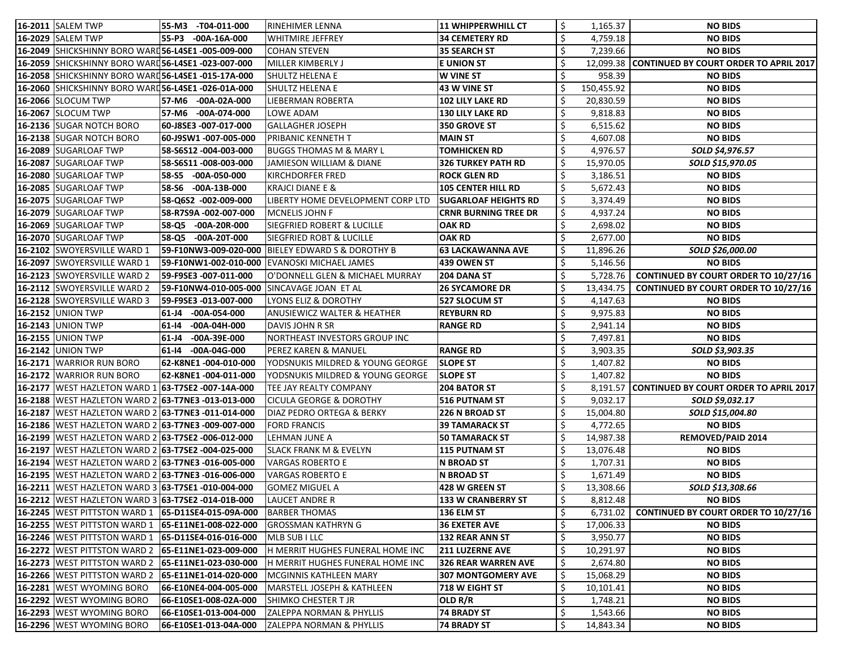| 16-2011 SALEM TWP  |                                                        |             | 55-M3 -T04-011-000    | <b>RINEHIMER LENNA</b>                     | 11 WHIPPERWHILL CT          | S.           | 1,165.37   | <b>NO BIDS</b>                                   |
|--------------------|--------------------------------------------------------|-------------|-----------------------|--------------------------------------------|-----------------------------|--------------|------------|--------------------------------------------------|
| 16-2029 SALEM TWP  |                                                        |             | 55-P3 -00A-16A-000    | <b>WHITMIRE JEFFREY</b>                    | <b>34 CEMETERY RD</b>       | \$           | 4,759.18   | <b>NO BIDS</b>                                   |
|                    | 16-2049 SHICKSHINNY BORO WARD56-L4SE1 -005-009-000     |             |                       | <b>COHAN STEVEN</b>                        | 35 SEARCH ST                |              | 7,239.66   | <b>NO BIDS</b>                                   |
|                    | 16-2059 SHICKSHINNY BORO WARD56-L4SE1 -023-007-000     |             |                       | <b>MILLER KIMBERLY J</b>                   | <b>E UNION ST</b>           |              |            | 12,099.38 CONTINUED BY COURT ORDER TO APRIL 2017 |
|                    | 16-2058 SHICKSHINNY BORO WARD 56-L4SE1 -015-17A-000    |             |                       | SHULTZ HELENA E                            | <b>W VINE ST</b>            |              | 958.39     | <b>NO BIDS</b>                                   |
|                    | 16-2060 SHICKSHINNY BORO WARD56-L4SE1 -026-01A-000     |             |                       | <b>SHULTZ HELENA E</b>                     | 43 W VINE ST                |              | 150,455.92 | <b>NO BIDS</b>                                   |
|                    | 16-2066 SLOCUM TWP                                     |             | 57-M6 -00A-02A-000    | <b>LIEBERMAN ROBERTA</b>                   | 102 LILY LAKE RD            |              | 20,830.59  | <b>NO BIDS</b>                                   |
|                    | <b>16-2067 SLOCUM TWP</b>                              |             | 57-M6 -00A-074-000    | <b>LOWE ADAM</b>                           | <b>130 LILY LAKE RD</b>     |              | 9,818.83   | <b>NO BIDS</b>                                   |
|                    | 16-2136 SUGAR NOTCH BORO                               |             | 60-J8SE3 -007-017-000 | <b>GALLAGHER JOSEPH</b>                    | 350 GROVE ST                |              | 6,515.62   | <b>NO BIDS</b>                                   |
|                    | 16-2138 SUGAR NOTCH BORO                               |             | 60-J9SW1 -007-005-000 | PRIBANIC KENNETH T                         | <b>MAIN ST</b>              | \$           | 4,607.08   | <b>NO BIDS</b>                                   |
|                    | 16-2089 SUGARLOAF TWP                                  |             | 58-S6S12 -004-003-000 | BUGGS THOMAS M & MARY L                    | <b>TOMHICKEN RD</b>         |              | 4,976.57   | SOLD \$4,976.57                                  |
|                    | 16-2087 SUGARLOAF TWP                                  |             | 58-S6S11 -008-003-000 | JAMIESON WILLIAM & DIANE                   | 326 TURKEY PATH RD          | \$           | 15,970.05  | SOLD \$15,970.05                                 |
|                    | 16-2080 SUGARLOAF TWP                                  |             | 58-S5 -00A-050-000    | <b>KIRCHDORFER FRED</b>                    | <b>ROCK GLEN RD</b>         | Ś            | 3,186.51   | <b>NO BIDS</b>                                   |
|                    | 16-2085 SUGARLOAF TWP                                  |             | 58-S6 -00A-13B-000    | <b>KRAJCI DIANE E &amp;</b>                | <b>105 CENTER HILL RD</b>   |              | 5,672.43   | <b>NO BIDS</b>                                   |
|                    | 16-2075 SUGARLOAF TWP                                  |             | 58-Q6S2 -002-009-000  | LIBERTY HOME DEVELOPMENT CORP LTD          | <b>SUGARLOAF HEIGHTS RD</b> | \$           | 3,374.49   | <b>NO BIDS</b>                                   |
|                    | 16-2079 SUGARLOAF TWP                                  |             | 58-R7S9A -002-007-000 | MCNELIS JOHN F                             | <b>CRNR BURNING TREE DR</b> | $\mathsf{S}$ | 4,937.24   | <b>NO BIDS</b>                                   |
|                    | 16-2069 SUGARLOAF TWP                                  |             | 58-Q5 -00A-20R-000    | <b>SIEGFRIED ROBERT &amp; LUCILLE</b>      | <b>OAK RD</b>               | \$           | 2,698.02   | <b>NO BIDS</b>                                   |
|                    | 16-2070 SUGARLOAF TWP                                  |             | 58-Q5 -00A-20T-000    | <b>SIEGFRIED ROBT &amp; LUCILLE</b>        | <b>OAK RD</b>               |              | 2,677.00   | <b>NO BIDS</b>                                   |
|                    | 16-2102 SWOYERSVILLE WARD 1                            |             | 59-F10NW3-009-020-000 | BIELEY EDWARD S & DOROTHY B                | <b>63 LACKAWANNA AVE</b>    | \$           | 11,896.26  | SOLD \$26,000.00                                 |
|                    | 16-2097 SWOYERSVILLE WARD 1                            |             | 59-F10NW1-002-010-000 | EVANOSKI MICHAEL JAMES                     | 439 OWEN ST                 |              | 5,146.56   | <b>NO BIDS</b>                                   |
|                    | 16-2123 SWOYERSVILLE WARD 2                            |             | 59-F9SE3 -007-011-000 | O'DONNELL GLEN & MICHAEL MURRAY            | <b>204 DANA ST</b>          |              | 5,728.76   | <b>CONTINUED BY COURT ORDER TO 10/27/16</b>      |
|                    | 16-2112 SWOYERSVILLE WARD 2                            |             |                       | 59-F10NW4-010-005-000 SINCAVAGE JOAN ET AL | <b>26 SYCAMORE DR</b>       |              | 13,434.75  | <b>CONTINUED BY COURT ORDER TO 10/27/16</b>      |
|                    | 16-2128 SWOYERSVILLE WARD 3                            |             | 59-F9SE3 -013-007-000 | LYONS ELIZ & DOROTHY                       | 527 SLOCUM ST               |              | 4,147.63   | <b>NO BIDS</b>                                   |
| 16-2152 UNION TWP  |                                                        |             | 61-J4 -00A-054-000    | <b>ANUSIEWICZ WALTER &amp; HEATHER</b>     | <b>REYBURN RD</b>           | \$           | 9,975.83   | <b>NO BIDS</b>                                   |
| 16-2143  UNION TWP |                                                        | 61-14       | $-00A-04H-000$        | DAVIS JOHN R SR                            | RANGE RD                    | \$           | 2,941.14   | <b>NO BIDS</b>                                   |
| 16-2155 UNION TWP  |                                                        | $ 61 - J4 $ | $-00A-39E-000$        | NORTHEAST INVESTORS GROUP INC              |                             | \$           | 7,497.81   | <b>NO BIDS</b>                                   |
| 16-2142 UNION TWP  |                                                        |             | 61-14 -00A-04G-000    | PEREZ KAREN & MANUEL                       | <b>RANGE RD</b>             | \$           | 3,903.35   | SOLD \$3,903.35                                  |
|                    | 16-2171 WARRIOR RUN BORO                               |             | 62-K8NE1 -004-010-000 | YODSNUKIS MILDRED & YOUNG GEORGE           | <b>SLOPE ST</b>             | \$           | 1,407.82   | <b>NO BIDS</b>                                   |
|                    | 16-2172 WARRIOR RUN BORO                               |             | 62-K8NE1 -004-011-000 | YODSNUKIS MILDRED & YOUNG GEORGE           | <b>SLOPE ST</b>             | \$           | 1,407.82   | <b>NO BIDS</b>                                   |
|                    | 16-2177 WEST HAZLETON WARD 1 63-T7SE2 -007-14A-000     |             |                       | TEE JAY REALTY COMPANY                     | <b>204 BATOR ST</b>         |              |            | 8,191.57 CONTINUED BY COURT ORDER TO APRIL 2017  |
|                    | 16-2188 WEST HAZLETON WARD 2 63-T7NE3 -013-013-000     |             |                       | <b>CICULA GEORGE &amp; DOROTHY</b>         | 516 PUTNAM ST               |              | 9,032.17   | SOLD \$9,032.17                                  |
|                    | 16-2187 WEST HAZLETON WARD 2 63-T7NE3 -011-014-000     |             |                       | DIAZ PEDRO ORTEGA & BERKY                  | 226 N BROAD ST              | \$           | 15,004.80  | SOLD \$15,004.80                                 |
|                    | 16-2186   WEST HAZLETON WARD 2   63-T7NE3 -009-007-000 |             |                       | <b>FORD FRANCIS</b>                        | <b>39 TAMARACK ST</b>       | \$           | 4,772.65   | <b>NO BIDS</b>                                   |
|                    | 16-2199 WEST HAZLETON WARD 2 63-T7SE2 -006-012-000     |             |                       | LEHMAN JUNE A                              | <b>50 TAMARACK ST</b>       | \$           | 14,987.38  | <b>REMOVED/PAID 2014</b>                         |
|                    | 16-2197   WEST HAZLETON WARD 2 63-T7SE2 -004-025-000   |             |                       | <b>SLACK FRANK M &amp; EVELYN</b>          | 115 PUTNAM ST               | \$           | 13,076.48  | <b>NO BIDS</b>                                   |
|                    | 16-2194   WEST HAZLETON WARD 2 63-T7NE3 -016-005-000   |             |                       | <b>VARGAS ROBERTO E</b>                    | <b>N BROAD ST</b>           | \$           | 1,707.31   | <b>NO BIDS</b>                                   |
|                    | 16-2195   WEST HAZLETON WARD 2 63-T7NE3 -016-006-000   |             |                       | <b>VARGAS ROBERTO E</b>                    | <b>N BROAD ST</b>           | \$           | 1,671.49   | <b>NO BIDS</b>                                   |
|                    | 16-2211   WEST HAZLETON WARD 3 63-T7SE1 -010-004-000   |             |                       | GOMEZ MIGUEL A                             | 428 W GREEN ST              |              | 13,308.66  | SOLD \$13,308.66                                 |
|                    | 16-2212 WEST HAZLETON WARD 3 63-T7SE2 -014-01B-000     |             |                       | <b>LAUCET ANDRE R</b>                      | <b>133 W CRANBERRY ST</b>   | \$           | 8,812.48   | <b>NO BIDS</b>                                   |
|                    | 16-2245  WEST PITTSTON WARD 1  65-D11SE4-015-09A-000   |             |                       | <b>BARBER THOMAS</b>                       | 136 ELM ST                  | \$           | 6,731.02   | <b>CONTINUED BY COURT ORDER TO 10/27/16</b>      |
|                    | 16-2255   WEST PITTSTON WARD 1   65-E11NE1-008-022-000 |             |                       | GROSSMAN KATHRYN G                         | <b>36 EXETER AVE</b>        | \$           | 17,006.33  | <b>NO BIDS</b>                                   |
|                    | 16-2246   WEST PITTSTON WARD 1                         |             | 65-D11SE4-016-016-000 | MLB SUB I LLC                              | <b>132 REAR ANN ST</b>      | Ś            | 3,950.77   | <b>NO BIDS</b>                                   |
|                    | 16-2272   WEST PITTSTON WARD 2   65-E11NE1-023-009-000 |             |                       | H MERRIT HUGHES FUNERAL HOME INC           | <b>211 LUZERNE AVE</b>      | \$           | 10,291.97  | <b>NO BIDS</b>                                   |
|                    | 16-2273  WEST PITTSTON WARD 2                          |             | 65-E11NE1-023-030-000 | H MERRIT HUGHES FUNERAL HOME INC           | 326 REAR WARREN AVE         |              | 2,674.80   | <b>NO BIDS</b>                                   |
|                    | 16-2266  WEST PITTSTON WARD 2                          |             | 65-E11NE1-014-020-000 | MCGINNIS KATHLEEN MARY                     | <b>307 MONTGOMERY AVE</b>   | \$           | 15,068.29  | <b>NO BIDS</b>                                   |
|                    | 16-2281 WEST WYOMING BORO                              |             | 66-E10NE4-004-005-000 | MARSTELL JOSEPH & KATHLEEN                 | <b>718 W EIGHT ST</b>       | \$           | 10,101.41  | <b>NO BIDS</b>                                   |
|                    | 16-2292 WEST WYOMING BORO                              |             | 66-E10SE1-008-02A-000 | <b>SHIMKO CHESTER T JR</b>                 | OLD R/R                     | \$           | 1,748.21   | <b>NO BIDS</b>                                   |
|                    | 16-2293 WEST WYOMING BORO                              |             | 66-E10SE1-013-004-000 | <b>ZALEPPA NORMAN &amp; PHYLLIS</b>        | <b>74 BRADY ST</b>          | \$           | 1,543.66   | <b>NO BIDS</b>                                   |
|                    | 16-2296 WEST WYOMING BORO                              |             | 66-E10SE1-013-04A-000 | <b>ZALEPPA NORMAN &amp; PHYLLIS</b>        | <b>74 BRADY ST</b>          | \$           | 14,843.34  | <b>NO BIDS</b>                                   |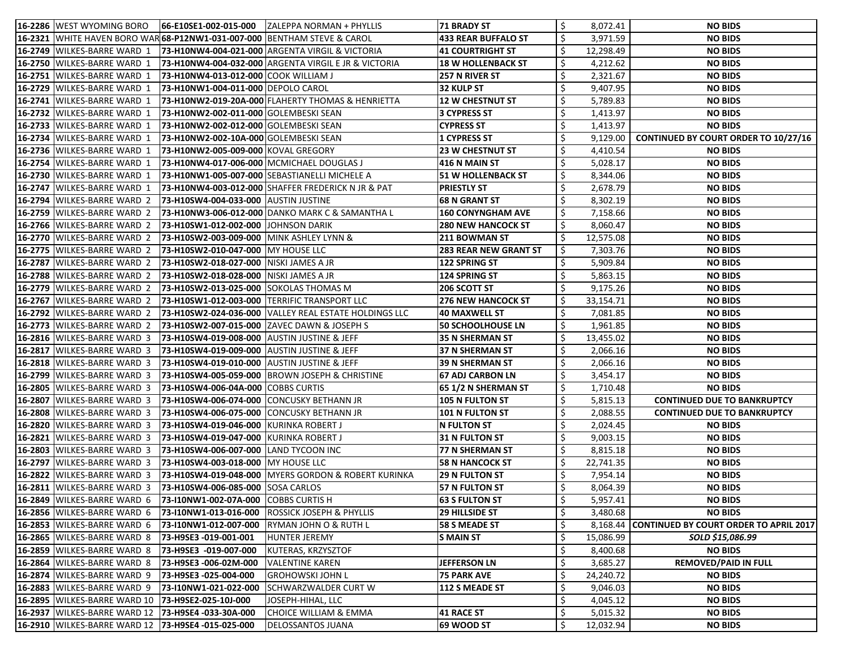| 16-2286 WEST WYOMING BORO                                                                    |                                                        |                                                               | <b>71 BRADY ST</b>           | \$ | 8,072.41  | <b>NO BIDS</b>                                  |
|----------------------------------------------------------------------------------------------|--------------------------------------------------------|---------------------------------------------------------------|------------------------------|----|-----------|-------------------------------------------------|
| <b>16-2321</b>  WHITE HAVEN BORO WAR $ $ <b>68-P12NW1-031-007-000</b>  BENTHAM STEVE & CAROL |                                                        |                                                               | 433 REAR BUFFALO ST          | \$ | 3,971.59  | <b>NO BIDS</b>                                  |
| <b>16-2749  WILKES-BARRE WARD 1</b>                                                          |                                                        | <b>73-H10NW4-004-021-000 ARGENTA VIRGIL &amp; VICTORIA</b>    | <b>41 COURTRIGHT ST</b>      |    | 12,298.49 | <b>NO BIDS</b>                                  |
| 16-2750 WILKES-BARRE WARD 1                                                                  |                                                        | 73-H10NW4-004-032-000 ARGENTA VIRGIL E JR & VICTORIA          | <b>18 W HOLLENBACK ST</b>    | \$ | 4,212.62  | <b>NO BIDS</b>                                  |
| 16-2751 WILKES-BARRE WARD 1                                                                  | 73-H10NW4-013-012-000 COOK WILLIAM J                   |                                                               | <b>257 N RIVER ST</b>        | \$ | 2,321.67  | <b>NO BIDS</b>                                  |
| 16-2729   WILKES-BARRE WARD 1                                                                | 73-H10NW1-004-011-000 DEPOLO CAROL                     |                                                               | 32 KULP ST                   | \$ | 9,407.95  | <b>NO BIDS</b>                                  |
| 16-2741   WILKES-BARRE WARD 1                                                                |                                                        | 73-H10NW2-019-20A-000 FLAHERTY THOMAS & HENRIETTA             | <b>12 W CHESTNUT ST</b>      |    | 5,789.83  | <b>NO BIDS</b>                                  |
| 16-2732 WILKES-BARRE WARD 1                                                                  | 73-H10NW2-002-011-000 GOLEMBESKI SEAN                  |                                                               | 3 CYPRESS ST                 | \$ | 1,413.97  | <b>NO BIDS</b>                                  |
| 16-2733   WILKES-BARRE WARD 1                                                                | 73-H10NW2-002-012-000 GOLEMBESKI SEAN                  |                                                               | <b>CYPRESS ST</b>            | \$ | 1,413.97  | <b>NO BIDS</b>                                  |
| 16-2734 WILKES-BARRE WARD 1                                                                  | 73-H10NW2-002-10A-000 GOLEMBESKI SEAN                  |                                                               | 1 CYPRESS ST                 | \$ | 9,129.00  | <b>CONTINUED BY COURT ORDER TO 10/27/16</b>     |
| <b>16-2736 WILKES-BARRE WARD 1</b>                                                           | 73-H10NW2-005-009-000 KOVAL GREGORY                    |                                                               | <b>23 W CHESTNUT ST</b>      | \$ | 4,410.54  | <b>NO BIDS</b>                                  |
| <b>16-2754 WILKES-BARRE WARD 1</b>                                                           | 73-H10NW4-017-006-000   MCMICHAEL DOUGLAS J            |                                                               | 416 N MAIN ST                | \$ | 5,028.17  | <b>NO BIDS</b>                                  |
| 16-2730 WILKES-BARRE WARD 1                                                                  |                                                        | 73-H10NW1-005-007-000 SEBASTIANELLI MICHELE A                 | <b>51 W HOLLENBACK ST</b>    | \$ | 8,344.06  | <b>NO BIDS</b>                                  |
| <b>16-2747  WILKES-BARRE WARD 1</b>                                                          |                                                        | <b>73-H10NW4-003-012-000 SHAFFER FREDERICK N JR &amp; PAT</b> | <b>PRIESTLY ST</b>           |    | 2,678.79  | <b>NO BIDS</b>                                  |
| 16-2794   WILKES-BARRE WARD 2                                                                | 73-H10SW4-004-033-000 AUSTIN JUSTINE                   |                                                               | 68 N GRANT ST                |    | 8,302.19  | <b>NO BIDS</b>                                  |
| 16-2759 WILKES-BARRE WARD 2                                                                  |                                                        | 73-H10NW3-006-012-000 DANKO MARK C & SAMANTHA L               | <b>160 CONYNGHAM AVE</b>     | \$ | 7,158.66  | <b>NO BIDS</b>                                  |
| 16-2766 WILKES-BARRE WARD 2                                                                  | 73-H10SW1-012-002-000 JJOHNSON DARIK                   |                                                               | <b>280 NEW HANCOCK ST</b>    | \$ | 8,060.47  | <b>NO BIDS</b>                                  |
| 16-2770 WILKES-BARRE WARD 2                                                                  | 73-H10SW2-003-009-000  MINK ASHLEY LYNN &              |                                                               | <b>211 BOWMAN ST</b>         |    | 12,575.08 | <b>NO BIDS</b>                                  |
| <b>16-2775 WILKES-BARRE WARD 2</b>                                                           | 73-H10SW2-010-047-000 MY HOUSE LLC                     |                                                               | <b>283 REAR NEW GRANT ST</b> |    | 7,303.76  | <b>NO BIDS</b>                                  |
| 16-2787   WILKES-BARRE WARD 2                                                                | 73-H10SW2-018-027-000  NISKI JAMES A JR                |                                                               | 122 SPRING ST                |    | 5,909.84  | <b>NO BIDS</b>                                  |
| 16-2788 WILKES-BARRE WARD 2                                                                  | 73-H10SW2-018-028-000  NISKI JAMES A JR                |                                                               | 124 SPRING ST                |    | 5,863.15  | <b>NO BIDS</b>                                  |
| <b>16-2779  WILKES-BARRE WARD 2</b>                                                          | 73-H10SW2-013-025-000 SOKOLAS THOMAS M                 |                                                               | 206 SCOTT ST                 |    | 9,175.26  | <b>NO BIDS</b>                                  |
| 16-2767   WILKES-BARRE WARD 2                                                                | 73-H10SW1-012-003-000  TERRIFIC TRANSPORT LLC          |                                                               | <b>276 NEW HANCOCK ST</b>    | \$ | 33,154.71 | <b>NO BIDS</b>                                  |
| 16-2792 WILKES-BARRE WARD 2                                                                  |                                                        | 73-H10SW2-024-036-000 VALLEY REAL ESTATE HOLDINGS LLC         | 40 MAXWELL ST                |    | 7,081.85  | <b>NO BIDS</b>                                  |
| 16-2773   WILKES-BARRE WARD 2                                                                | <b>73-H10SW2-007-015-000 ZAVEC DAWN &amp; JOSEPH S</b> |                                                               | <b>50 SCHOOLHOUSE LN</b>     |    | 1,961.85  | <b>NO BIDS</b>                                  |
| <b>16-2816 WILKES-BARRE WARD 3</b>                                                           | 73-H10SW4-019-008-000  AUSTIN JUSTINE & JEFF           |                                                               | 35 N SHERMAN ST              | \$ | 13,455.02 | <b>NO BIDS</b>                                  |
| 16-2817 WILKES-BARRE WARD 3                                                                  | 73-H10SW4-019-009-000 AUSTIN JUSTINE & JEFF            |                                                               | 37 N SHERMAN ST              | \$ | 2,066.16  | <b>NO BIDS</b>                                  |
| <b>16-2818 WILKES-BARRE WARD 3</b>                                                           | 73-H10SW4-019-010-000  AUSTIN JUSTINE & JEFF           |                                                               | 39 N SHERMAN ST              |    | 2,066.16  | <b>NO BIDS</b>                                  |
| 16-2799 WILKES-BARRE WARD 3                                                                  |                                                        | 73-H10SW4-005-059-000  BROWN JOSEPH & CHRISTINE               | 67 ADJ CARBON LN             |    | 3,454.17  | <b>NO BIDS</b>                                  |
| 16-2805 WILKES-BARRE WARD 3                                                                  | 73-H10SW4-006-04A-000 COBBS CURTIS                     |                                                               | <b>65 1/2 N SHERMAN ST</b>   | \$ | 1,710.48  | <b>NO BIDS</b>                                  |
| <b>16-2807 WILKES-BARRE WARD 3</b>                                                           | 73-H10SW4-006-074-000 CONCUSKY BETHANN JR              |                                                               | <b>105 N FULTON ST</b>       | \$ | 5,815.13  | <b>CONTINUED DUE TO BANKRUPTCY</b>              |
| 16-2808 WILKES-BARRE WARD 3 73-H10SW4-006-075-000 CONCUSKY BETHANN JR                        |                                                        |                                                               | 101 N FULTON ST              | ¢. | 2,088.55  | <b>CONTINUED DUE TO BANKRUPTCY</b>              |
| 16-2820 WILKES-BARRE WARD 3                                                                  | 73-H10SW4-019-046-000 KURINKA ROBERT J                 |                                                               | <b>N FULTON ST</b>           | \$ | 2,024.45  | <b>NO BIDS</b>                                  |
| <b>16-2821 WILKES-BARRE WARD 3</b>                                                           | 73-H10SW4-019-047-000 KURINKA ROBERT J                 |                                                               | <b>31 N FULTON ST</b>        | \$ | 9,003.15  | <b>NO BIDS</b>                                  |
| 16-2803 WILKES-BARRE WARD 3                                                                  | 73-H10SW4-006-007-000 LAND TYCOON INC                  |                                                               | 77 N SHERMAN ST              | \$ | 8,815.18  | <b>NO BIDS</b>                                  |
| 16-2797 WILKES-BARRE WARD 3                                                                  | 73-H10SW4-003-018-000   MY HOUSE LLC                   |                                                               | <b>58 N HANCOCK ST</b>       | \$ | 22,741.35 | <b>NO BIDS</b>                                  |
| 16-2822 WILKES-BARRE WARD 3                                                                  |                                                        | 73-H10SW4-019-048-000 MYERS GORDON & ROBERT KURINKA           | <b>29 N FULTON ST</b>        |    | 7,954.14  | <b>NO BIDS</b>                                  |
| <b>16-2811 WILKES-BARRE WARD 3</b>                                                           | 73-H10SW4-006-085-000 SOSA CARLOS                      |                                                               | 57 N FULTON ST               | \$ | 8,064.39  | <b>NO BIDS</b>                                  |
| 16-2849 WILKES-BARRE WARD 6                                                                  | 73-I10NW1-002-07A-000                                  | <b>COBBS CURTIS H</b>                                         | <b>63 S FULTON ST</b>        | \$ | 5,957.41  | <b>NO BIDS</b>                                  |
| 16-2856 WILKES-BARRE WARD 6                                                                  | 73-I10NW1-013-016-000                                  | ROSSICK JOSEPH & PHYLLIS                                      | <b>29 HILLSIDE ST</b>        | \$ | 3,480.68  | <b>NO BIDS</b>                                  |
| 16-2853 WILKES-BARRE WARD 6                                                                  | 73-110NW1-012-007-000                                  | <b>RYMAN JOHN O &amp; RUTH L</b>                              | <b>58 S MEADE ST</b>         | \$ |           | 8,168.44 CONTINUED BY COURT ORDER TO APRIL 2017 |
| <b>16-2865 WILKES-BARRE WARD 8</b>                                                           | 73-H9SE3 -019-001-001                                  | HUNTER JEREMY                                                 | <b>S MAIN ST</b>             | \$ | 15,086.99 | SOLD \$15,086.99                                |
| <b>16-2859 WILKES-BARRE WARD 8</b>                                                           | 73-H9SE3 -019-007-000                                  | KUTERAS, KRZYSZTOF                                            |                              | \$ | 8,400.68  | <b>NO BIDS</b>                                  |
| 16-2864 WILKES-BARRE WARD 8                                                                  | 73-H9SE3 -006-02M-000                                  | VALENTINE KAREN                                               | <b>JEFFERSON LN</b>          | \$ | 3,685.27  | <b>REMOVED/PAID IN FULL</b>                     |
| 16-2874   WILKES-BARRE WARD 9                                                                | 73-H9SE3 -025-004-000                                  | <b>GROHOWSKI JOHN L</b>                                       | <b>75 PARK AVE</b>           | \$ | 24,240.72 | <b>NO BIDS</b>                                  |
| 16-2883 WILKES-BARRE WARD 9                                                                  | 73-I10NW1-021-022-000                                  | SCHWARZWALDER CURT W                                          | <b>112 S MEADE ST</b>        | \$ | 9,046.03  | <b>NO BIDS</b>                                  |
| 16-2895   WILKES-BARRE WARD 10                                                               | 73-H9SE2-025-10J-000                                   | JOSEPH-HIHAL, LLC                                             |                              | \$ | 4,045.12  | <b>NO BIDS</b>                                  |
| 16-2937   WILKES-BARRE WARD 12                                                               | 73-H9SE4 -033-30A-000                                  | <b>CHOICE WILLIAM &amp; EMMA</b>                              | 41 RACE ST                   | \$ | 5,015.32  | <b>NO BIDS</b>                                  |
| 16-2910 WILKES-BARRE WARD 12 73-H9SE4 -015-025-000                                           |                                                        | DELOSSANTOS JUANA                                             | <b>69 WOOD ST</b>            | \$ | 12,032.94 | <b>NO BIDS</b>                                  |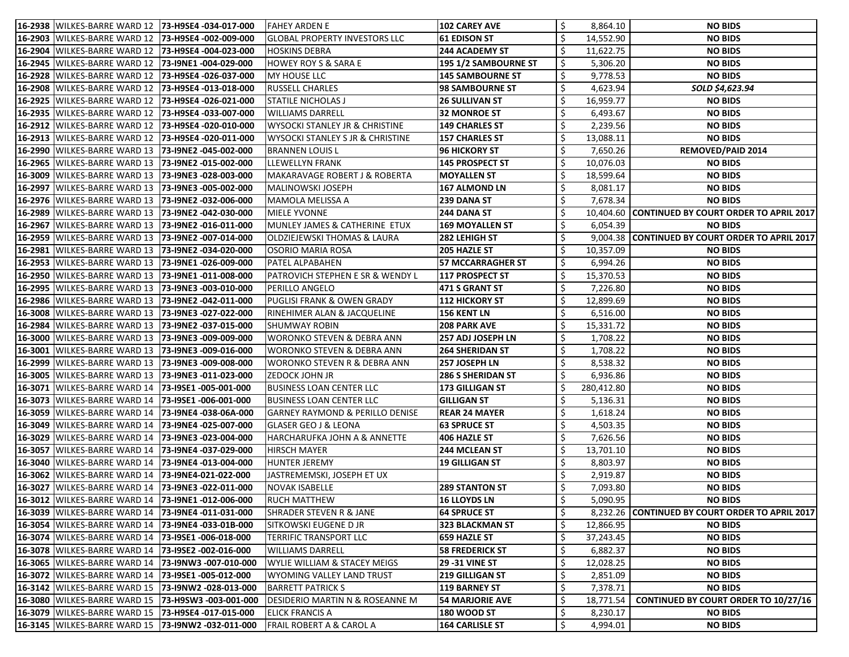| 16-2938   WILKES-BARRE WARD 12   73-H9SE4 -034-017-000 |                       | FAHEY ARDEN E                               | 102 CAREY AVE               |    | 8,864.10   | <b>NO BIDS</b>                                   |
|--------------------------------------------------------|-----------------------|---------------------------------------------|-----------------------------|----|------------|--------------------------------------------------|
| 16-2903 WILKES-BARRE WARD 12                           | 73-H9SE4 -002-009-000 | <b>GLOBAL PROPERTY INVESTORS LLC</b>        | 61 EDISON ST                |    | 14,552.90  | <b>NO BIDS</b>                                   |
| 16-2904 WILKES-BARRE WARD 12                           | 73-H9SE4 -004-023-000 | <b>HOSKINS DEBRA</b>                        | <b>244 ACADEMY ST</b>       |    | 11,622.75  | <b>NO BIDS</b>                                   |
| 16-2945   WILKES-BARRE WARD 12                         | 73-19NE1 -004-029-000 | <b>HOWEY ROY S &amp; SARA E</b>             | <b>195 1/2 SAMBOURNE ST</b> |    | 5,306.20   | <b>NO BIDS</b>                                   |
| 16-2928 WILKES-BARRE WARD 12                           | 73-H9SE4 -026-037-000 | <b>MY HOUSE LLC</b>                         | <b>145 SAMBOURNE ST</b>     | \$ | 9,778.53   | <b>NO BIDS</b>                                   |
| 16-2908 WILKES-BARRE WARD 12                           | 73-H9SE4 -013-018-000 | RUSSELL CHARLES                             | <b>98 SAMBOURNE ST</b>      | \$ | 4,623.94   | SOLD \$4,623.94                                  |
| 16-2925 WILKES-BARRE WARD 12                           | 73-H9SE4 -026-021-000 | <b>STATILE NICHOLAS J</b>                   | <b>26 SULLIVAN ST</b>       |    | 16,959.77  | <b>NO BIDS</b>                                   |
| <b>16-2935   WILKES-BARRE WARD 12</b>                  | 73-H9SE4 -033-007-000 | <b>WILLIAMS DARRELL</b>                     | <b>32 MONROE ST</b>         |    | 6,493.67   | <b>NO BIDS</b>                                   |
| 16-2912 WILKES-BARRE WARD 12                           | 73-H9SE4 -020-010-000 | <b>WYSOCKI STANLEY JR &amp; CHRISTINE</b>   | <b>149 CHARLES ST</b>       |    | 2,239.56   | <b>NO BIDS</b>                                   |
| 16-2913 WILKES-BARRE WARD 12                           | 73-H9SE4 -020-011-000 | <b>WYSOCKI STANLEY S JR &amp; CHRISTINE</b> | <b>157 CHARLES ST</b>       | \$ | 13,088.11  | <b>NO BIDS</b>                                   |
| 16-2990 WILKES-BARRE WARD 13                           | 73-I9NE2 -045-002-000 | BRANNEN LOUIS L                             | 96 HICKORY ST               |    | 7,650.26   | <b>REMOVED/PAID 2014</b>                         |
| 16-2965 WILKES-BARRE WARD 13                           | 73-I9NE2 -015-002-000 | LLEWELLYN FRANK                             | 145 PROSPECT ST             |    | 10,076.03  | <b>NO BIDS</b>                                   |
| <b>16-3009 WILKES-BARRE WARD 13</b>                    | 73-I9NE3 -028-003-000 | MAKARAVAGE ROBERT J & ROBERTA               | <b>MOYALLEN ST</b>          |    | 18,599.64  | <b>NO BIDS</b>                                   |
| <b>16-2997   WILKES-BARRE WARD 13</b>                  | 73-19NE3 -005-002-000 | <b>MALINOWSKI JOSEPH</b>                    | <b>167 ALMOND LN</b>        |    | 8,081.17   | <b>NO BIDS</b>                                   |
| 16-2976 WILKES-BARRE WARD 13                           | 73-19NE2 -032-006-000 | MAMOLA MELISSA A                            | 239 DANA ST                 |    | 7,678.34   | <b>NO BIDS</b>                                   |
| 16-2989 WILKES-BARRE WARD 13                           | 73-I9NE2 -042-030-000 | <b>MIELE YVONNE</b>                         | 244 DANA ST                 |    |            | 10,404.60 CONTINUED BY COURT ORDER TO APRIL 2017 |
| 16-2967 WILKES-BARRE WARD 13                           | 73-19NE2 -016-011-000 | MUNLEY JAMES & CATHERINE ETUX               | 169 MOYALLEN ST             |    | 6,054.39   | <b>NO BIDS</b>                                   |
| 16-2959 WILKES-BARRE WARD 13                           | 73-I9NE2 -007-014-000 | OLDZIEJEWSKI THOMAS & LAURA                 | 282 LEHIGH ST               |    |            | 9,004.38 CONTINUED BY COURT ORDER TO APRIL 2017  |
| <b>16-2981 WILKES-BARRE WARD 13</b>                    | 73-I9NE2 -034-020-000 | OSORIO MARIA ROSA                           | <b>205 HAZLE ST</b>         |    | 10,357.09  | <b>NO BIDS</b>                                   |
| 16-2953  WILKES-BARRE WARD 13                          | 73-I9NE1 -026-009-000 | <b>PATEL ALPABAHEN</b>                      | <b>57 MCCARRAGHER ST</b>    | \$ | 6,994.26   | <b>NO BIDS</b>                                   |
| 16-2950 WILKES-BARRE WARD 13                           | 73-19NE1 -011-008-000 | PATROVICH STEPHEN E SR & WENDY L            | 117 PROSPECT ST             | \$ | 15,370.53  | <b>NO BIDS</b>                                   |
| 16-2995 WILKES-BARRE WARD 13                           | 73-I9NE3 -003-010-000 | <b>PERILLO ANGELO</b>                       | <b>471 S GRANT ST</b>       |    | 7,226.80   | <b>NO BIDS</b>                                   |
| 16-2986 WILKES-BARRE WARD 13                           | 73-19NE2 -042-011-000 | PUGLISI FRANK & OWEN GRADY                  | 112 HICKORY ST              |    | 12,899.69  | <b>NO BIDS</b>                                   |
| 16-3008 WILKES-BARRE WARD 13                           | 73-19NE3 -027-022-000 | RINEHIMER ALAN & JACQUELINE                 | 156 KENT LN                 |    | 6,516.00   | <b>NO BIDS</b>                                   |
| <b>16-2984 WILKES-BARRE WARD 13</b>                    | 73-I9NE2 -037-015-000 | <b>SHUMWAY ROBIN</b>                        | <b>208 PARK AVE</b>         |    | 15,331.72  | <b>NO BIDS</b>                                   |
| 16-3000 WILKES-BARRE WARD 13                           | 73-19NE3 -009-009-000 | <b>WORONKO STEVEN &amp; DEBRA ANN</b>       | 257 ADJ JOSEPH LN           |    | 1,708.22   | <b>NO BIDS</b>                                   |
| 16-3001 WILKES-BARRE WARD 13                           | 73-I9NE3 -009-016-000 | <b>WORONKO STEVEN &amp; DEBRA ANN</b>       | <b>264 SHERIDAN ST</b>      | \$ | 1,708.22   | <b>NO BIDS</b>                                   |
| 16-2999 WILKES-BARRE WARD 13                           | 73-19NE3 -009-008-000 | <b>WORONKO STEVEN R &amp; DEBRA ANN</b>     | 257 JOSEPH LN               |    | 8,538.32   | <b>NO BIDS</b>                                   |
| 16-3005 WILKES-BARRE WARD 13                           | 73-19NE3 -011-023-000 | ZEDOCK JOHN JR                              | <b>286 S SHERIDAN ST</b>    | \$ | 6,936.86   | <b>NO BIDS</b>                                   |
| 16-3071 WILKES-BARRE WARD 14                           | 73-19SE1 -005-001-000 | <b>BUSINESS LOAN CENTER LLC</b>             | <b>173 GILLIGAN ST</b>      |    | 280,412.80 | <b>NO BIDS</b>                                   |
| 16-3073 WILKES-BARRE WARD 14                           | 73-19SE1 -006-001-000 | <b>BUSINESS LOAN CENTER LLC</b>             | <b>GILLIGAN ST</b>          |    | 5,136.31   | <b>NO BIDS</b>                                   |
| 16-3059 WILKES-BARRE WARD 14 73-19NE4 -038-06A-000     |                       | <b>GARNEY RAYMOND &amp; PERILLO DENISE</b>  | <b>REAR 24 MAYER</b>        | ¢. | 1,618.24   | <b>NO BIDS</b>                                   |
| 16-3049 WILKES-BARRE WARD 14 73-19NE4 -025-007-000     |                       | GLASER GEO J & LEONA                        | <b>63 SPRUCE ST</b>         |    | 4,503.35   | <b>NO BIDS</b>                                   |
| 16-3029 WILKES-BARRE WARD 14                           | 73-19NE3 -023-004-000 | HARCHARUFKA JOHN A & ANNETTE                | 406 HAZLE ST                | \$ | 7,626.56   | <b>NO BIDS</b>                                   |
| <b>16-3057 WILKES-BARRE WARD 14</b>                    | 73-I9NE4 -037-029-000 | <b>HIRSCH MAYER</b>                         | <b>244 MCLEAN ST</b>        | \$ | 13,701.10  | <b>NO BIDS</b>                                   |
| <b>16-3040 WILKES-BARRE WARD 14</b>                    | 73-I9NE4 -013-004-000 | <b>HUNTER JEREMY</b>                        | <b>19 GILLIGAN ST</b>       | \$ | 8,803.97   | <b>NO BIDS</b>                                   |
| 16-3062 WILKES-BARRE WARD 14                           | 73-I9NE4-021-022-000  | JASTREMEMSKI, JOSEPH ET UX                  |                             |    | 2,919.87   | <b>NO BIDS</b>                                   |
| 16-3027 WILKES-BARRE WARD 14                           | 73-I9NE3 -022-011-000 | NOVAK ISABELLE                              | <b>289 STANTON ST</b>       | \$ | 7,093.80   | <b>NO BIDS</b>                                   |
| 16-3012 WILKES-BARRE WARD 14                           | 73-I9NE1 -012-006-000 | <b>RUCH MATTHEW</b>                         | <b>16 LLOYDS LN</b>         | \$ | 5,090.95   | <b>NO BIDS</b>                                   |
| 16-3039 WILKES-BARRE WARD 14                           | 73-I9NE4 -011-031-000 | <b>SHRADER STEVEN R &amp; JANE</b>          | <b>64 SPRUCE ST</b>         |    |            | 8,232.26 CONTINUED BY COURT ORDER TO APRIL 2017  |
| 16-3054 WILKES-BARRE WARD 14                           | 73-19NE4 -033-01B-000 | SITKOWSKI EUGENE D JR                       | 323 BLACKMAN ST             | \$ | 12,866.95  | <b>NO BIDS</b>                                   |
| 16-3074 WILKES-BARRE WARD 14                           | 73-19SE1 -006-018-000 | <b>TERRIFIC TRANSPORT LLC</b>               | 659 HAZLE ST                | Ś  | 37,243.45  | <b>NO BIDS</b>                                   |
| 16-3078 WILKES-BARRE WARD 14                           | 73-19SE2 -002-016-000 | <b>WILLIAMS DARRELL</b>                     | <b>58 FREDERICK ST</b>      |    | 6,882.37   | <b>NO BIDS</b>                                   |
| 16-3065 WILKES-BARRE WARD 14                           | 73-I9NW3 -007-010-000 | WYLIE WILLIAM & STACEY MEIGS                | <b>29 -31 VINE ST</b>       | \$ | 12,028.25  | <b>NO BIDS</b>                                   |
| 16-3072 WILKES-BARRE WARD 14                           | 73-19SE1 -005-012-000 | WYOMING VALLEY LAND TRUST                   | <b>219 GILLIGAN ST</b>      | Ś  | 2,851.09   | <b>NO BIDS</b>                                   |
| 16-3142 WILKES-BARRE WARD 15                           | 73-I9NW2 -028-013-000 | <b>BARRETT PATRICK S</b>                    | <b>119 BARNEY ST</b>        | \$ | 7,378.71   | <b>NO BIDS</b>                                   |
| 16-3080 WILKES-BARRE WARD 15                           | 73-H9SW3 -003-001-000 | DESIDERIO MARTIN N & ROSEANNE M             | <b>54 MARJORIE AVE</b>      | \$ | 18,771.54  | <b>CONTINUED BY COURT ORDER TO 10/27/16</b>      |
| <b>16-3079 WILKES-BARRE WARD 15</b>                    | 73-H9SE4 -017-015-000 | <b>ELICK FRANCIS A</b>                      | <b>180 WOOD ST</b>          | \$ | 8,230.17   | <b>NO BIDS</b>                                   |
| 16-3145   WILKES-BARRE WARD 15   73-I9NW2 -032-011-000 |                       | <b>FRAIL ROBERT A &amp; CAROL A</b>         | <b>164 CARLISLE ST</b>      | \$ | 4,994.01   | <b>NO BIDS</b>                                   |